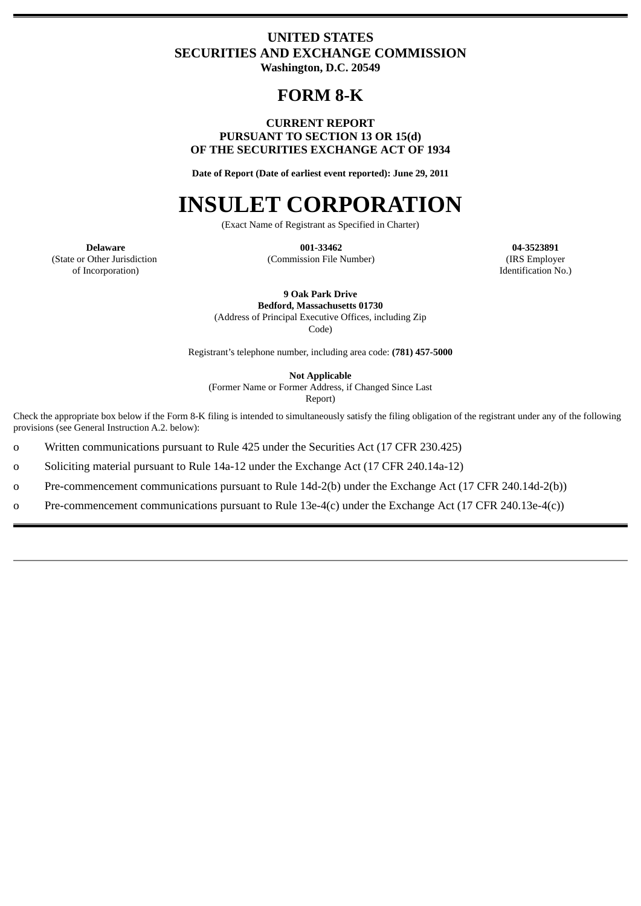# **UNITED STATES SECURITIES AND EXCHANGE COMMISSION Washington, D.C. 20549**

# **FORM 8-K**

# **CURRENT REPORT PURSUANT TO SECTION 13 OR 15(d) OF THE SECURITIES EXCHANGE ACT OF 1934**

**Date of Report (Date of earliest event reported): June 29, 2011**

# **INSULET CORPORATION**

(Exact Name of Registrant as Specified in Charter)

**001-33462** (Commission File Number)

**04-3523891** (IRS Employer Identification No.)

**Delaware** (State or Other Jurisdiction of Incorporation)

**9 Oak Park Drive**

**Bedford, Massachusetts 01730** (Address of Principal Executive Offices, including Zip

Code)

Registrant's telephone number, including area code: **(781) 457-5000**

**Not Applicable**

(Former Name or Former Address, if Changed Since Last Report)

Check the appropriate box below if the Form 8-K filing is intended to simultaneously satisfy the filing obligation of the registrant under any of the following provisions (see General Instruction A.2. below):

o Written communications pursuant to Rule 425 under the Securities Act (17 CFR 230.425)

o Soliciting material pursuant to Rule 14a-12 under the Exchange Act (17 CFR 240.14a-12)

o Pre-commencement communications pursuant to Rule 14d-2(b) under the Exchange Act (17 CFR 240.14d-2(b))

o Pre-commencement communications pursuant to Rule 13e-4(c) under the Exchange Act (17 CFR 240.13e-4(c))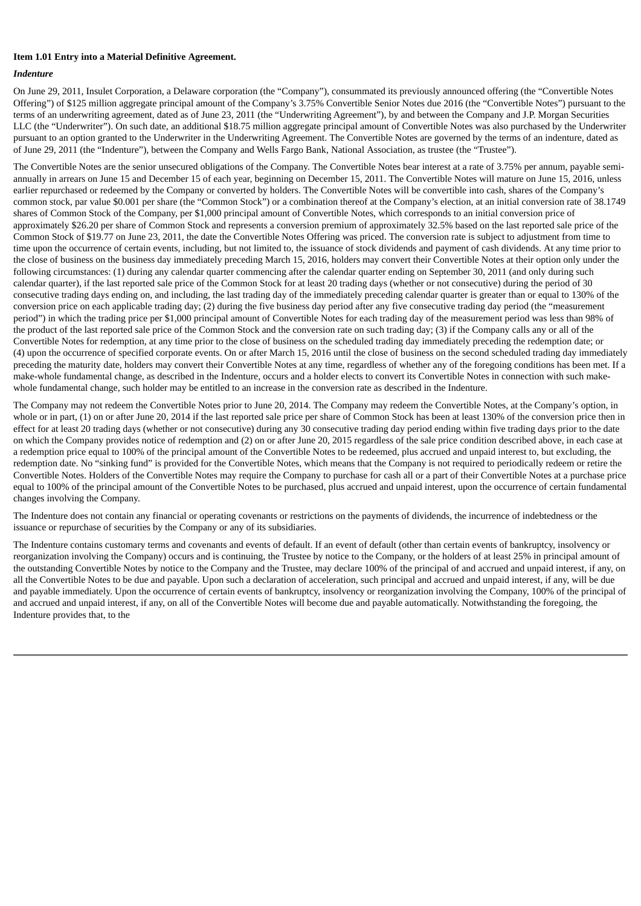#### **Item 1.01 Entry into a Material Definitive Agreement.**

#### *Indenture*

On June 29, 2011, Insulet Corporation, a Delaware corporation (the "Company"), consummated its previously announced offering (the "Convertible Notes Offering") of \$125 million aggregate principal amount of the Company's 3.75% Convertible Senior Notes due 2016 (the "Convertible Notes") pursuant to the terms of an underwriting agreement, dated as of June 23, 2011 (the "Underwriting Agreement"), by and between the Company and J.P. Morgan Securities LLC (the "Underwriter"). On such date, an additional \$18.75 million aggregate principal amount of Convertible Notes was also purchased by the Underwriter pursuant to an option granted to the Underwriter in the Underwriting Agreement. The Convertible Notes are governed by the terms of an indenture, dated as of June 29, 2011 (the "Indenture"), between the Company and Wells Fargo Bank, National Association, as trustee (the "Trustee").

The Convertible Notes are the senior unsecured obligations of the Company. The Convertible Notes bear interest at a rate of 3.75% per annum, payable semiannually in arrears on June 15 and December 15 of each year, beginning on December 15, 2011. The Convertible Notes will mature on June 15, 2016, unless earlier repurchased or redeemed by the Company or converted by holders. The Convertible Notes will be convertible into cash, shares of the Company's common stock, par value \$0.001 per share (the "Common Stock") or a combination thereof at the Company's election, at an initial conversion rate of 38.1749 shares of Common Stock of the Company, per \$1,000 principal amount of Convertible Notes, which corresponds to an initial conversion price of approximately \$26.20 per share of Common Stock and represents a conversion premium of approximately 32.5% based on the last reported sale price of the Common Stock of \$19.77 on June 23, 2011, the date the Convertible Notes Offering was priced. The conversion rate is subject to adjustment from time to time upon the occurrence of certain events, including, but not limited to, the issuance of stock dividends and payment of cash dividends. At any time prior to the close of business on the business day immediately preceding March 15, 2016, holders may convert their Convertible Notes at their option only under the following circumstances: (1) during any calendar quarter commencing after the calendar quarter ending on September 30, 2011 (and only during such calendar quarter), if the last reported sale price of the Common Stock for at least 20 trading days (whether or not consecutive) during the period of 30 consecutive trading days ending on, and including, the last trading day of the immediately preceding calendar quarter is greater than or equal to 130% of the conversion price on each applicable trading day; (2) during the five business day period after any five consecutive trading day period (the "measurement period") in which the trading price per \$1,000 principal amount of Convertible Notes for each trading day of the measurement period was less than 98% of the product of the last reported sale price of the Common Stock and the conversion rate on such trading day; (3) if the Company calls any or all of the Convertible Notes for redemption, at any time prior to the close of business on the scheduled trading day immediately preceding the redemption date; or (4) upon the occurrence of specified corporate events. On or after March 15, 2016 until the close of business on the second scheduled trading day immediately preceding the maturity date, holders may convert their Convertible Notes at any time, regardless of whether any of the foregoing conditions has been met. If a make-whole fundamental change, as described in the Indenture, occurs and a holder elects to convert its Convertible Notes in connection with such makewhole fundamental change, such holder may be entitled to an increase in the conversion rate as described in the Indenture.

The Company may not redeem the Convertible Notes prior to June 20, 2014. The Company may redeem the Convertible Notes, at the Company's option, in whole or in part, (1) on or after June 20, 2014 if the last reported sale price per share of Common Stock has been at least 130% of the conversion price then in effect for at least 20 trading days (whether or not consecutive) during any 30 consecutive trading day period ending within five trading days prior to the date on which the Company provides notice of redemption and (2) on or after June 20, 2015 regardless of the sale price condition described above, in each case at a redemption price equal to 100% of the principal amount of the Convertible Notes to be redeemed, plus accrued and unpaid interest to, but excluding, the redemption date. No "sinking fund" is provided for the Convertible Notes, which means that the Company is not required to periodically redeem or retire the Convertible Notes. Holders of the Convertible Notes may require the Company to purchase for cash all or a part of their Convertible Notes at a purchase price equal to 100% of the principal amount of the Convertible Notes to be purchased, plus accrued and unpaid interest, upon the occurrence of certain fundamental changes involving the Company.

The Indenture does not contain any financial or operating covenants or restrictions on the payments of dividends, the incurrence of indebtedness or the issuance or repurchase of securities by the Company or any of its subsidiaries.

The Indenture contains customary terms and covenants and events of default. If an event of default (other than certain events of bankruptcy, insolvency or reorganization involving the Company) occurs and is continuing, the Trustee by notice to the Company, or the holders of at least 25% in principal amount of the outstanding Convertible Notes by notice to the Company and the Trustee, may declare 100% of the principal of and accrued and unpaid interest, if any, on all the Convertible Notes to be due and payable. Upon such a declaration of acceleration, such principal and accrued and unpaid interest, if any, will be due and payable immediately. Upon the occurrence of certain events of bankruptcy, insolvency or reorganization involving the Company, 100% of the principal of and accrued and unpaid interest, if any, on all of the Convertible Notes will become due and payable automatically. Notwithstanding the foregoing, the Indenture provides that, to the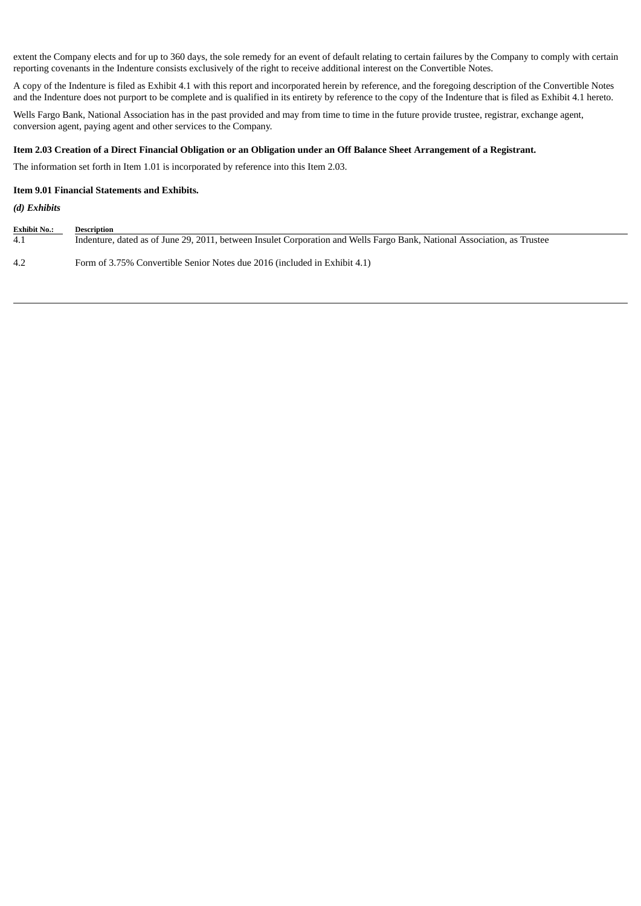extent the Company elects and for up to 360 days, the sole remedy for an event of default relating to certain failures by the Company to comply with certain reporting covenants in the Indenture consists exclusively of the right to receive additional interest on the Convertible Notes.

A copy of the Indenture is filed as Exhibit 4.1 with this report and incorporated herein by reference, and the foregoing description of the Convertible Notes and the Indenture does not purport to be complete and is qualified in its entirety by reference to the copy of the Indenture that is filed as Exhibit 4.1 hereto.

Wells Fargo Bank, National Association has in the past provided and may from time to time in the future provide trustee, registrar, exchange agent, conversion agent, paying agent and other services to the Company.

# Item 2.03 Creation of a Direct Financial Obligation or an Obligation under an Off Balance Sheet Arrangement of a Registrant.

The information set forth in Item 1.01 is incorporated by reference into this Item 2.03.

#### **Item 9.01 Financial Statements and Exhibits.**

#### *(d) Exhibits*

| <b>Exhibit No.:</b> | <b>Description</b>                                                                                                       |
|---------------------|--------------------------------------------------------------------------------------------------------------------------|
| 4.1                 | Indenture, dated as of June 29, 2011, between Insulet Corporation and Wells Fargo Bank, National Association, as Trustee |
| 4.2                 | Form of 3.75% Convertible Senior Notes due 2016 (included in Exhibit 4.1)                                                |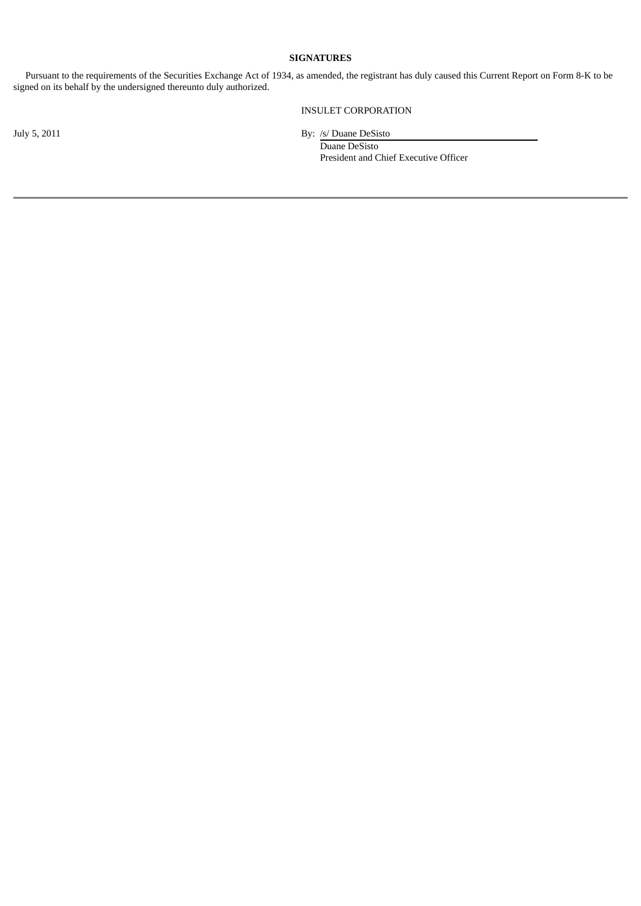# **SIGNATURES**

Pursuant to the requirements of the Securities Exchange Act of 1934, as amended, the registrant has duly caused this Current Report on Form 8-K to be signed on its behalf by the undersigned thereunto duly authorized.

INSULET CORPORATION

July 5, 2011 By: /s/ Duane DeSisto Duane DeSisto President and Chief Executive Officer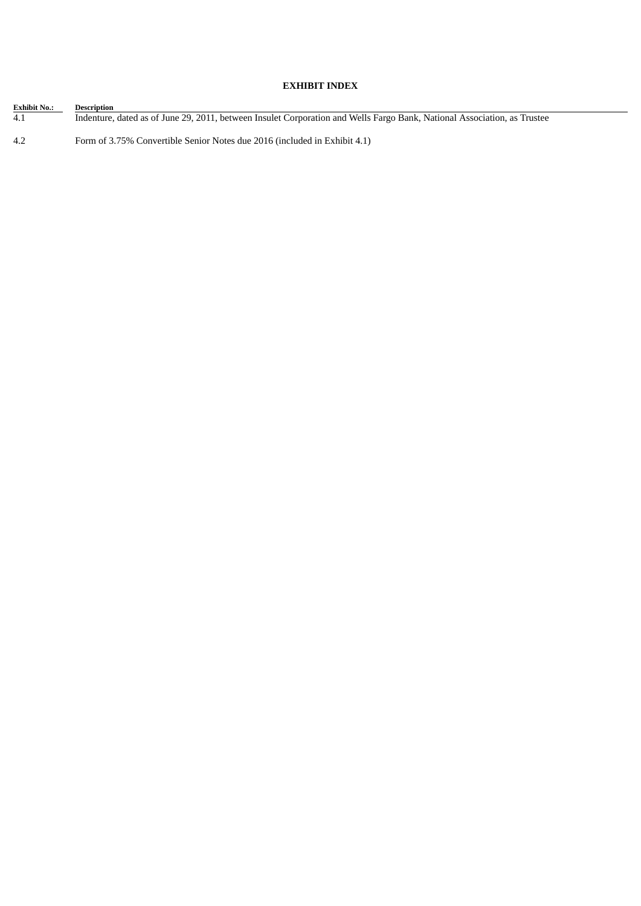# **EXHIBIT INDEX**

| <b>Exhibit No.:</b> | Description                                                                                                              |
|---------------------|--------------------------------------------------------------------------------------------------------------------------|
| 4.1                 | Indenture, dated as of June 29, 2011, between Insulet Corporation and Wells Fargo Bank, National Association, as Trustee |
| 4.2                 | Form of 3.75% Convertible Senior Notes due 2016 (included in Exhibit 4.1)                                                |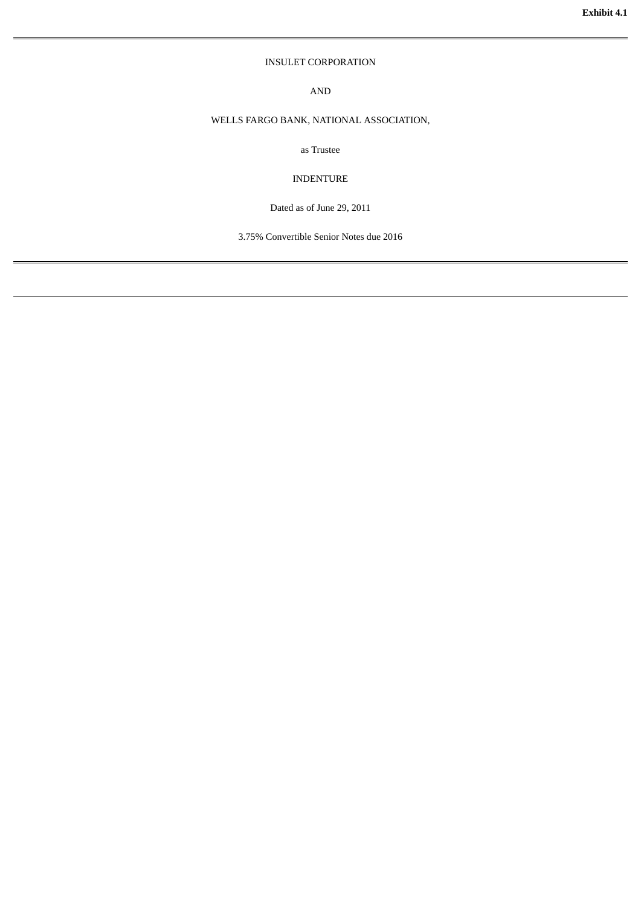## INSULET CORPORATION

AND

## WELLS FARGO BANK, NATIONAL ASSOCIATION,

as Trustee

INDENTURE

Dated as of June 29, 2011

3.75% Convertible Senior Notes due 2016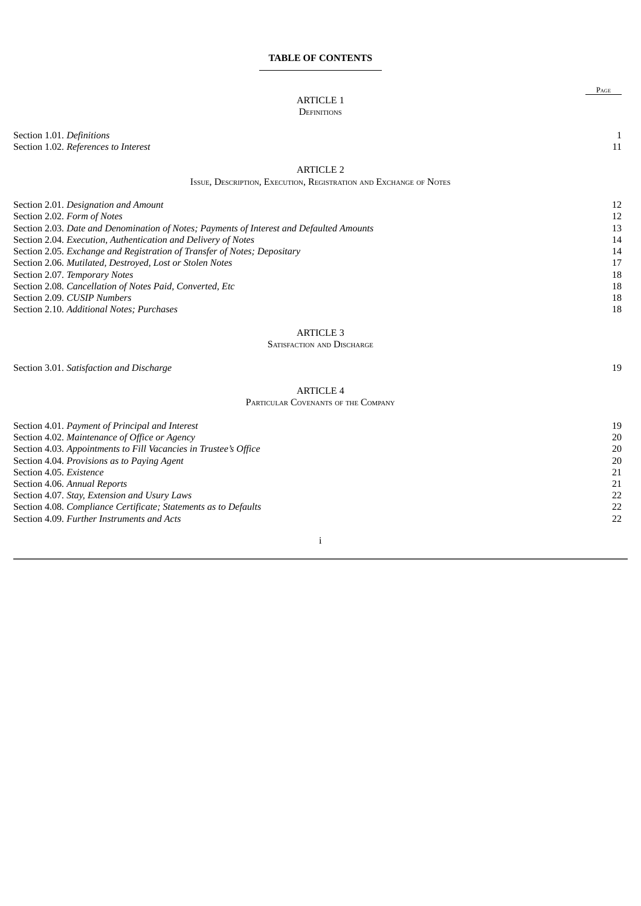#### **TABLE OF CONTENTS**

# ARTICLE 1

## **DEFINITIONS**

Section 1.01*. Definitions* 1 Section 1.02*. References to Interest* 11

PAGE

# ARTICLE 2

ISSUE, DESCRIPTION, EXECUTION, REGISTRATION AND EXCHANGE OF NOTES

| Section 2.01. Designation and Amount                                                     | 12 |
|------------------------------------------------------------------------------------------|----|
| Section 2.02. Form of Notes                                                              | 12 |
| Section 2.03. Date and Denomination of Notes; Payments of Interest and Defaulted Amounts | 13 |
| Section 2.04. Execution, Authentication and Delivery of Notes                            | 14 |
| Section 2.05. Exchange and Registration of Transfer of Notes; Depositary                 | 14 |
| Section 2.06. Mutilated, Destroyed, Lost or Stolen Notes                                 | 17 |
| Section 2.07. Temporary Notes                                                            | 18 |
| Section 2.08. Cancellation of Notes Paid, Converted, Etc                                 | 18 |
| Section 2.09. CUSIP Numbers                                                              | 18 |
| Section 2.10. Additional Notes; Purchases                                                | 18 |
|                                                                                          |    |

## ARTICLE 3

#### SATISFACTION AND DISCHARGE

Section 3.01*. Satisfaction and Discharge* 19

# ARTICLE 4

## PARTICULAR COVENANTS OF THE COMPANY

| Section 4.01. Payment of Principal and Interest                  | 19 |
|------------------------------------------------------------------|----|
| Section 4.02. Maintenance of Office or Agency                    | 20 |
| Section 4.03. Appointments to Fill Vacancies in Trustee's Office | 20 |
| Section 4.04. Provisions as to Paying Agent                      | 20 |
| Section 4.05. Existence                                          | 21 |
| Section 4.06. Annual Reports                                     | 21 |
| Section 4.07. Stay, Extension and Usury Laws                     | 22 |
| Section 4.08. Compliance Certificate; Statements as to Defaults  | 22 |
| Section 4.09. Further Instruments and Acts                       | 22 |
|                                                                  |    |
|                                                                  |    |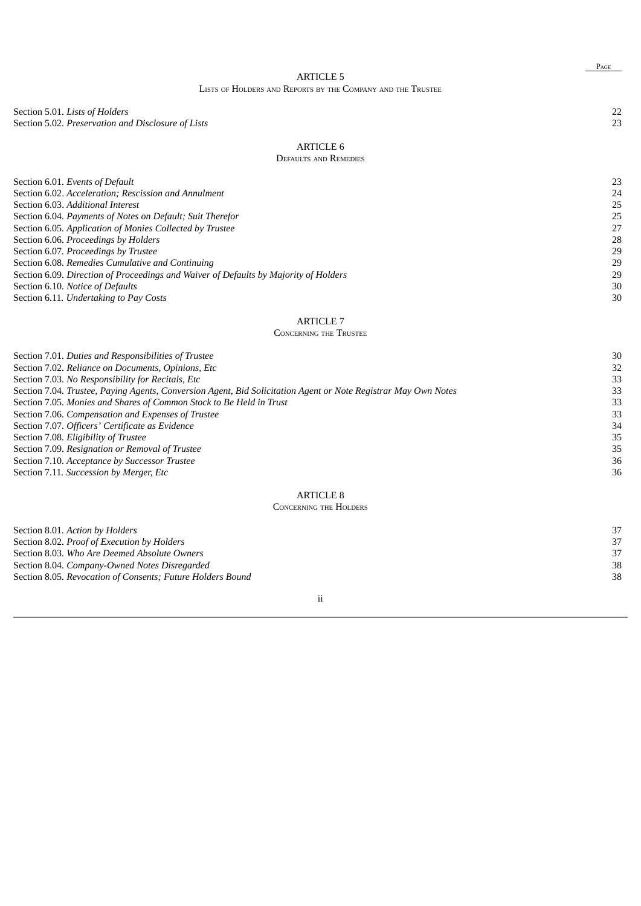# ARTICLE 5

# LISTS OF HOLDERS AND REPORTS BY THE COMPANY AND THE TRUSTEE

Section 5.01*. Lists of Holders* 22 Section 5.02*. Preservation and Disclosure of Lists* 23

# ARTICLE 6

# DEFAULTS AND REMEDIES

| Section 6.01. Events of Default                                                      | 23 |
|--------------------------------------------------------------------------------------|----|
| Section 6.02. Acceleration; Rescission and Annulment                                 | 24 |
| Section 6.03. Additional Interest                                                    | 25 |
| Section 6.04. Payments of Notes on Default; Suit Therefor                            | 25 |
| Section 6.05. Application of Monies Collected by Trustee                             | 27 |
| Section 6.06. Proceedings by Holders                                                 | 28 |
| Section 6.07. Proceedings by Trustee                                                 | 29 |
| Section 6.08. Remedies Cumulative and Continuing                                     | 29 |
| Section 6.09. Direction of Proceedings and Waiver of Defaults by Majority of Holders | 29 |
| Section 6.10. Notice of Defaults                                                     | 30 |
| Section 6.11. Undertaking to Pay Costs                                               | 30 |

Section 6.11. *Undertaking to Pay Costs* 

## ARTICLE 7

### CONCERNING THE TRUSTEE

| Section 7.01. Duties and Responsibilities of Trustee                                                           | 30 |
|----------------------------------------------------------------------------------------------------------------|----|
| Section 7.02. Reliance on Documents, Opinions, Etc.                                                            | 32 |
| Section 7.03. No Responsibility for Recitals, Etc.                                                             | 33 |
| Section 7.04. Trustee, Paying Agents, Conversion Agent, Bid Solicitation Agent or Note Registrar May Own Notes | 33 |
| Section 7.05. Monies and Shares of Common Stock to Be Held in Trust                                            | 33 |
| Section 7.06. Compensation and Expenses of Trustee                                                             | 33 |
| Section 7.07. Officers' Certificate as Evidence                                                                | 34 |
| Section 7.08. Eligibility of Trustee                                                                           | 35 |
| Section 7.09. Resignation or Removal of Trustee                                                                | 35 |
| Section 7.10. Acceptance by Successor Trustee                                                                  | 36 |
| Section 7.11. Succession by Merger, Etc                                                                        | 36 |
| <b>ARTICLE 8</b>                                                                                               |    |
| <b>CONCERNING THE HOLDERS</b>                                                                                  |    |
| Section 8.01. Action by Holders                                                                                | 37 |
| Section 8.02. Proof of Execution by Holders                                                                    | 37 |
| Section 8.03. Who Are Deemed Absolute Owners                                                                   | 37 |

Section 8.04*. Company-Owned Notes Disregarded* 38

Section 8.05*. Revocation of Consents; Future Holders Bound* 38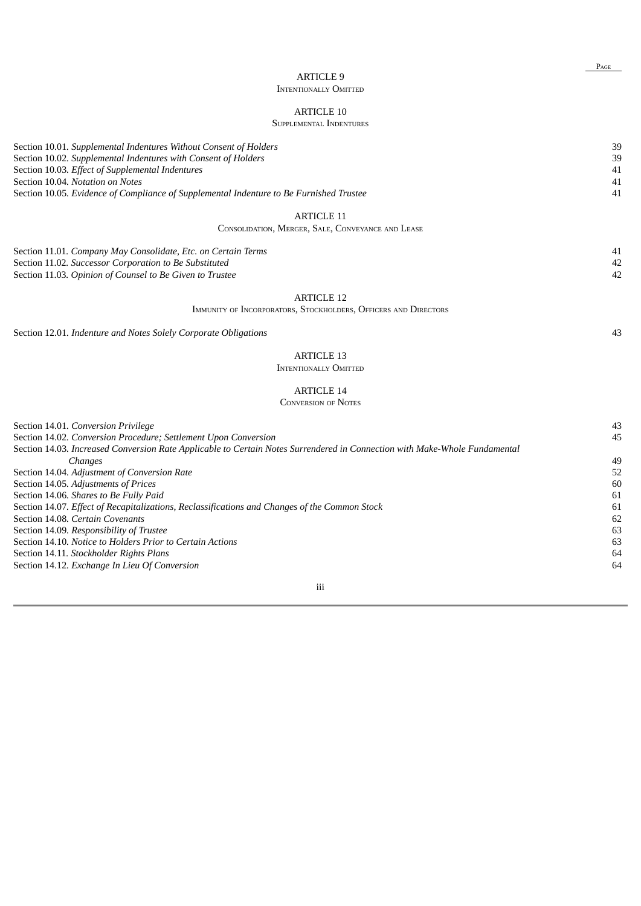PAGE

# ARTICLE 9 INTENTIONALLY OMITTED

# ARTICLE 10

| <b>SUPPLEMENTAL INDENTURES</b>                                                                                                                                                                                                                                                                                                                                                                                                                                                                                                                                                                                                                                                                                              |                                                                      |
|-----------------------------------------------------------------------------------------------------------------------------------------------------------------------------------------------------------------------------------------------------------------------------------------------------------------------------------------------------------------------------------------------------------------------------------------------------------------------------------------------------------------------------------------------------------------------------------------------------------------------------------------------------------------------------------------------------------------------------|----------------------------------------------------------------------|
| Section 10.01. Supplemental Indentures Without Consent of Holders<br>Section 10.02. Supplemental Indentures with Consent of Holders<br>Section 10.03. Effect of Supplemental Indentures<br>Section 10.04. Notation on Notes<br>Section 10.05. Evidence of Compliance of Supplemental Indenture to Be Furnished Trustee                                                                                                                                                                                                                                                                                                                                                                                                      | 39<br>39<br>41<br>41<br>41                                           |
| <b>ARTICLE 11</b>                                                                                                                                                                                                                                                                                                                                                                                                                                                                                                                                                                                                                                                                                                           |                                                                      |
| CONSOLIDATION, MERGER, SALE, CONVEYANCE AND LEASE                                                                                                                                                                                                                                                                                                                                                                                                                                                                                                                                                                                                                                                                           |                                                                      |
| Section 11.01. Company May Consolidate, Etc. on Certain Terms<br>Section 11.02. Successor Corporation to Be Substituted<br>Section 11.03. Opinion of Counsel to Be Given to Trustee                                                                                                                                                                                                                                                                                                                                                                                                                                                                                                                                         | 41<br>42<br>42                                                       |
| <b>ARTICLE 12</b><br>IMMUNITY OF INCORPORATORS, STOCKHOLDERS, OFFICERS AND DIRECTORS                                                                                                                                                                                                                                                                                                                                                                                                                                                                                                                                                                                                                                        |                                                                      |
| Section 12.01. Indenture and Notes Solely Corporate Obligations                                                                                                                                                                                                                                                                                                                                                                                                                                                                                                                                                                                                                                                             | 43                                                                   |
| <b>ARTICLE 13</b><br><b>INTENTIONALLY OMITTED</b>                                                                                                                                                                                                                                                                                                                                                                                                                                                                                                                                                                                                                                                                           |                                                                      |
| <b>ARTICLE 14</b><br><b>CONVERSION OF NOTES</b>                                                                                                                                                                                                                                                                                                                                                                                                                                                                                                                                                                                                                                                                             |                                                                      |
| Section 14.01. Conversion Privilege<br>Section 14.02. Conversion Procedure; Settlement Upon Conversion<br>Section 14.03. Increased Conversion Rate Applicable to Certain Notes Surrendered in Connection with Make-Whole Fundamental<br>Changes<br>Section 14.04. Adjustment of Conversion Rate<br>Section 14.05. Adjustments of Prices<br>Section 14.06. Shares to Be Fully Paid<br>Section 14.07. Effect of Recapitalizations, Reclassifications and Changes of the Common Stock<br>Section 14.08. Certain Covenants<br>Section 14.09. Responsibility of Trustee<br>Section 14.10. Notice to Holders Prior to Certain Actions<br>Section 14.11. Stockholder Rights Plans<br>Section 14.12. Exchange In Lieu Of Conversion | 43<br>45<br>49<br>52<br>60<br>61<br>61<br>62<br>63<br>63<br>64<br>64 |
|                                                                                                                                                                                                                                                                                                                                                                                                                                                                                                                                                                                                                                                                                                                             |                                                                      |
|                                                                                                                                                                                                                                                                                                                                                                                                                                                                                                                                                                                                                                                                                                                             |                                                                      |

# iii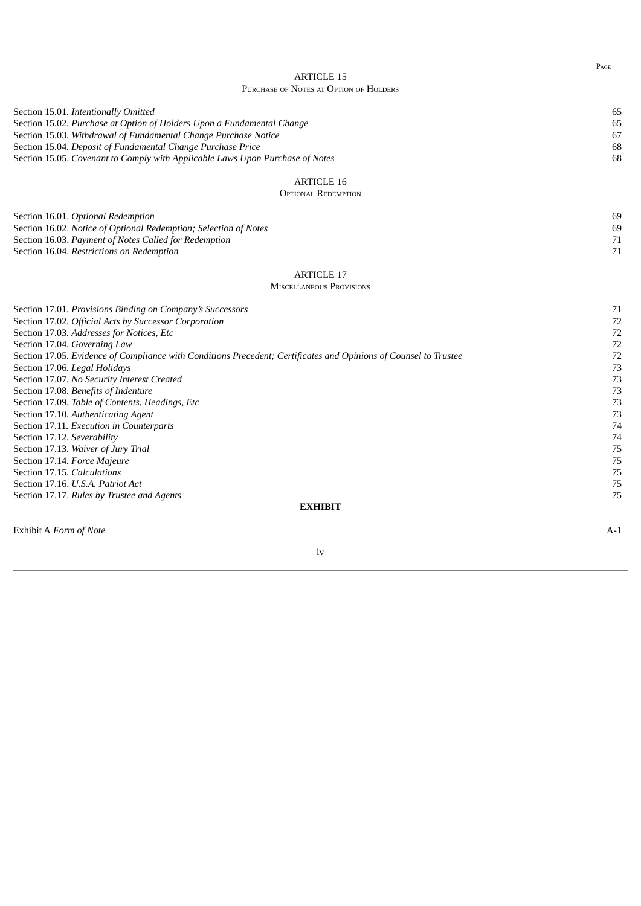#### ARTICLE 15 PURCHASE OF NOTES AT OPTION OF HOLDERS

| Chase of thotes at Offion of Hoeden.                                                                                                                                                                                                                                                                                              |                            |
|-----------------------------------------------------------------------------------------------------------------------------------------------------------------------------------------------------------------------------------------------------------------------------------------------------------------------------------|----------------------------|
| Section 15.01. Intentionally Omitted<br>Section 15.02. Purchase at Option of Holders Upon a Fundamental Change<br>Section 15.03. Withdrawal of Fundamental Change Purchase Notice<br>Section 15.04. Deposit of Fundamental Change Purchase Price<br>Section 15.05. Covenant to Comply with Applicable Laws Upon Purchase of Notes | 65<br>65<br>67<br>68<br>68 |
| <b>ARTICLE 16</b>                                                                                                                                                                                                                                                                                                                 |                            |
| <b>OPTIONAL REDEMPTION</b>                                                                                                                                                                                                                                                                                                        |                            |
| Section 16.01. Optional Redemption<br>Section 16.02. Notice of Optional Redemption; Selection of Notes<br>Section 16.03. Payment of Notes Called for Redemption<br>Section 16.04. Restrictions on Redemption                                                                                                                      | 69<br>69<br>71<br>71       |
| <b>ARTICLE 17</b>                                                                                                                                                                                                                                                                                                                 |                            |
| <b>MISCELLANEOUS PROVISIONS</b>                                                                                                                                                                                                                                                                                                   |                            |
|                                                                                                                                                                                                                                                                                                                                   |                            |
| Section 17.01. Provisions Binding on Company's Successors                                                                                                                                                                                                                                                                         | 71                         |
| Section 17.02. Official Acts by Successor Corporation                                                                                                                                                                                                                                                                             | 72                         |
| Section 17.03. Addresses for Notices, Etc                                                                                                                                                                                                                                                                                         | 72                         |
| Section 17.04. Governing Law                                                                                                                                                                                                                                                                                                      | 72                         |
| Section 17.05. Evidence of Compliance with Conditions Precedent; Certificates and Opinions of Counsel to Trustee                                                                                                                                                                                                                  | 72                         |
| Section 17.06. Legal Holidays                                                                                                                                                                                                                                                                                                     | 73                         |
| Section 17.07. No Security Interest Created                                                                                                                                                                                                                                                                                       | 73                         |
| Section 17.08. Benefits of Indenture                                                                                                                                                                                                                                                                                              | 73                         |
| Section 17.09. Table of Contents, Headings, Etc<br>Section 17.10. Authenticating Agent                                                                                                                                                                                                                                            | 73<br>73                   |
| Section 17.11. Execution in Counterparts                                                                                                                                                                                                                                                                                          | 74                         |
| Section 17.12. Severability                                                                                                                                                                                                                                                                                                       | 74                         |
| Section 17.13. Waiver of Jury Trial                                                                                                                                                                                                                                                                                               | 75                         |
| Section 17.14. Force Majeure                                                                                                                                                                                                                                                                                                      | 75                         |
| Section 17.15. Calculations                                                                                                                                                                                                                                                                                                       | 75                         |
| Section 17.16. U.S.A. Patriot Act                                                                                                                                                                                                                                                                                                 | 75                         |
| Section 17.17. Rules by Trustee and Agents                                                                                                                                                                                                                                                                                        | 75                         |
| <b>EXHIBIT</b>                                                                                                                                                                                                                                                                                                                    |                            |
|                                                                                                                                                                                                                                                                                                                                   |                            |
| Exhibit A Form of Note                                                                                                                                                                                                                                                                                                            | $A-1$                      |

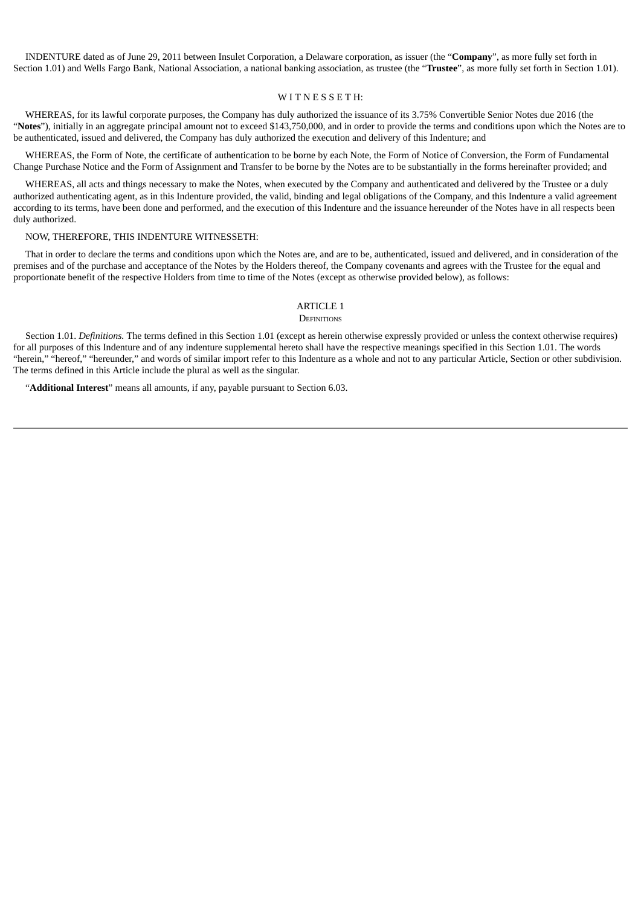INDENTURE dated as of June 29, 2011 between Insulet Corporation, a Delaware corporation, as issuer (the "**Company**", as more fully set forth in Section 1.01) and Wells Fargo Bank, National Association, a national banking association, as trustee (the "**Trustee**", as more fully set forth in Section 1.01).

#### WITNESSETH:

WHEREAS, for its lawful corporate purposes, the Company has duly authorized the issuance of its 3.75% Convertible Senior Notes due 2016 (the "**Notes**"), initially in an aggregate principal amount not to exceed \$143,750,000, and in order to provide the terms and conditions upon which the Notes are to be authenticated, issued and delivered, the Company has duly authorized the execution and delivery of this Indenture; and

WHEREAS, the Form of Note, the certificate of authentication to be borne by each Note, the Form of Notice of Conversion, the Form of Fundamental Change Purchase Notice and the Form of Assignment and Transfer to be borne by the Notes are to be substantially in the forms hereinafter provided; and

WHEREAS, all acts and things necessary to make the Notes, when executed by the Company and authenticated and delivered by the Trustee or a duly authorized authenticating agent, as in this Indenture provided, the valid, binding and legal obligations of the Company, and this Indenture a valid agreement according to its terms, have been done and performed, and the execution of this Indenture and the issuance hereunder of the Notes have in all respects been duly authorized.

#### NOW, THEREFORE, THIS INDENTURE WITNESSETH:

That in order to declare the terms and conditions upon which the Notes are, and are to be, authenticated, issued and delivered, and in consideration of the premises and of the purchase and acceptance of the Notes by the Holders thereof, the Company covenants and agrees with the Trustee for the equal and proportionate benefit of the respective Holders from time to time of the Notes (except as otherwise provided below), as follows:

#### ARTICLE 1 **DEFINITIONS**

Section 1.01. *Definitions.* The terms defined in this Section 1.01 (except as herein otherwise expressly provided or unless the context otherwise requires) for all purposes of this Indenture and of any indenture supplemental hereto shall have the respective meanings specified in this Section 1.01. The words "herein," "hereof," "hereunder," and words of similar import refer to this Indenture as a whole and not to any particular Article, Section or other subdivision. The terms defined in this Article include the plural as well as the singular.

"**Additional Interest**" means all amounts, if any, payable pursuant to Section 6.03.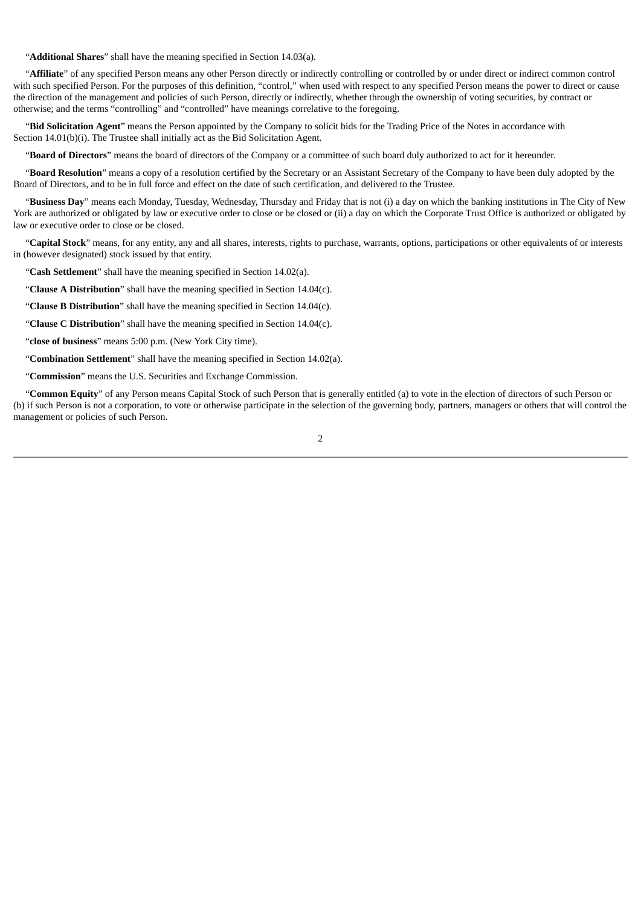"**Additional Shares**" shall have the meaning specified in Section 14.03(a).

"**Affiliate**" of any specified Person means any other Person directly or indirectly controlling or controlled by or under direct or indirect common control with such specified Person. For the purposes of this definition, "control," when used with respect to any specified Person means the power to direct or cause the direction of the management and policies of such Person, directly or indirectly, whether through the ownership of voting securities, by contract or otherwise; and the terms "controlling" and "controlled" have meanings correlative to the foregoing.

"**Bid Solicitation Agent**" means the Person appointed by the Company to solicit bids for the Trading Price of the Notes in accordance with Section 14.01(b)(i). The Trustee shall initially act as the Bid Solicitation Agent.

"**Board of Directors**" means the board of directors of the Company or a committee of such board duly authorized to act for it hereunder.

"**Board Resolution**" means a copy of a resolution certified by the Secretary or an Assistant Secretary of the Company to have been duly adopted by the Board of Directors, and to be in full force and effect on the date of such certification, and delivered to the Trustee.

"**Business Day**" means each Monday, Tuesday, Wednesday, Thursday and Friday that is not (i) a day on which the banking institutions in The City of New York are authorized or obligated by law or executive order to close or be closed or (ii) a day on which the Corporate Trust Office is authorized or obligated by law or executive order to close or be closed.

"**Capital Stock**" means, for any entity, any and all shares, interests, rights to purchase, warrants, options, participations or other equivalents of or interests in (however designated) stock issued by that entity.

"**Cash Settlement**" shall have the meaning specified in Section 14.02(a).

"**Clause A Distribution**" shall have the meaning specified in Section 14.04(c).

"**Clause B Distribution**" shall have the meaning specified in Section 14.04(c).

"**Clause C Distribution**" shall have the meaning specified in Section 14.04(c).

"**close of business**" means 5:00 p.m. (New York City time).

"**Combination Settlement**" shall have the meaning specified in Section 14.02(a).

"**Commission**" means the U.S. Securities and Exchange Commission.

"**Common Equity**" of any Person means Capital Stock of such Person that is generally entitled (a) to vote in the election of directors of such Person or (b) if such Person is not a corporation, to vote or otherwise participate in the selection of the governing body, partners, managers or others that will control the management or policies of such Person.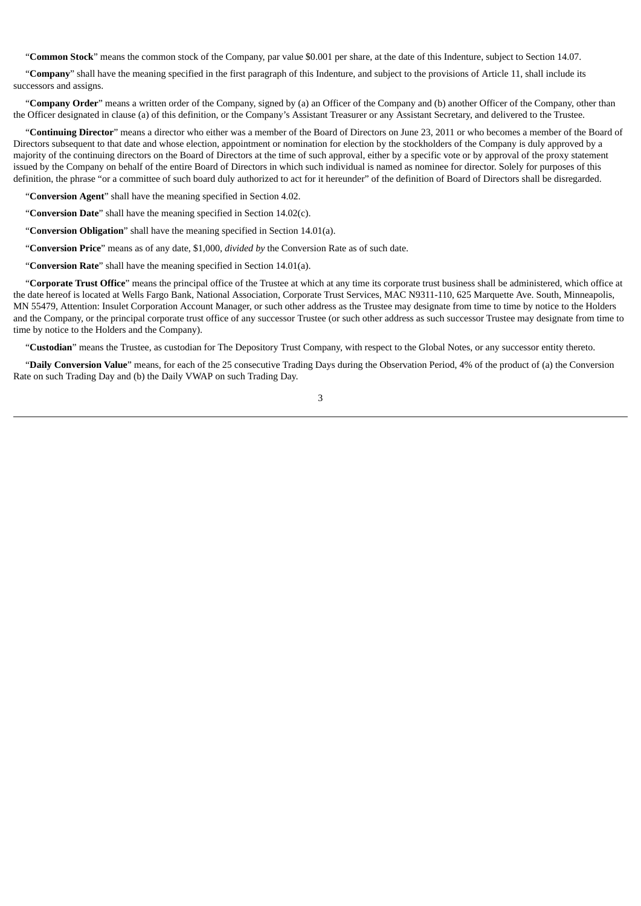"**Common Stock**" means the common stock of the Company, par value \$0.001 per share, at the date of this Indenture, subject to Section 14.07.

"**Company**" shall have the meaning specified in the first paragraph of this Indenture, and subject to the provisions of Article 11, shall include its successors and assigns.

"**Company Order**" means a written order of the Company, signed by (a) an Officer of the Company and (b) another Officer of the Company, other than the Officer designated in clause (a) of this definition, or the Company's Assistant Treasurer or any Assistant Secretary, and delivered to the Trustee.

"**Continuing Director**" means a director who either was a member of the Board of Directors on June 23, 2011 or who becomes a member of the Board of Directors subsequent to that date and whose election, appointment or nomination for election by the stockholders of the Company is duly approved by a majority of the continuing directors on the Board of Directors at the time of such approval, either by a specific vote or by approval of the proxy statement issued by the Company on behalf of the entire Board of Directors in which such individual is named as nominee for director. Solely for purposes of this definition, the phrase "or a committee of such board duly authorized to act for it hereunder" of the definition of Board of Directors shall be disregarded.

"**Conversion Agent**" shall have the meaning specified in Section 4.02.

"**Conversion Date**" shall have the meaning specified in Section 14.02(c).

"**Conversion Obligation**" shall have the meaning specified in Section 14.01(a).

"**Conversion Price**" means as of any date, \$1,000, *divided by* the Conversion Rate as of such date.

"**Conversion Rate**" shall have the meaning specified in Section 14.01(a).

"**Corporate Trust Office**" means the principal office of the Trustee at which at any time its corporate trust business shall be administered, which office at the date hereof is located at Wells Fargo Bank, National Association, Corporate Trust Services, MAC N9311-110, 625 Marquette Ave. South, Minneapolis, MN 55479, Attention: Insulet Corporation Account Manager, or such other address as the Trustee may designate from time to time by notice to the Holders and the Company, or the principal corporate trust office of any successor Trustee (or such other address as such successor Trustee may designate from time to time by notice to the Holders and the Company).

"**Custodian**" means the Trustee, as custodian for The Depository Trust Company, with respect to the Global Notes, or any successor entity thereto.

"**Daily Conversion Value**" means, for each of the 25 consecutive Trading Days during the Observation Period, 4% of the product of (a) the Conversion Rate on such Trading Day and (b) the Daily VWAP on such Trading Day.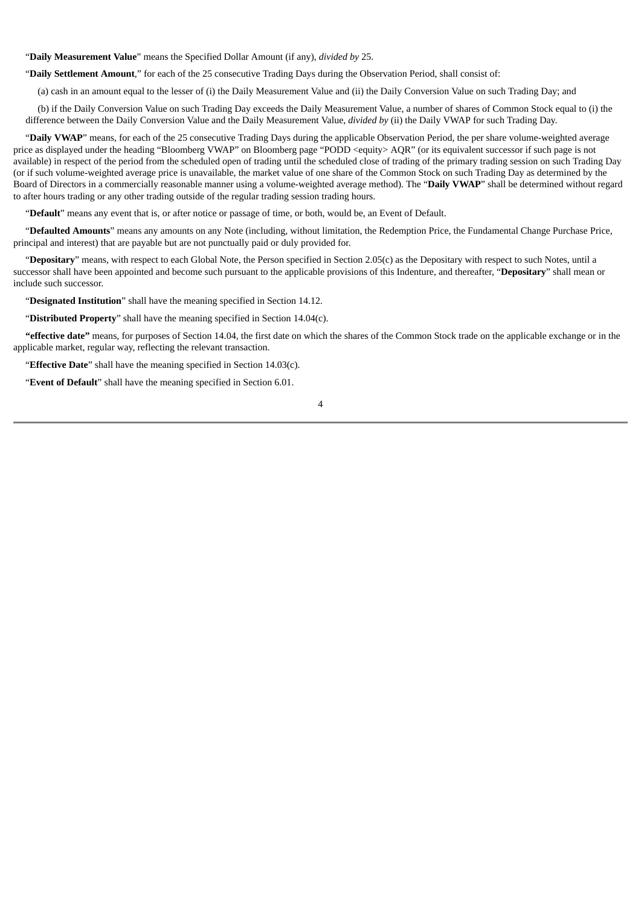"**Daily Measurement Value**" means the Specified Dollar Amount (if any), *divided by* 25.

"**Daily Settlement Amount**," for each of the 25 consecutive Trading Days during the Observation Period, shall consist of:

(a) cash in an amount equal to the lesser of (i) the Daily Measurement Value and (ii) the Daily Conversion Value on such Trading Day; and

(b) if the Daily Conversion Value on such Trading Day exceeds the Daily Measurement Value, a number of shares of Common Stock equal to (i) the difference between the Daily Conversion Value and the Daily Measurement Value, *divided by* (ii) the Daily VWAP for such Trading Day.

"**Daily VWAP**" means, for each of the 25 consecutive Trading Days during the applicable Observation Period, the per share volume-weighted average price as displayed under the heading "Bloomberg VWAP" on Bloomberg page "PODD <equity> AQR" (or its equivalent successor if such page is not available) in respect of the period from the scheduled open of trading until the scheduled close of trading of the primary trading session on such Trading Day (or if such volume-weighted average price is unavailable, the market value of one share of the Common Stock on such Trading Day as determined by the Board of Directors in a commercially reasonable manner using a volume-weighted average method). The "**Daily VWAP**" shall be determined without regard to after hours trading or any other trading outside of the regular trading session trading hours.

"**Default**" means any event that is, or after notice or passage of time, or both, would be, an Event of Default.

"**Defaulted Amounts**" means any amounts on any Note (including, without limitation, the Redemption Price, the Fundamental Change Purchase Price, principal and interest) that are payable but are not punctually paid or duly provided for.

"**Depositary**" means, with respect to each Global Note, the Person specified in Section 2.05(c) as the Depositary with respect to such Notes, until a successor shall have been appointed and become such pursuant to the applicable provisions of this Indenture, and thereafter, "**Depositary**" shall mean or include such successor.

"**Designated Institution**" shall have the meaning specified in Section 14.12.

"**Distributed Property**" shall have the meaning specified in Section 14.04(c).

**"effective date"** means, for purposes of Section 14.04, the first date on which the shares of the Common Stock trade on the applicable exchange or in the applicable market, regular way, reflecting the relevant transaction.

"**Effective Date**" shall have the meaning specified in Section 14.03(c).

"**Event of Default**" shall have the meaning specified in Section 6.01.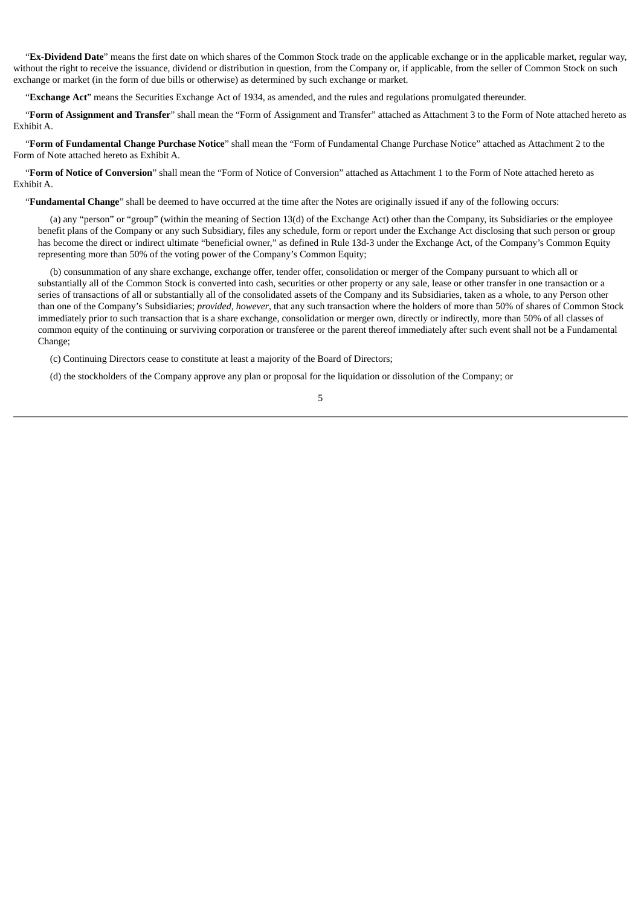"**Ex-Dividend Date**" means the first date on which shares of the Common Stock trade on the applicable exchange or in the applicable market, regular way, without the right to receive the issuance, dividend or distribution in question, from the Company or, if applicable, from the seller of Common Stock on such exchange or market (in the form of due bills or otherwise) as determined by such exchange or market.

"**Exchange Act**" means the Securities Exchange Act of 1934, as amended, and the rules and regulations promulgated thereunder.

"**Form of Assignment and Transfer**" shall mean the "Form of Assignment and Transfer" attached as Attachment 3 to the Form of Note attached hereto as Exhibit A.

"**Form of Fundamental Change Purchase Notice**" shall mean the "Form of Fundamental Change Purchase Notice" attached as Attachment 2 to the Form of Note attached hereto as Exhibit A.

"**Form of Notice of Conversion**" shall mean the "Form of Notice of Conversion" attached as Attachment 1 to the Form of Note attached hereto as Exhibit A.

"**Fundamental Change**" shall be deemed to have occurred at the time after the Notes are originally issued if any of the following occurs:

(a) any "person" or "group" (within the meaning of Section 13(d) of the Exchange Act) other than the Company, its Subsidiaries or the employee benefit plans of the Company or any such Subsidiary, files any schedule, form or report under the Exchange Act disclosing that such person or group has become the direct or indirect ultimate "beneficial owner," as defined in Rule 13d-3 under the Exchange Act, of the Company's Common Equity representing more than 50% of the voting power of the Company's Common Equity;

(b) consummation of any share exchange, exchange offer, tender offer, consolidation or merger of the Company pursuant to which all or substantially all of the Common Stock is converted into cash, securities or other property or any sale, lease or other transfer in one transaction or a series of transactions of all or substantially all of the consolidated assets of the Company and its Subsidiaries, taken as a whole, to any Person other than one of the Company's Subsidiaries; *provided*, *however*, that any such transaction where the holders of more than 50% of shares of Common Stock immediately prior to such transaction that is a share exchange, consolidation or merger own, directly or indirectly, more than 50% of all classes of common equity of the continuing or surviving corporation or transferee or the parent thereof immediately after such event shall not be a Fundamental Change;

5

(c) Continuing Directors cease to constitute at least a majority of the Board of Directors;

(d) the stockholders of the Company approve any plan or proposal for the liquidation or dissolution of the Company; or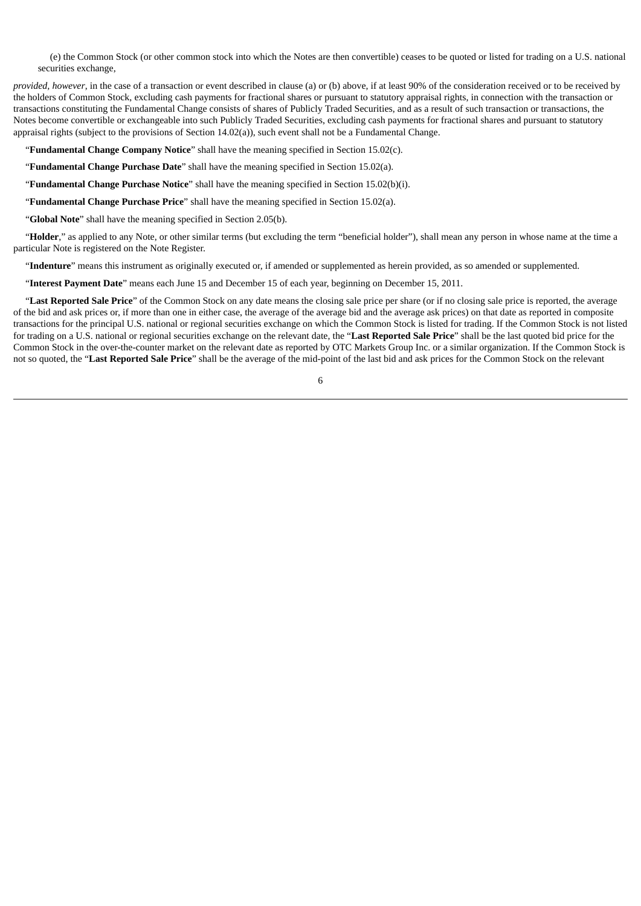(e) the Common Stock (or other common stock into which the Notes are then convertible) ceases to be quoted or listed for trading on a U.S. national securities exchange,

*provided, however*, in the case of a transaction or event described in clause (a) or (b) above, if at least 90% of the consideration received or to be received by the holders of Common Stock, excluding cash payments for fractional shares or pursuant to statutory appraisal rights, in connection with the transaction or transactions constituting the Fundamental Change consists of shares of Publicly Traded Securities, and as a result of such transaction or transactions, the Notes become convertible or exchangeable into such Publicly Traded Securities, excluding cash payments for fractional shares and pursuant to statutory appraisal rights (subject to the provisions of Section 14.02(a)), such event shall not be a Fundamental Change.

"**Fundamental Change Company Notice**" shall have the meaning specified in Section 15.02(c).

"**Fundamental Change Purchase Date**" shall have the meaning specified in Section 15.02(a).

"**Fundamental Change Purchase Notice**" shall have the meaning specified in Section 15.02(b)(i).

"**Fundamental Change Purchase Price**" shall have the meaning specified in Section 15.02(a).

"**Global Note**" shall have the meaning specified in Section 2.05(b).

"Holder," as applied to any Note, or other similar terms (but excluding the term "beneficial holder"), shall mean any person in whose name at the time a particular Note is registered on the Note Register.

"**Indenture**" means this instrument as originally executed or, if amended or supplemented as herein provided, as so amended or supplemented.

"**Interest Payment Date**" means each June 15 and December 15 of each year, beginning on December 15, 2011.

"**Last Reported Sale Price**" of the Common Stock on any date means the closing sale price per share (or if no closing sale price is reported, the average of the bid and ask prices or, if more than one in either case, the average of the average bid and the average ask prices) on that date as reported in composite transactions for the principal U.S. national or regional securities exchange on which the Common Stock is listed for trading. If the Common Stock is not listed for trading on a U.S. national or regional securities exchange on the relevant date, the "**Last Reported Sale Price**" shall be the last quoted bid price for the Common Stock in the over-the-counter market on the relevant date as reported by OTC Markets Group Inc. or a similar organization. If the Common Stock is not so quoted, the "**Last Reported Sale Price**" shall be the average of the mid-point of the last bid and ask prices for the Common Stock on the relevant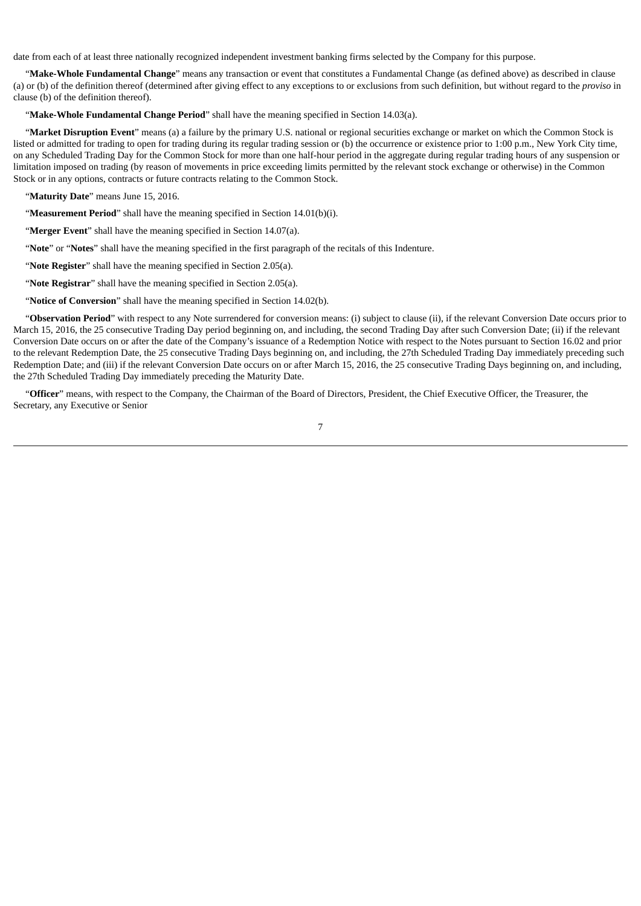date from each of at least three nationally recognized independent investment banking firms selected by the Company for this purpose.

"**Make-Whole Fundamental Change**" means any transaction or event that constitutes a Fundamental Change (as defined above) as described in clause (a) or (b) of the definition thereof (determined after giving effect to any exceptions to or exclusions from such definition, but without regard to the *proviso* in clause (b) of the definition thereof).

"**Make-Whole Fundamental Change Period**" shall have the meaning specified in Section 14.03(a).

"**Market Disruption Event**" means (a) a failure by the primary U.S. national or regional securities exchange or market on which the Common Stock is listed or admitted for trading to open for trading during its regular trading session or (b) the occurrence or existence prior to 1:00 p.m., New York City time, on any Scheduled Trading Day for the Common Stock for more than one half-hour period in the aggregate during regular trading hours of any suspension or limitation imposed on trading (by reason of movements in price exceeding limits permitted by the relevant stock exchange or otherwise) in the Common Stock or in any options, contracts or future contracts relating to the Common Stock.

"**Maturity Date**" means June 15, 2016.

"**Measurement Period**" shall have the meaning specified in Section 14.01(b)(i).

"**Merger Event**" shall have the meaning specified in Section 14.07(a).

"**Note**" or "**Notes**" shall have the meaning specified in the first paragraph of the recitals of this Indenture.

"**Note Register**" shall have the meaning specified in Section 2.05(a).

"**Note Registrar**" shall have the meaning specified in Section 2.05(a).

"**Notice of Conversion**" shall have the meaning specified in Section 14.02(b).

"**Observation Period**" with respect to any Note surrendered for conversion means: (i) subject to clause (ii), if the relevant Conversion Date occurs prior to March 15, 2016, the 25 consecutive Trading Day period beginning on, and including, the second Trading Day after such Conversion Date; (ii) if the relevant Conversion Date occurs on or after the date of the Company's issuance of a Redemption Notice with respect to the Notes pursuant to Section 16.02 and prior to the relevant Redemption Date, the 25 consecutive Trading Days beginning on, and including, the 27th Scheduled Trading Day immediately preceding such Redemption Date; and (iii) if the relevant Conversion Date occurs on or after March 15, 2016, the 25 consecutive Trading Days beginning on, and including, the 27th Scheduled Trading Day immediately preceding the Maturity Date.

"**Officer**" means, with respect to the Company, the Chairman of the Board of Directors, President, the Chief Executive Officer, the Treasurer, the Secretary, any Executive or Senior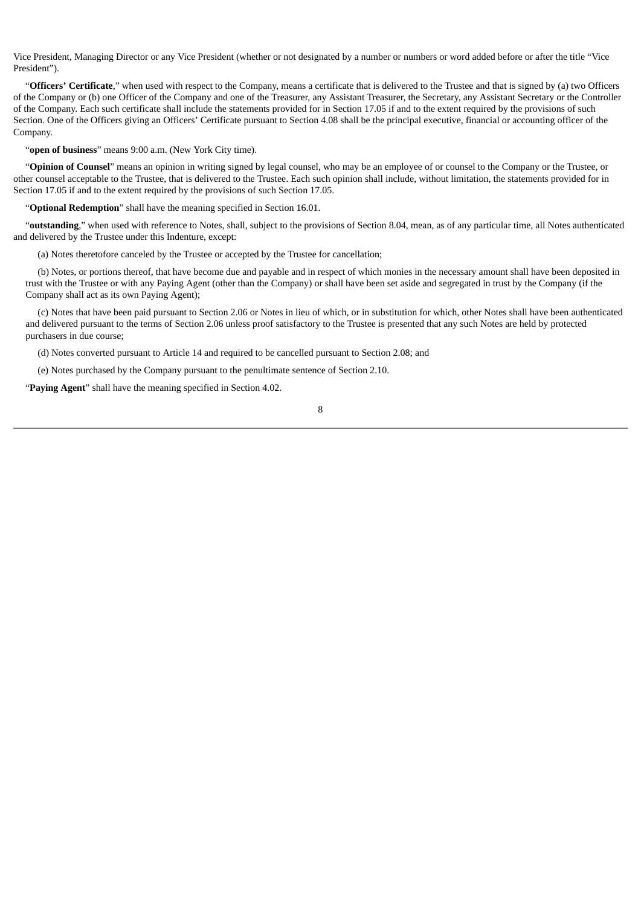Vice President, Managing Director or any Vice President (whether or not designated by a number or numbers or word added before or after the title "Vice President").

"**Officers' Certificate**," when used with respect to the Company, means a certificate that is delivered to the Trustee and that is signed by (a) two Officers of the Company or (b) one Officer of the Company and one of the Treasurer, any Assistant Treasurer, the Secretary, any Assistant Secretary or the Controller of the Company. Each such certificate shall include the statements provided for in Section 17.05 if and to the extent required by the provisions of such Section. One of the Officers giving an Officers' Certificate pursuant to Section 4.08 shall be the principal executive, financial or accounting officer of the Company.

"**open of business**" means 9:00 a.m. (New York City time).

"**Opinion of Counsel**" means an opinion in writing signed by legal counsel, who may be an employee of or counsel to the Company or the Trustee, or other counsel acceptable to the Trustee, that is delivered to the Trustee. Each such opinion shall include, without limitation, the statements provided for in Section 17.05 if and to the extent required by the provisions of such Section 17.05.

"**Optional Redemption**" shall have the meaning specified in Section 16.01.

"**outstanding**," when used with reference to Notes, shall, subject to the provisions of Section 8.04, mean, as of any particular time, all Notes authenticated and delivered by the Trustee under this Indenture, except:

(a) Notes theretofore canceled by the Trustee or accepted by the Trustee for cancellation;

(b) Notes, or portions thereof, that have become due and payable and in respect of which monies in the necessary amount shall have been deposited in trust with the Trustee or with any Paying Agent (other than the Company) or shall have been set aside and segregated in trust by the Company (if the Company shall act as its own Paying Agent);

(c) Notes that have been paid pursuant to Section 2.06 or Notes in lieu of which, or in substitution for which, other Notes shall have been authenticated and delivered pursuant to the terms of Section 2.06 unless proof satisfactory to the Trustee is presented that any such Notes are held by protected purchasers in due course;

(d) Notes converted pursuant to Article 14 and required to be cancelled pursuant to Section 2.08; and

(e) Notes purchased by the Company pursuant to the penultimate sentence of Section 2.10.

"**Paying Agent**" shall have the meaning specified in Section 4.02.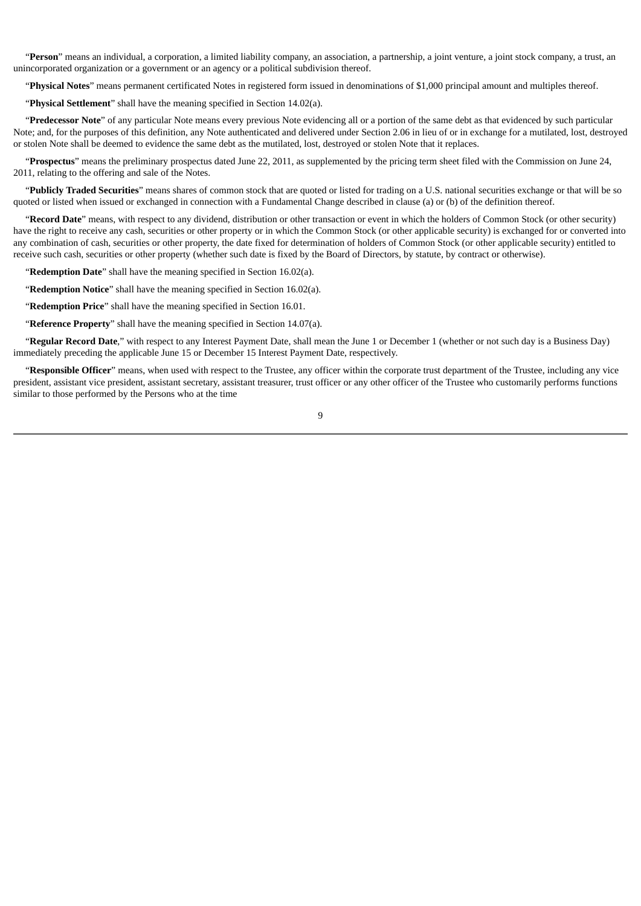"**Person**" means an individual, a corporation, a limited liability company, an association, a partnership, a joint venture, a joint stock company, a trust, an unincorporated organization or a government or an agency or a political subdivision thereof.

"**Physical Notes**" means permanent certificated Notes in registered form issued in denominations of \$1,000 principal amount and multiples thereof.

"**Physical Settlement**" shall have the meaning specified in Section 14.02(a).

"**Predecessor Note**" of any particular Note means every previous Note evidencing all or a portion of the same debt as that evidenced by such particular Note; and, for the purposes of this definition, any Note authenticated and delivered under Section 2.06 in lieu of or in exchange for a mutilated, lost, destroyed or stolen Note shall be deemed to evidence the same debt as the mutilated, lost, destroyed or stolen Note that it replaces.

"**Prospectus**" means the preliminary prospectus dated June 22, 2011, as supplemented by the pricing term sheet filed with the Commission on June 24, 2011, relating to the offering and sale of the Notes.

"**Publicly Traded Securities**" means shares of common stock that are quoted or listed for trading on a U.S. national securities exchange or that will be so quoted or listed when issued or exchanged in connection with a Fundamental Change described in clause (a) or (b) of the definition thereof.

"**Record Date**" means, with respect to any dividend, distribution or other transaction or event in which the holders of Common Stock (or other security) have the right to receive any cash, securities or other property or in which the Common Stock (or other applicable security) is exchanged for or converted into any combination of cash, securities or other property, the date fixed for determination of holders of Common Stock (or other applicable security) entitled to receive such cash, securities or other property (whether such date is fixed by the Board of Directors, by statute, by contract or otherwise).

"**Redemption Date**" shall have the meaning specified in Section 16.02(a).

"**Redemption Notice**" shall have the meaning specified in Section 16.02(a).

"**Redemption Price**" shall have the meaning specified in Section 16.01.

"**Reference Property**" shall have the meaning specified in Section 14.07(a).

"**Regular Record Date**," with respect to any Interest Payment Date, shall mean the June 1 or December 1 (whether or not such day is a Business Day) immediately preceding the applicable June 15 or December 15 Interest Payment Date, respectively.

"**Responsible Officer**" means, when used with respect to the Trustee, any officer within the corporate trust department of the Trustee, including any vice president, assistant vice president, assistant secretary, assistant treasurer, trust officer or any other officer of the Trustee who customarily performs functions similar to those performed by the Persons who at the time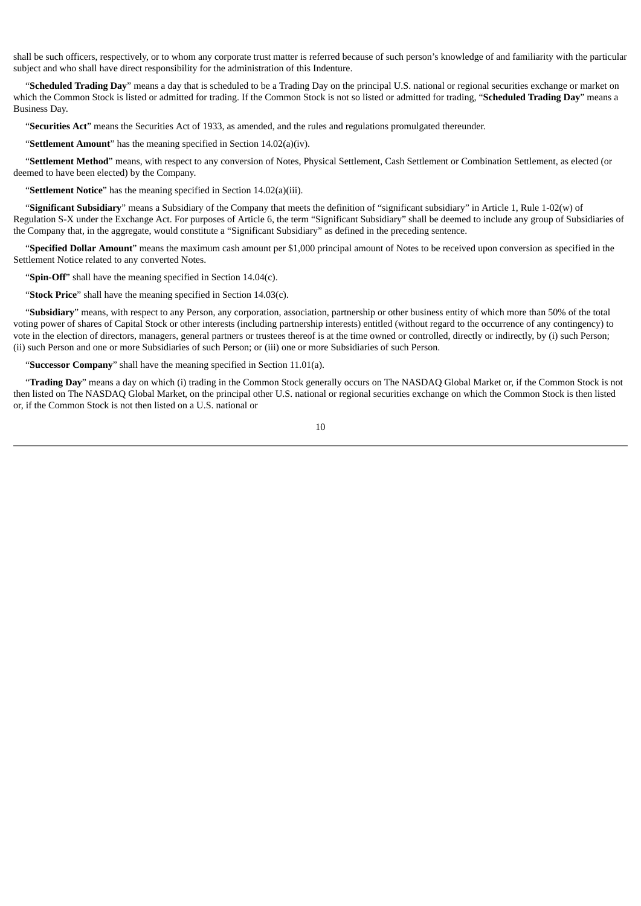shall be such officers, respectively, or to whom any corporate trust matter is referred because of such person's knowledge of and familiarity with the particular subject and who shall have direct responsibility for the administration of this Indenture.

"**Scheduled Trading Day**" means a day that is scheduled to be a Trading Day on the principal U.S. national or regional securities exchange or market on which the Common Stock is listed or admitted for trading. If the Common Stock is not so listed or admitted for trading, "**Scheduled Trading Day**" means a Business Day.

"**Securities Act**" means the Securities Act of 1933, as amended, and the rules and regulations promulgated thereunder.

"**Settlement Amount**" has the meaning specified in Section 14.02(a)(iv).

"**Settlement Method**" means, with respect to any conversion of Notes, Physical Settlement, Cash Settlement or Combination Settlement, as elected (or deemed to have been elected) by the Company.

"**Settlement Notice**" has the meaning specified in Section 14.02(a)(iii).

"**Significant Subsidiary**" means a Subsidiary of the Company that meets the definition of "significant subsidiary" in Article 1, Rule 1-02(w) of Regulation S-X under the Exchange Act. For purposes of Article 6, the term "Significant Subsidiary" shall be deemed to include any group of Subsidiaries of the Company that, in the aggregate, would constitute a "Significant Subsidiary" as defined in the preceding sentence.

"**Specified Dollar Amount**" means the maximum cash amount per \$1,000 principal amount of Notes to be received upon conversion as specified in the Settlement Notice related to any converted Notes.

"**Spin-Off**" shall have the meaning specified in Section 14.04(c).

"**Stock Price**" shall have the meaning specified in Section 14.03(c).

"**Subsidiary**" means, with respect to any Person, any corporation, association, partnership or other business entity of which more than 50% of the total voting power of shares of Capital Stock or other interests (including partnership interests) entitled (without regard to the occurrence of any contingency) to vote in the election of directors, managers, general partners or trustees thereof is at the time owned or controlled, directly or indirectly, by (i) such Person; (ii) such Person and one or more Subsidiaries of such Person; or (iii) one or more Subsidiaries of such Person.

"**Successor Company**" shall have the meaning specified in Section 11.01(a).

"**Trading Day**" means a day on which (i) trading in the Common Stock generally occurs on The NASDAQ Global Market or, if the Common Stock is not then listed on The NASDAQ Global Market, on the principal other U.S. national or regional securities exchange on which the Common Stock is then listed or, if the Common Stock is not then listed on a U.S. national or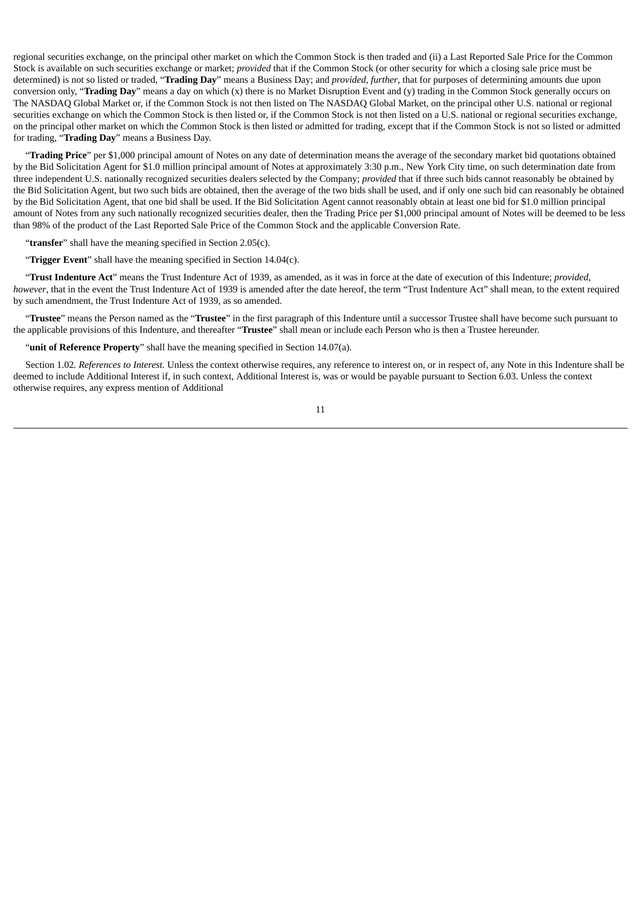regional securities exchange, on the principal other market on which the Common Stock is then traded and (ii) a Last Reported Sale Price for the Common Stock is available on such securities exchange or market; *provided* that if the Common Stock (or other security for which a closing sale price must be determined) is not so listed or traded, "**Trading Day**" means a Business Day; and *provided*, *further*, that for purposes of determining amounts due upon conversion only, "**Trading Day**" means a day on which (x) there is no Market Disruption Event and (y) trading in the Common Stock generally occurs on The NASDAQ Global Market or, if the Common Stock is not then listed on The NASDAQ Global Market, on the principal other U.S. national or regional securities exchange on which the Common Stock is then listed or, if the Common Stock is not then listed on a U.S. national or regional securities exchange, on the principal other market on which the Common Stock is then listed or admitted for trading, except that if the Common Stock is not so listed or admitted for trading, "**Trading Day**" means a Business Day.

"**Trading Price**" per \$1,000 principal amount of Notes on any date of determination means the average of the secondary market bid quotations obtained by the Bid Solicitation Agent for \$1.0 million principal amount of Notes at approximately 3:30 p.m., New York City time, on such determination date from three independent U.S. nationally recognized securities dealers selected by the Company; *provided* that if three such bids cannot reasonably be obtained by the Bid Solicitation Agent, but two such bids are obtained, then the average of the two bids shall be used, and if only one such bid can reasonably be obtained by the Bid Solicitation Agent, that one bid shall be used. If the Bid Solicitation Agent cannot reasonably obtain at least one bid for \$1.0 million principal amount of Notes from any such nationally recognized securities dealer, then the Trading Price per \$1,000 principal amount of Notes will be deemed to be less than 98% of the product of the Last Reported Sale Price of the Common Stock and the applicable Conversion Rate.

"**transfer**" shall have the meaning specified in Section 2.05(c).

"**Trigger Event**" shall have the meaning specified in Section 14.04(c).

"**Trust Indenture Act**" means the Trust Indenture Act of 1939, as amended, as it was in force at the date of execution of this Indenture; *provided*, *however*, that in the event the Trust Indenture Act of 1939 is amended after the date hereof, the term "Trust Indenture Act" shall mean, to the extent required by such amendment, the Trust Indenture Act of 1939, as so amended.

"**Trustee**" means the Person named as the "**Trustee**" in the first paragraph of this Indenture until a successor Trustee shall have become such pursuant to the applicable provisions of this Indenture, and thereafter "**Trustee**" shall mean or include each Person who is then a Trustee hereunder.

"**unit of Reference Property**" shall have the meaning specified in Section 14.07(a).

Section 1.02*. References to Interest.* Unless the context otherwise requires, any reference to interest on, or in respect of, any Note in this Indenture shall be deemed to include Additional Interest if, in such context, Additional Interest is, was or would be payable pursuant to Section 6.03. Unless the context otherwise requires, any express mention of Additional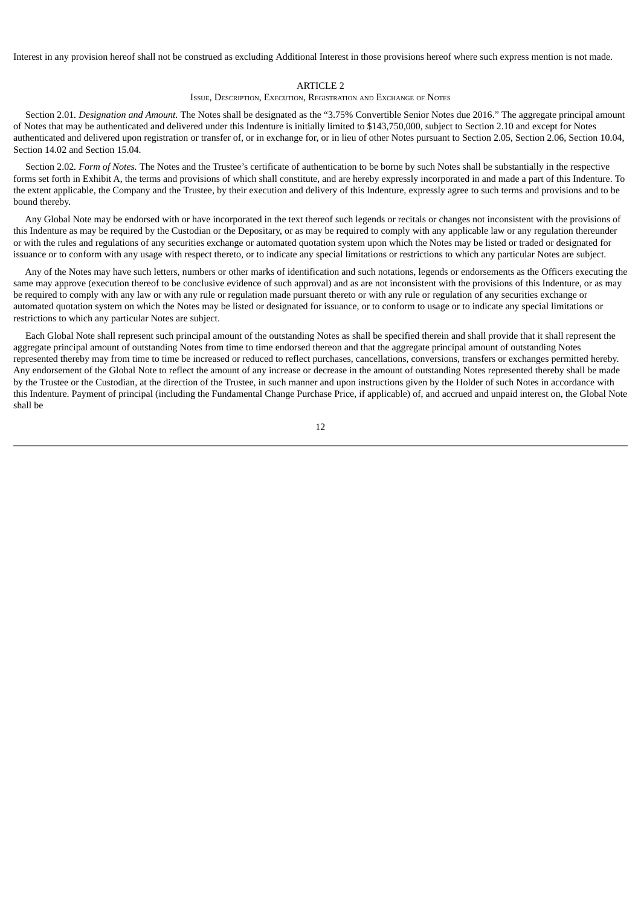Interest in any provision hereof shall not be construed as excluding Additional Interest in those provisions hereof where such express mention is not made.

#### ARTICLE 2

#### ISSUE, DESCRIPTION, EXECUTION, REGISTRATION AND EXCHANGE OF NOTES

Section 2.01*. Designation and Amount.* The Notes shall be designated as the "3.75% Convertible Senior Notes due 2016." The aggregate principal amount of Notes that may be authenticated and delivered under this Indenture is initially limited to \$143,750,000, subject to Section 2.10 and except for Notes authenticated and delivered upon registration or transfer of, or in exchange for, or in lieu of other Notes pursuant to Section 2.05, Section 2.06, Section 10.04, Section 14.02 and Section 15.04.

Section 2.02*. Form of Notes.* The Notes and the Trustee's certificate of authentication to be borne by such Notes shall be substantially in the respective forms set forth in Exhibit A, the terms and provisions of which shall constitute, and are hereby expressly incorporated in and made a part of this Indenture. To the extent applicable, the Company and the Trustee, by their execution and delivery of this Indenture, expressly agree to such terms and provisions and to be bound thereby.

Any Global Note may be endorsed with or have incorporated in the text thereof such legends or recitals or changes not inconsistent with the provisions of this Indenture as may be required by the Custodian or the Depositary, or as may be required to comply with any applicable law or any regulation thereunder or with the rules and regulations of any securities exchange or automated quotation system upon which the Notes may be listed or traded or designated for issuance or to conform with any usage with respect thereto, or to indicate any special limitations or restrictions to which any particular Notes are subject.

Any of the Notes may have such letters, numbers or other marks of identification and such notations, legends or endorsements as the Officers executing the same may approve (execution thereof to be conclusive evidence of such approval) and as are not inconsistent with the provisions of this Indenture, or as may be required to comply with any law or with any rule or regulation made pursuant thereto or with any rule or regulation of any securities exchange or automated quotation system on which the Notes may be listed or designated for issuance, or to conform to usage or to indicate any special limitations or restrictions to which any particular Notes are subject.

Each Global Note shall represent such principal amount of the outstanding Notes as shall be specified therein and shall provide that it shall represent the aggregate principal amount of outstanding Notes from time to time endorsed thereon and that the aggregate principal amount of outstanding Notes represented thereby may from time to time be increased or reduced to reflect purchases, cancellations, conversions, transfers or exchanges permitted hereby. Any endorsement of the Global Note to reflect the amount of any increase or decrease in the amount of outstanding Notes represented thereby shall be made by the Trustee or the Custodian, at the direction of the Trustee, in such manner and upon instructions given by the Holder of such Notes in accordance with this Indenture. Payment of principal (including the Fundamental Change Purchase Price, if applicable) of, and accrued and unpaid interest on, the Global Note shall be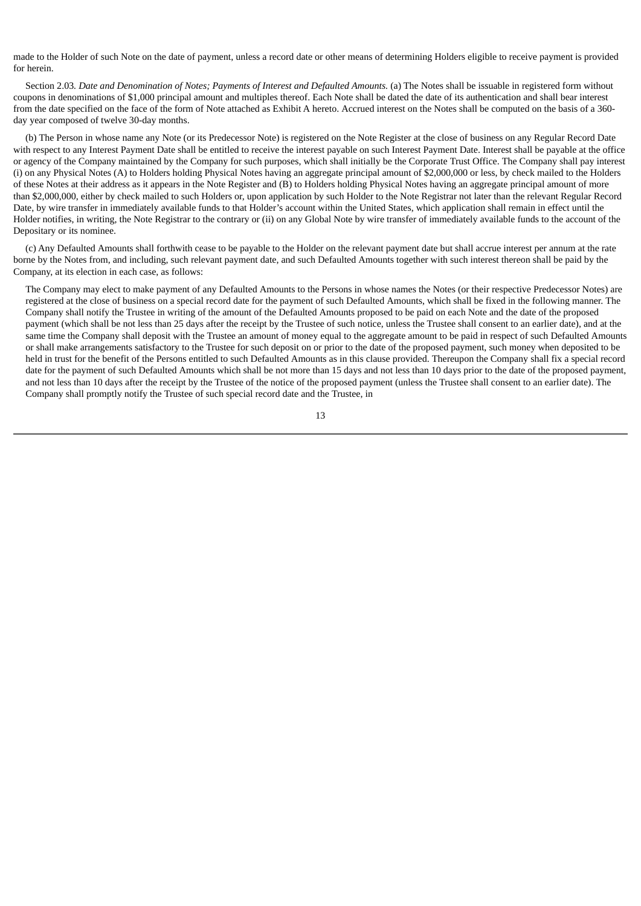made to the Holder of such Note on the date of payment, unless a record date or other means of determining Holders eligible to receive payment is provided for herein.

Section 2.03. Date and Denomination of Notes: Payments of Interest and Defaulted Amounts. (a) The Notes shall be issuable in registered form without coupons in denominations of \$1,000 principal amount and multiples thereof. Each Note shall be dated the date of its authentication and shall bear interest from the date specified on the face of the form of Note attached as Exhibit A hereto. Accrued interest on the Notes shall be computed on the basis of a 360 day year composed of twelve 30-day months.

(b) The Person in whose name any Note (or its Predecessor Note) is registered on the Note Register at the close of business on any Regular Record Date with respect to any Interest Payment Date shall be entitled to receive the interest payable on such Interest Payment Date. Interest shall be payable at the office or agency of the Company maintained by the Company for such purposes, which shall initially be the Corporate Trust Office. The Company shall pay interest (i) on any Physical Notes (A) to Holders holding Physical Notes having an aggregate principal amount of \$2,000,000 or less, by check mailed to the Holders of these Notes at their address as it appears in the Note Register and (B) to Holders holding Physical Notes having an aggregate principal amount of more than \$2,000,000, either by check mailed to such Holders or, upon application by such Holder to the Note Registrar not later than the relevant Regular Record Date, by wire transfer in immediately available funds to that Holder's account within the United States, which application shall remain in effect until the Holder notifies, in writing, the Note Registrar to the contrary or (ii) on any Global Note by wire transfer of immediately available funds to the account of the Depositary or its nominee.

(c) Any Defaulted Amounts shall forthwith cease to be payable to the Holder on the relevant payment date but shall accrue interest per annum at the rate borne by the Notes from, and including, such relevant payment date, and such Defaulted Amounts together with such interest thereon shall be paid by the Company, at its election in each case, as follows:

The Company may elect to make payment of any Defaulted Amounts to the Persons in whose names the Notes (or their respective Predecessor Notes) are registered at the close of business on a special record date for the payment of such Defaulted Amounts, which shall be fixed in the following manner. The Company shall notify the Trustee in writing of the amount of the Defaulted Amounts proposed to be paid on each Note and the date of the proposed payment (which shall be not less than 25 days after the receipt by the Trustee of such notice, unless the Trustee shall consent to an earlier date), and at the same time the Company shall deposit with the Trustee an amount of money equal to the aggregate amount to be paid in respect of such Defaulted Amounts or shall make arrangements satisfactory to the Trustee for such deposit on or prior to the date of the proposed payment, such money when deposited to be held in trust for the benefit of the Persons entitled to such Defaulted Amounts as in this clause provided. Thereupon the Company shall fix a special record date for the payment of such Defaulted Amounts which shall be not more than 15 days and not less than 10 days prior to the date of the proposed payment, and not less than 10 days after the receipt by the Trustee of the notice of the proposed payment (unless the Trustee shall consent to an earlier date). The Company shall promptly notify the Trustee of such special record date and the Trustee, in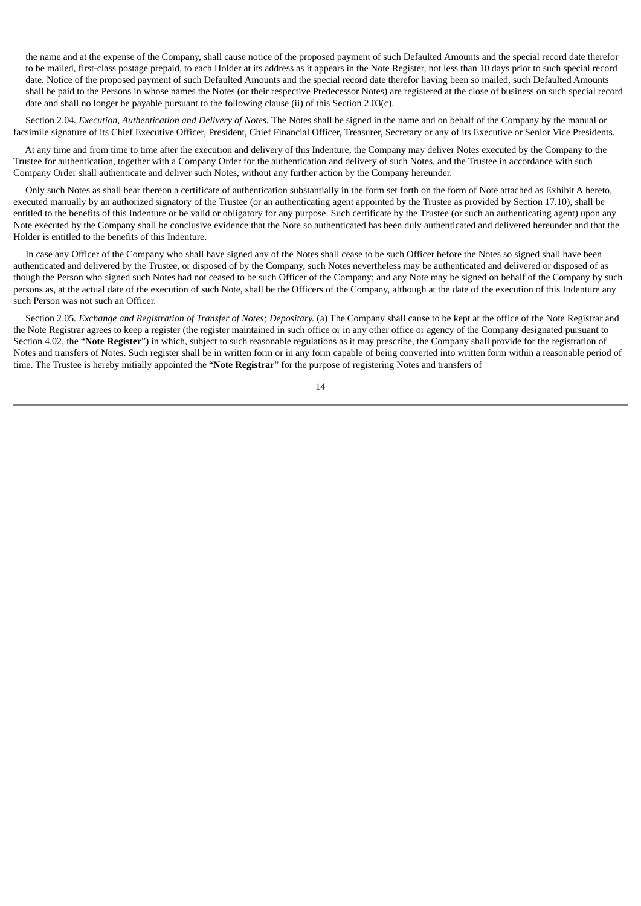the name and at the expense of the Company, shall cause notice of the proposed payment of such Defaulted Amounts and the special record date therefor to be mailed, first-class postage prepaid, to each Holder at its address as it appears in the Note Register, not less than 10 days prior to such special record date. Notice of the proposed payment of such Defaulted Amounts and the special record date therefor having been so mailed, such Defaulted Amounts shall be paid to the Persons in whose names the Notes (or their respective Predecessor Notes) are registered at the close of business on such special record date and shall no longer be payable pursuant to the following clause (ii) of this Section 2.03(c).

Section 2.04*. Execution, Authentication and Delivery of Notes.* The Notes shall be signed in the name and on behalf of the Company by the manual or facsimile signature of its Chief Executive Officer, President, Chief Financial Officer, Treasurer, Secretary or any of its Executive or Senior Vice Presidents.

At any time and from time to time after the execution and delivery of this Indenture, the Company may deliver Notes executed by the Company to the Trustee for authentication, together with a Company Order for the authentication and delivery of such Notes, and the Trustee in accordance with such Company Order shall authenticate and deliver such Notes, without any further action by the Company hereunder.

Only such Notes as shall bear thereon a certificate of authentication substantially in the form set forth on the form of Note attached as Exhibit A hereto, executed manually by an authorized signatory of the Trustee (or an authenticating agent appointed by the Trustee as provided by Section 17.10), shall be entitled to the benefits of this Indenture or be valid or obligatory for any purpose. Such certificate by the Trustee (or such an authenticating agent) upon any Note executed by the Company shall be conclusive evidence that the Note so authenticated has been duly authenticated and delivered hereunder and that the Holder is entitled to the benefits of this Indenture.

In case any Officer of the Company who shall have signed any of the Notes shall cease to be such Officer before the Notes so signed shall have been authenticated and delivered by the Trustee, or disposed of by the Company, such Notes nevertheless may be authenticated and delivered or disposed of as though the Person who signed such Notes had not ceased to be such Officer of the Company; and any Note may be signed on behalf of the Company by such persons as, at the actual date of the execution of such Note, shall be the Officers of the Company, although at the date of the execution of this Indenture any such Person was not such an Officer.

Section 2.05*. Exchange and Registration of Transfer of Notes; Depositary.* (a) The Company shall cause to be kept at the office of the Note Registrar and the Note Registrar agrees to keep a register (the register maintained in such office or in any other office or agency of the Company designated pursuant to Section 4.02, the "**Note Register**") in which, subject to such reasonable regulations as it may prescribe, the Company shall provide for the registration of Notes and transfers of Notes. Such register shall be in written form or in any form capable of being converted into written form within a reasonable period of time. The Trustee is hereby initially appointed the "**Note Registrar**" for the purpose of registering Notes and transfers of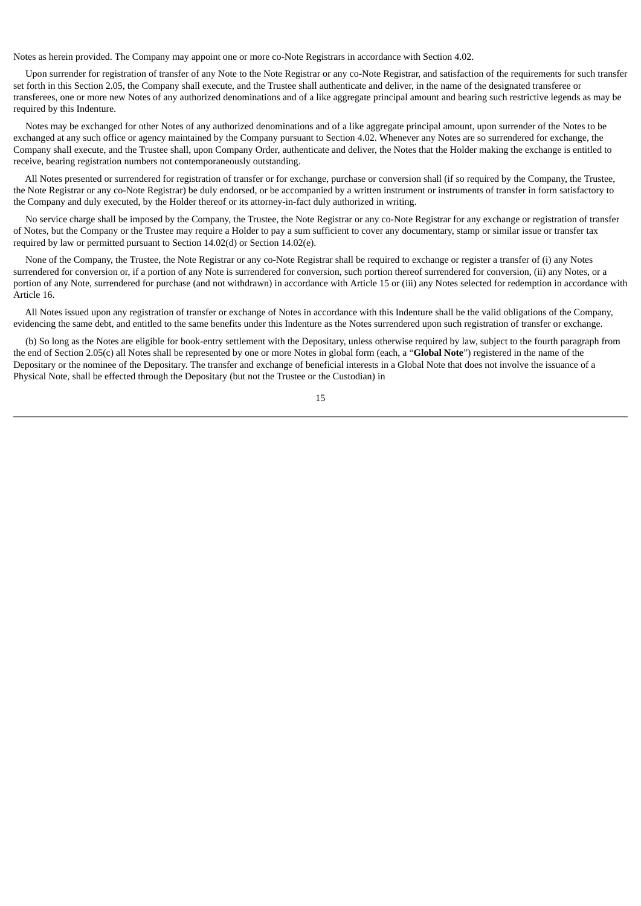Notes as herein provided. The Company may appoint one or more co-Note Registrars in accordance with Section 4.02.

Upon surrender for registration of transfer of any Note to the Note Registrar or any co-Note Registrar, and satisfaction of the requirements for such transfer set forth in this Section 2.05, the Company shall execute, and the Trustee shall authenticate and deliver, in the name of the designated transferee or transferees, one or more new Notes of any authorized denominations and of a like aggregate principal amount and bearing such restrictive legends as may be required by this Indenture.

Notes may be exchanged for other Notes of any authorized denominations and of a like aggregate principal amount, upon surrender of the Notes to be exchanged at any such office or agency maintained by the Company pursuant to Section 4.02. Whenever any Notes are so surrendered for exchange, the Company shall execute, and the Trustee shall, upon Company Order, authenticate and deliver, the Notes that the Holder making the exchange is entitled to receive, bearing registration numbers not contemporaneously outstanding.

All Notes presented or surrendered for registration of transfer or for exchange, purchase or conversion shall (if so required by the Company, the Trustee, the Note Registrar or any co-Note Registrar) be duly endorsed, or be accompanied by a written instrument or instruments of transfer in form satisfactory to the Company and duly executed, by the Holder thereof or its attorney-in-fact duly authorized in writing.

No service charge shall be imposed by the Company, the Trustee, the Note Registrar or any co-Note Registrar for any exchange or registration of transfer of Notes, but the Company or the Trustee may require a Holder to pay a sum sufficient to cover any documentary, stamp or similar issue or transfer tax required by law or permitted pursuant to Section 14.02(d) or Section 14.02(e).

None of the Company, the Trustee, the Note Registrar or any co-Note Registrar shall be required to exchange or register a transfer of (i) any Notes surrendered for conversion or, if a portion of any Note is surrendered for conversion, such portion thereof surrendered for conversion, (ii) any Notes, or a portion of any Note, surrendered for purchase (and not withdrawn) in accordance with Article 15 or (iii) any Notes selected for redemption in accordance with Article 16.

All Notes issued upon any registration of transfer or exchange of Notes in accordance with this Indenture shall be the valid obligations of the Company, evidencing the same debt, and entitled to the same benefits under this Indenture as the Notes surrendered upon such registration of transfer or exchange.

(b) So long as the Notes are eligible for book-entry settlement with the Depositary, unless otherwise required by law, subject to the fourth paragraph from the end of Section 2.05(c) all Notes shall be represented by one or more Notes in global form (each, a "**Global Note**") registered in the name of the Depositary or the nominee of the Depositary. The transfer and exchange of beneficial interests in a Global Note that does not involve the issuance of a Physical Note, shall be effected through the Depositary (but not the Trustee or the Custodian) in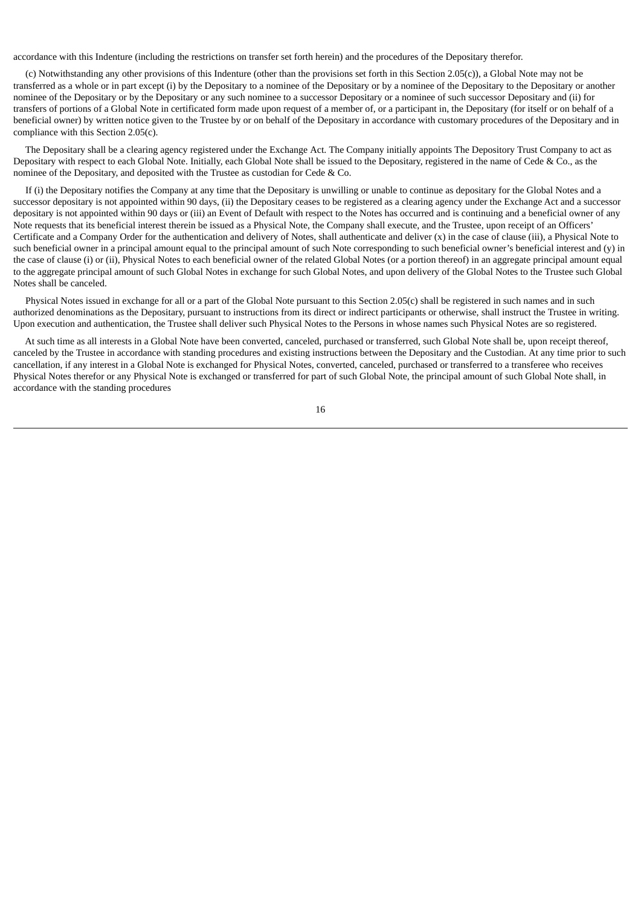accordance with this Indenture (including the restrictions on transfer set forth herein) and the procedures of the Depositary therefor.

(c) Notwithstanding any other provisions of this Indenture (other than the provisions set forth in this Section 2.05(c)), a Global Note may not be transferred as a whole or in part except (i) by the Depositary to a nominee of the Depositary or by a nominee of the Depositary to the Depositary or another nominee of the Depositary or by the Depositary or any such nominee to a successor Depositary or a nominee of such successor Depositary and (ii) for transfers of portions of a Global Note in certificated form made upon request of a member of, or a participant in, the Depositary (for itself or on behalf of a beneficial owner) by written notice given to the Trustee by or on behalf of the Depositary in accordance with customary procedures of the Depositary and in compliance with this Section 2.05(c).

The Depositary shall be a clearing agency registered under the Exchange Act. The Company initially appoints The Depository Trust Company to act as Depositary with respect to each Global Note. Initially, each Global Note shall be issued to the Depositary, registered in the name of Cede & Co., as the nominee of the Depositary, and deposited with the Trustee as custodian for Cede & Co.

If (i) the Depositary notifies the Company at any time that the Depositary is unwilling or unable to continue as depositary for the Global Notes and a successor depositary is not appointed within 90 days, (ii) the Depositary ceases to be registered as a clearing agency under the Exchange Act and a successor depositary is not appointed within 90 days or (iii) an Event of Default with respect to the Notes has occurred and is continuing and a beneficial owner of any Note requests that its beneficial interest therein be issued as a Physical Note, the Company shall execute, and the Trustee, upon receipt of an Officers' Certificate and a Company Order for the authentication and delivery of Notes, shall authenticate and deliver (x) in the case of clause (iii), a Physical Note to such beneficial owner in a principal amount equal to the principal amount of such Note corresponding to such beneficial owner's beneficial interest and (y) in the case of clause (i) or (ii), Physical Notes to each beneficial owner of the related Global Notes (or a portion thereof) in an aggregate principal amount equal to the aggregate principal amount of such Global Notes in exchange for such Global Notes, and upon delivery of the Global Notes to the Trustee such Global Notes shall be canceled.

Physical Notes issued in exchange for all or a part of the Global Note pursuant to this Section 2.05(c) shall be registered in such names and in such authorized denominations as the Depositary, pursuant to instructions from its direct or indirect participants or otherwise, shall instruct the Trustee in writing. Upon execution and authentication, the Trustee shall deliver such Physical Notes to the Persons in whose names such Physical Notes are so registered.

At such time as all interests in a Global Note have been converted, canceled, purchased or transferred, such Global Note shall be, upon receipt thereof, canceled by the Trustee in accordance with standing procedures and existing instructions between the Depositary and the Custodian. At any time prior to such cancellation, if any interest in a Global Note is exchanged for Physical Notes, converted, canceled, purchased or transferred to a transferee who receives Physical Notes therefor or any Physical Note is exchanged or transferred for part of such Global Note, the principal amount of such Global Note shall, in accordance with the standing procedures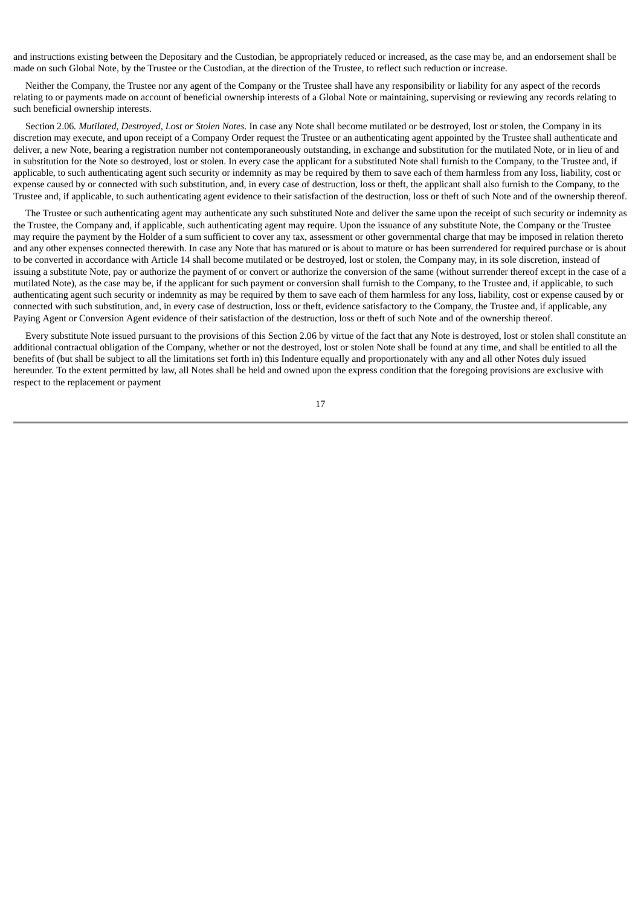and instructions existing between the Depositary and the Custodian, be appropriately reduced or increased, as the case may be, and an endorsement shall be made on such Global Note, by the Trustee or the Custodian, at the direction of the Trustee, to reflect such reduction or increase.

Neither the Company, the Trustee nor any agent of the Company or the Trustee shall have any responsibility or liability for any aspect of the records relating to or payments made on account of beneficial ownership interests of a Global Note or maintaining, supervising or reviewing any records relating to such beneficial ownership interests.

Section 2.06*. Mutilated, Destroyed, Lost or Stolen Notes.* In case any Note shall become mutilated or be destroyed, lost or stolen, the Company in its discretion may execute, and upon receipt of a Company Order request the Trustee or an authenticating agent appointed by the Trustee shall authenticate and deliver, a new Note, bearing a registration number not contemporaneously outstanding, in exchange and substitution for the mutilated Note, or in lieu of and in substitution for the Note so destroyed, lost or stolen. In every case the applicant for a substituted Note shall furnish to the Company, to the Trustee and, if applicable, to such authenticating agent such security or indemnity as may be required by them to save each of them harmless from any loss, liability, cost or expense caused by or connected with such substitution, and, in every case of destruction, loss or theft, the applicant shall also furnish to the Company, to the Trustee and, if applicable, to such authenticating agent evidence to their satisfaction of the destruction, loss or theft of such Note and of the ownership thereof.

The Trustee or such authenticating agent may authenticate any such substituted Note and deliver the same upon the receipt of such security or indemnity as the Trustee, the Company and, if applicable, such authenticating agent may require. Upon the issuance of any substitute Note, the Company or the Trustee may require the payment by the Holder of a sum sufficient to cover any tax, assessment or other governmental charge that may be imposed in relation thereto and any other expenses connected therewith. In case any Note that has matured or is about to mature or has been surrendered for required purchase or is about to be converted in accordance with Article 14 shall become mutilated or be destroyed, lost or stolen, the Company may, in its sole discretion, instead of issuing a substitute Note, pay or authorize the payment of or convert or authorize the conversion of the same (without surrender thereof except in the case of a mutilated Note), as the case may be, if the applicant for such payment or conversion shall furnish to the Company, to the Trustee and, if applicable, to such authenticating agent such security or indemnity as may be required by them to save each of them harmless for any loss, liability, cost or expense caused by or connected with such substitution, and, in every case of destruction, loss or theft, evidence satisfactory to the Company, the Trustee and, if applicable, any Paying Agent or Conversion Agent evidence of their satisfaction of the destruction, loss or theft of such Note and of the ownership thereof.

Every substitute Note issued pursuant to the provisions of this Section 2.06 by virtue of the fact that any Note is destroyed, lost or stolen shall constitute an additional contractual obligation of the Company, whether or not the destroyed, lost or stolen Note shall be found at any time, and shall be entitled to all the benefits of (but shall be subject to all the limitations set forth in) this Indenture equally and proportionately with any and all other Notes duly issued hereunder. To the extent permitted by law, all Notes shall be held and owned upon the express condition that the foregoing provisions are exclusive with respect to the replacement or payment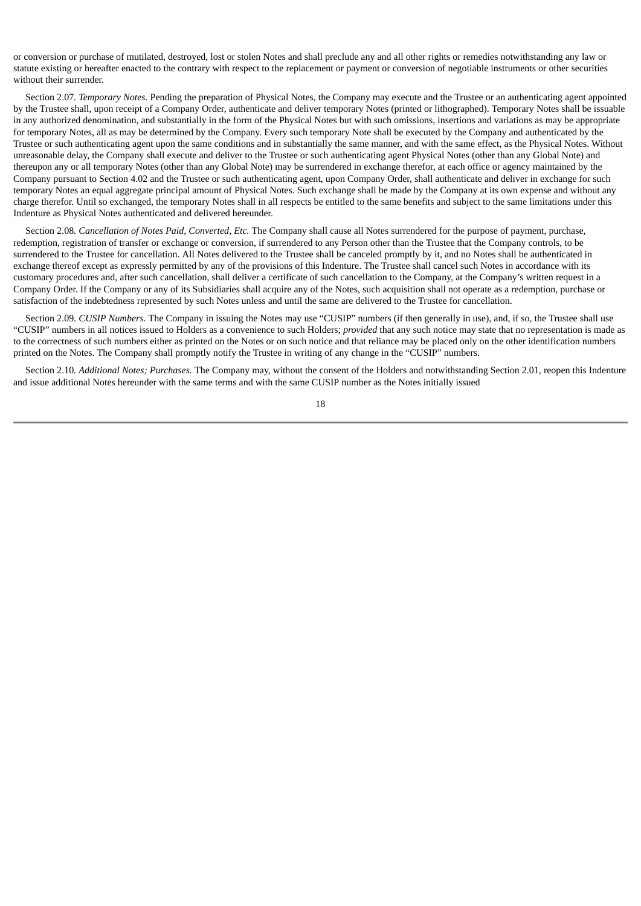or conversion or purchase of mutilated, destroyed, lost or stolen Notes and shall preclude any and all other rights or remedies notwithstanding any law or statute existing or hereafter enacted to the contrary with respect to the replacement or payment or conversion of negotiable instruments or other securities without their surrender.

Section 2.07*. Temporary Notes.* Pending the preparation of Physical Notes, the Company may execute and the Trustee or an authenticating agent appointed by the Trustee shall, upon receipt of a Company Order, authenticate and deliver temporary Notes (printed or lithographed). Temporary Notes shall be issuable in any authorized denomination, and substantially in the form of the Physical Notes but with such omissions, insertions and variations as may be appropriate for temporary Notes, all as may be determined by the Company. Every such temporary Note shall be executed by the Company and authenticated by the Trustee or such authenticating agent upon the same conditions and in substantially the same manner, and with the same effect, as the Physical Notes. Without unreasonable delay, the Company shall execute and deliver to the Trustee or such authenticating agent Physical Notes (other than any Global Note) and thereupon any or all temporary Notes (other than any Global Note) may be surrendered in exchange therefor, at each office or agency maintained by the Company pursuant to Section 4.02 and the Trustee or such authenticating agent, upon Company Order, shall authenticate and deliver in exchange for such temporary Notes an equal aggregate principal amount of Physical Notes. Such exchange shall be made by the Company at its own expense and without any charge therefor. Until so exchanged, the temporary Notes shall in all respects be entitled to the same benefits and subject to the same limitations under this Indenture as Physical Notes authenticated and delivered hereunder.

Section 2.08*. Cancellation of Notes Paid, Converted, Etc.* The Company shall cause all Notes surrendered for the purpose of payment, purchase, redemption, registration of transfer or exchange or conversion, if surrendered to any Person other than the Trustee that the Company controls, to be surrendered to the Trustee for cancellation. All Notes delivered to the Trustee shall be canceled promptly by it, and no Notes shall be authenticated in exchange thereof except as expressly permitted by any of the provisions of this Indenture. The Trustee shall cancel such Notes in accordance with its customary procedures and, after such cancellation, shall deliver a certificate of such cancellation to the Company, at the Company's written request in a Company Order. If the Company or any of its Subsidiaries shall acquire any of the Notes, such acquisition shall not operate as a redemption, purchase or satisfaction of the indebtedness represented by such Notes unless and until the same are delivered to the Trustee for cancellation.

Section 2.09*. CUSIP Numbers.* The Company in issuing the Notes may use "CUSIP" numbers (if then generally in use), and, if so, the Trustee shall use "CUSIP" numbers in all notices issued to Holders as a convenience to such Holders; *provided* that any such notice may state that no representation is made as to the correctness of such numbers either as printed on the Notes or on such notice and that reliance may be placed only on the other identification numbers printed on the Notes. The Company shall promptly notify the Trustee in writing of any change in the "CUSIP" numbers.

Section 2.10*. Additional Notes; Purchases.* The Company may, without the consent of the Holders and notwithstanding Section 2.01, reopen this Indenture and issue additional Notes hereunder with the same terms and with the same CUSIP number as the Notes initially issued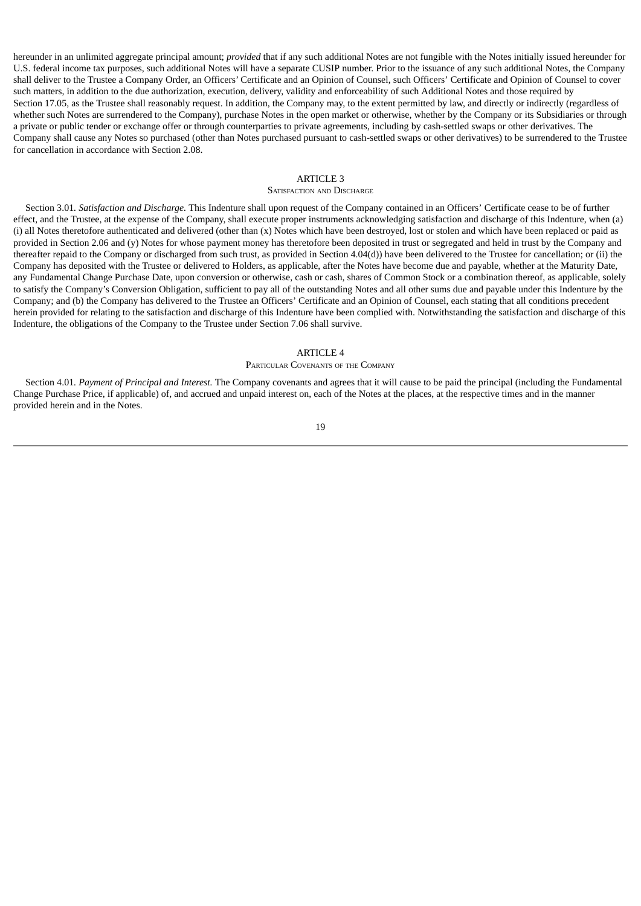hereunder in an unlimited aggregate principal amount; *provided* that if any such additional Notes are not fungible with the Notes initially issued hereunder for U.S. federal income tax purposes, such additional Notes will have a separate CUSIP number. Prior to the issuance of any such additional Notes, the Company shall deliver to the Trustee a Company Order, an Officers' Certificate and an Opinion of Counsel, such Officers' Certificate and Opinion of Counsel to cover such matters, in addition to the due authorization, execution, delivery, validity and enforceability of such Additional Notes and those required by Section 17.05, as the Trustee shall reasonably request. In addition, the Company may, to the extent permitted by law, and directly or indirectly (regardless of whether such Notes are surrendered to the Company), purchase Notes in the open market or otherwise, whether by the Company or its Subsidiaries or through a private or public tender or exchange offer or through counterparties to private agreements, including by cash-settled swaps or other derivatives. The Company shall cause any Notes so purchased (other than Notes purchased pursuant to cash-settled swaps or other derivatives) to be surrendered to the Trustee for cancellation in accordance with Section 2.08.

### ARTICLE 3

#### SATISFACTION AND DISCHARGE

Section 3.01*. Satisfaction and Discharge.* This Indenture shall upon request of the Company contained in an Officers' Certificate cease to be of further effect, and the Trustee, at the expense of the Company, shall execute proper instruments acknowledging satisfaction and discharge of this Indenture, when (a) (i) all Notes theretofore authenticated and delivered (other than (x) Notes which have been destroyed, lost or stolen and which have been replaced or paid as provided in Section 2.06 and (y) Notes for whose payment money has theretofore been deposited in trust or segregated and held in trust by the Company and thereafter repaid to the Company or discharged from such trust, as provided in Section 4.04(d)) have been delivered to the Trustee for cancellation; or (ii) the Company has deposited with the Trustee or delivered to Holders, as applicable, after the Notes have become due and payable, whether at the Maturity Date, any Fundamental Change Purchase Date, upon conversion or otherwise, cash or cash, shares of Common Stock or a combination thereof, as applicable, solely to satisfy the Company's Conversion Obligation, sufficient to pay all of the outstanding Notes and all other sums due and payable under this Indenture by the Company; and (b) the Company has delivered to the Trustee an Officers' Certificate and an Opinion of Counsel, each stating that all conditions precedent herein provided for relating to the satisfaction and discharge of this Indenture have been complied with. Notwithstanding the satisfaction and discharge of this Indenture, the obligations of the Company to the Trustee under Section 7.06 shall survive.

#### ARTICLE 4

#### PARTICULAR COVENANTS OF THE COMPANY

Section 4.01*. Payment of Principal and Interest.* The Company covenants and agrees that it will cause to be paid the principal (including the Fundamental Change Purchase Price, if applicable) of, and accrued and unpaid interest on, each of the Notes at the places, at the respective times and in the manner provided herein and in the Notes.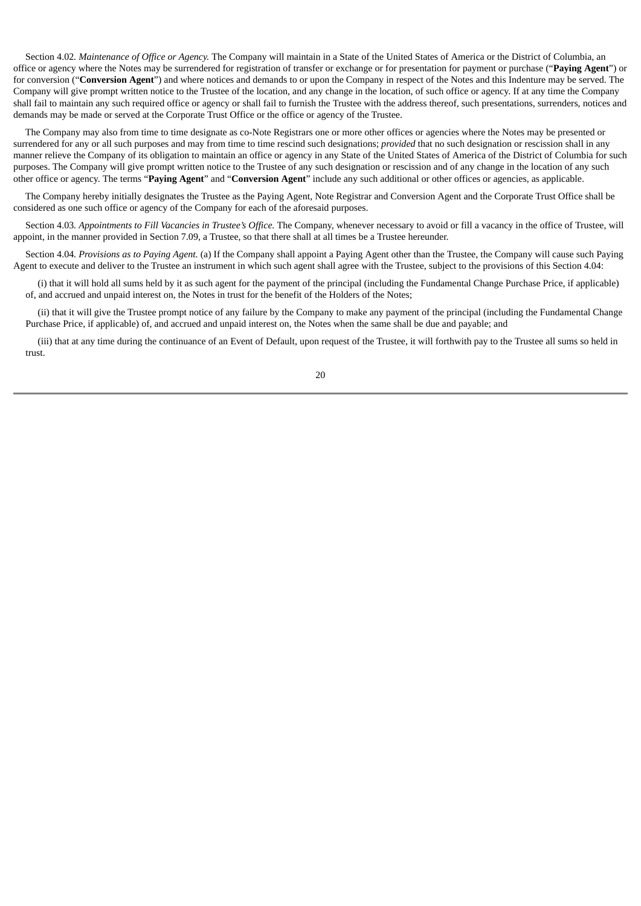Section 4.02*. Maintenance of Office or Agency.* The Company will maintain in a State of the United States of America or the District of Columbia, an office or agency where the Notes may be surrendered for registration of transfer or exchange or for presentation for payment or purchase ("**Paying Agent**") or for conversion ("**Conversion Agent**") and where notices and demands to or upon the Company in respect of the Notes and this Indenture may be served. The Company will give prompt written notice to the Trustee of the location, and any change in the location, of such office or agency. If at any time the Company shall fail to maintain any such required office or agency or shall fail to furnish the Trustee with the address thereof, such presentations, surrenders, notices and demands may be made or served at the Corporate Trust Office or the office or agency of the Trustee.

The Company may also from time to time designate as co-Note Registrars one or more other offices or agencies where the Notes may be presented or surrendered for any or all such purposes and may from time to time rescind such designations; *provided* that no such designation or rescission shall in any manner relieve the Company of its obligation to maintain an office or agency in any State of the United States of America of the District of Columbia for such purposes. The Company will give prompt written notice to the Trustee of any such designation or rescission and of any change in the location of any such other office or agency. The terms "**Paying Agent**" and "**Conversion Agent**" include any such additional or other offices or agencies, as applicable.

The Company hereby initially designates the Trustee as the Paying Agent, Note Registrar and Conversion Agent and the Corporate Trust Office shall be considered as one such office or agency of the Company for each of the aforesaid purposes.

Section 4.03*. Appointments to Fill Vacancies in Trustee's Office.* The Company, whenever necessary to avoid or fill a vacancy in the office of Trustee, will appoint, in the manner provided in Section 7.09, a Trustee, so that there shall at all times be a Trustee hereunder.

Section 4.04*. Provisions as to Paying Agent.* (a) If the Company shall appoint a Paying Agent other than the Trustee, the Company will cause such Paying Agent to execute and deliver to the Trustee an instrument in which such agent shall agree with the Trustee, subject to the provisions of this Section 4.04:

(i) that it will hold all sums held by it as such agent for the payment of the principal (including the Fundamental Change Purchase Price, if applicable) of, and accrued and unpaid interest on, the Notes in trust for the benefit of the Holders of the Notes;

(ii) that it will give the Trustee prompt notice of any failure by the Company to make any payment of the principal (including the Fundamental Change Purchase Price, if applicable) of, and accrued and unpaid interest on, the Notes when the same shall be due and payable; and

(iii) that at any time during the continuance of an Event of Default, upon request of the Trustee, it will forthwith pay to the Trustee all sums so held in trust.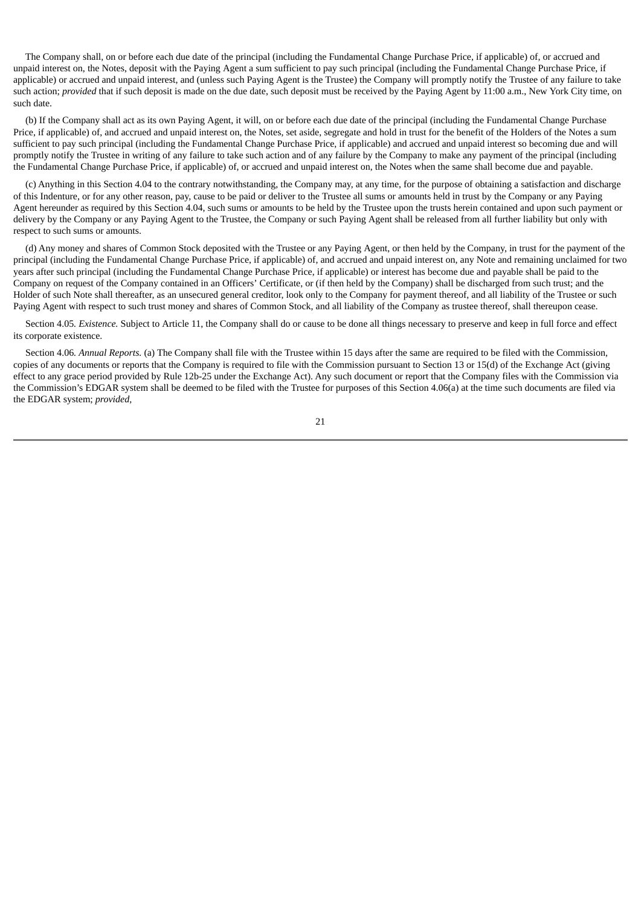The Company shall, on or before each due date of the principal (including the Fundamental Change Purchase Price, if applicable) of, or accrued and unpaid interest on, the Notes, deposit with the Paying Agent a sum sufficient to pay such principal (including the Fundamental Change Purchase Price, if applicable) or accrued and unpaid interest, and (unless such Paying Agent is the Trustee) the Company will promptly notify the Trustee of any failure to take such action; *provided* that if such deposit is made on the due date, such deposit must be received by the Paying Agent by 11:00 a.m., New York City time, on such date.

(b) If the Company shall act as its own Paying Agent, it will, on or before each due date of the principal (including the Fundamental Change Purchase Price, if applicable) of, and accrued and unpaid interest on, the Notes, set aside, segregate and hold in trust for the benefit of the Holders of the Notes a sum sufficient to pay such principal (including the Fundamental Change Purchase Price, if applicable) and accrued and unpaid interest so becoming due and will promptly notify the Trustee in writing of any failure to take such action and of any failure by the Company to make any payment of the principal (including the Fundamental Change Purchase Price, if applicable) of, or accrued and unpaid interest on, the Notes when the same shall become due and payable.

(c) Anything in this Section 4.04 to the contrary notwithstanding, the Company may, at any time, for the purpose of obtaining a satisfaction and discharge of this Indenture, or for any other reason, pay, cause to be paid or deliver to the Trustee all sums or amounts held in trust by the Company or any Paying Agent hereunder as required by this Section 4.04, such sums or amounts to be held by the Trustee upon the trusts herein contained and upon such payment or delivery by the Company or any Paying Agent to the Trustee, the Company or such Paying Agent shall be released from all further liability but only with respect to such sums or amounts.

(d) Any money and shares of Common Stock deposited with the Trustee or any Paying Agent, or then held by the Company, in trust for the payment of the principal (including the Fundamental Change Purchase Price, if applicable) of, and accrued and unpaid interest on, any Note and remaining unclaimed for two years after such principal (including the Fundamental Change Purchase Price, if applicable) or interest has become due and payable shall be paid to the Company on request of the Company contained in an Officers' Certificate, or (if then held by the Company) shall be discharged from such trust; and the Holder of such Note shall thereafter, as an unsecured general creditor, look only to the Company for payment thereof, and all liability of the Trustee or such Paying Agent with respect to such trust money and shares of Common Stock, and all liability of the Company as trustee thereof, shall thereupon cease.

Section 4.05*. Existence.* Subject to Article 11, the Company shall do or cause to be done all things necessary to preserve and keep in full force and effect its corporate existence.

Section 4.06*. Annual Reports.* (a) The Company shall file with the Trustee within 15 days after the same are required to be filed with the Commission, copies of any documents or reports that the Company is required to file with the Commission pursuant to Section 13 or 15(d) of the Exchange Act (giving effect to any grace period provided by Rule 12b-25 under the Exchange Act). Any such document or report that the Company files with the Commission via the Commission's EDGAR system shall be deemed to be filed with the Trustee for purposes of this Section 4.06(a) at the time such documents are filed via the EDGAR system; *provided,*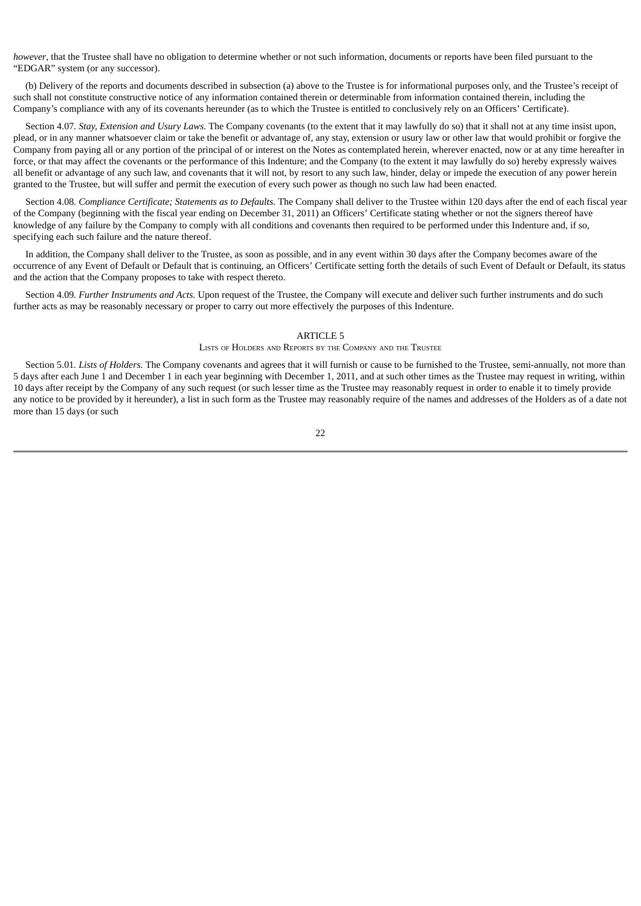*however*, that the Trustee shall have no obligation to determine whether or not such information, documents or reports have been filed pursuant to the "EDGAR" system (or any successor).

(b) Delivery of the reports and documents described in subsection (a) above to the Trustee is for informational purposes only, and the Trustee's receipt of such shall not constitute constructive notice of any information contained therein or determinable from information contained therein, including the Company's compliance with any of its covenants hereunder (as to which the Trustee is entitled to conclusively rely on an Officers' Certificate).

Section 4.07*. Stay, Extension and Usury Laws.* The Company covenants (to the extent that it may lawfully do so) that it shall not at any time insist upon, plead, or in any manner whatsoever claim or take the benefit or advantage of, any stay, extension or usury law or other law that would prohibit or forgive the Company from paying all or any portion of the principal of or interest on the Notes as contemplated herein, wherever enacted, now or at any time hereafter in force, or that may affect the covenants or the performance of this Indenture; and the Company (to the extent it may lawfully do so) hereby expressly waives all benefit or advantage of any such law, and covenants that it will not, by resort to any such law, hinder, delay or impede the execution of any power herein granted to the Trustee, but will suffer and permit the execution of every such power as though no such law had been enacted.

Section 4.08*. Compliance Certificate; Statements as to Defaults.* The Company shall deliver to the Trustee within 120 days after the end of each fiscal year of the Company (beginning with the fiscal year ending on December 31, 2011) an Officers' Certificate stating whether or not the signers thereof have knowledge of any failure by the Company to comply with all conditions and covenants then required to be performed under this Indenture and, if so, specifying each such failure and the nature thereof.

In addition, the Company shall deliver to the Trustee, as soon as possible, and in any event within 30 days after the Company becomes aware of the occurrence of any Event of Default or Default that is continuing, an Officers' Certificate setting forth the details of such Event of Default or Default, its status and the action that the Company proposes to take with respect thereto.

Section 4.09*. Further Instruments and Acts.* Upon request of the Trustee, the Company will execute and deliver such further instruments and do such further acts as may be reasonably necessary or proper to carry out more effectively the purposes of this Indenture.

#### ARTICLE 5

#### LISTS OF HOLDERS AND REPORTS BY THE COMPANY AND THE TRUSTEE

Section 5.01*. Lists of Holders.* The Company covenants and agrees that it will furnish or cause to be furnished to the Trustee, semi-annually, not more than 5 days after each June 1 and December 1 in each year beginning with December 1, 2011, and at such other times as the Trustee may request in writing, within 10 days after receipt by the Company of any such request (or such lesser time as the Trustee may reasonably request in order to enable it to timely provide any notice to be provided by it hereunder), a list in such form as the Trustee may reasonably require of the names and addresses of the Holders as of a date not more than 15 days (or such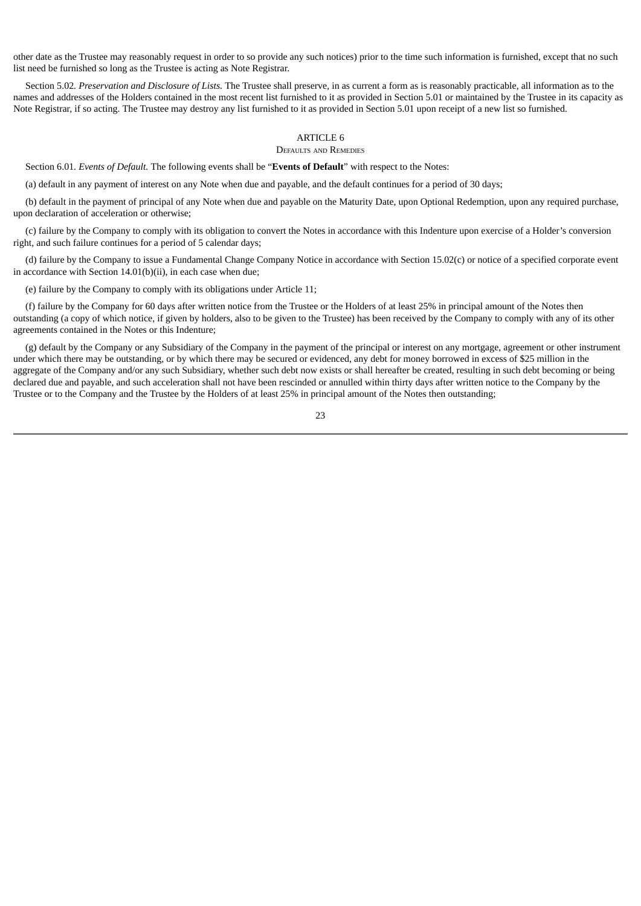other date as the Trustee may reasonably request in order to so provide any such notices) prior to the time such information is furnished, except that no such list need be furnished so long as the Trustee is acting as Note Registrar.

Section 5.02*. Preservation and Disclosure of Lists.* The Trustee shall preserve, in as current a form as is reasonably practicable, all information as to the names and addresses of the Holders contained in the most recent list furnished to it as provided in Section 5.01 or maintained by the Trustee in its capacity as Note Registrar, if so acting. The Trustee may destroy any list furnished to it as provided in Section 5.01 upon receipt of a new list so furnished.

#### ARTICLE 6

## DEFAULTS AND REMEDIES

Section 6.01*. Events of Default.* The following events shall be "**Events of Default**" with respect to the Notes:

(a) default in any payment of interest on any Note when due and payable, and the default continues for a period of 30 days;

(b) default in the payment of principal of any Note when due and payable on the Maturity Date, upon Optional Redemption, upon any required purchase, upon declaration of acceleration or otherwise;

(c) failure by the Company to comply with its obligation to convert the Notes in accordance with this Indenture upon exercise of a Holder's conversion right, and such failure continues for a period of 5 calendar days;

(d) failure by the Company to issue a Fundamental Change Company Notice in accordance with Section 15.02(c) or notice of a specified corporate event in accordance with Section 14.01(b)(ii), in each case when due;

(e) failure by the Company to comply with its obligations under Article 11;

(f) failure by the Company for 60 days after written notice from the Trustee or the Holders of at least 25% in principal amount of the Notes then outstanding (a copy of which notice, if given by holders, also to be given to the Trustee) has been received by the Company to comply with any of its other agreements contained in the Notes or this Indenture;

(g) default by the Company or any Subsidiary of the Company in the payment of the principal or interest on any mortgage, agreement or other instrument under which there may be outstanding, or by which there may be secured or evidenced, any debt for money borrowed in excess of \$25 million in the aggregate of the Company and/or any such Subsidiary, whether such debt now exists or shall hereafter be created, resulting in such debt becoming or being declared due and payable, and such acceleration shall not have been rescinded or annulled within thirty days after written notice to the Company by the Trustee or to the Company and the Trustee by the Holders of at least 25% in principal amount of the Notes then outstanding;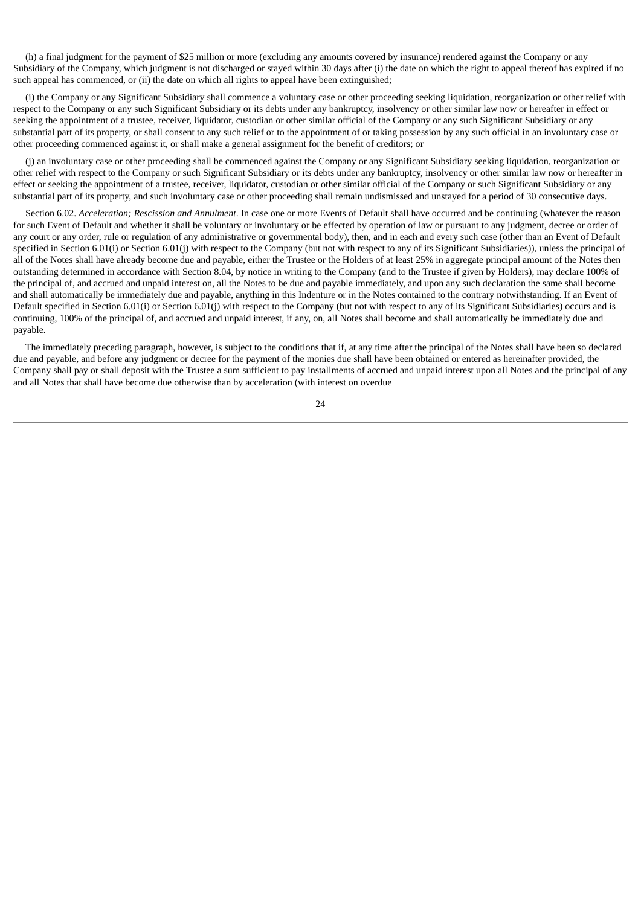(h) a final judgment for the payment of \$25 million or more (excluding any amounts covered by insurance) rendered against the Company or any Subsidiary of the Company, which judgment is not discharged or stayed within 30 days after (i) the date on which the right to appeal thereof has expired if no such appeal has commenced, or (ii) the date on which all rights to appeal have been extinguished;

(i) the Company or any Significant Subsidiary shall commence a voluntary case or other proceeding seeking liquidation, reorganization or other relief with respect to the Company or any such Significant Subsidiary or its debts under any bankruptcy, insolvency or other similar law now or hereafter in effect or seeking the appointment of a trustee, receiver, liquidator, custodian or other similar official of the Company or any such Significant Subsidiary or any substantial part of its property, or shall consent to any such relief or to the appointment of or taking possession by any such official in an involuntary case or other proceeding commenced against it, or shall make a general assignment for the benefit of creditors; or

(j) an involuntary case or other proceeding shall be commenced against the Company or any Significant Subsidiary seeking liquidation, reorganization or other relief with respect to the Company or such Significant Subsidiary or its debts under any bankruptcy, insolvency or other similar law now or hereafter in effect or seeking the appointment of a trustee, receiver, liquidator, custodian or other similar official of the Company or such Significant Subsidiary or any substantial part of its property, and such involuntary case or other proceeding shall remain undismissed and unstayed for a period of 30 consecutive days.

Section 6.02. *Acceleration; Rescission and Annulment*. In case one or more Events of Default shall have occurred and be continuing (whatever the reason for such Event of Default and whether it shall be voluntary or involuntary or be effected by operation of law or pursuant to any judgment, decree or order of any court or any order, rule or regulation of any administrative or governmental body), then, and in each and every such case (other than an Event of Default specified in Section 6.01(i) or Section 6.01(j) with respect to the Company (but not with respect to any of its Significant Subsidiaries)), unless the principal of all of the Notes shall have already become due and payable, either the Trustee or the Holders of at least 25% in aggregate principal amount of the Notes then outstanding determined in accordance with Section 8.04, by notice in writing to the Company (and to the Trustee if given by Holders), may declare 100% of the principal of, and accrued and unpaid interest on, all the Notes to be due and payable immediately, and upon any such declaration the same shall become and shall automatically be immediately due and payable, anything in this Indenture or in the Notes contained to the contrary notwithstanding. If an Event of Default specified in Section 6.01(i) or Section 6.01(j) with respect to the Company (but not with respect to any of its Significant Subsidiaries) occurs and is continuing, 100% of the principal of, and accrued and unpaid interest, if any, on, all Notes shall become and shall automatically be immediately due and payable.

The immediately preceding paragraph, however, is subject to the conditions that if, at any time after the principal of the Notes shall have been so declared due and payable, and before any judgment or decree for the payment of the monies due shall have been obtained or entered as hereinafter provided, the Company shall pay or shall deposit with the Trustee a sum sufficient to pay installments of accrued and unpaid interest upon all Notes and the principal of any and all Notes that shall have become due otherwise than by acceleration (with interest on overdue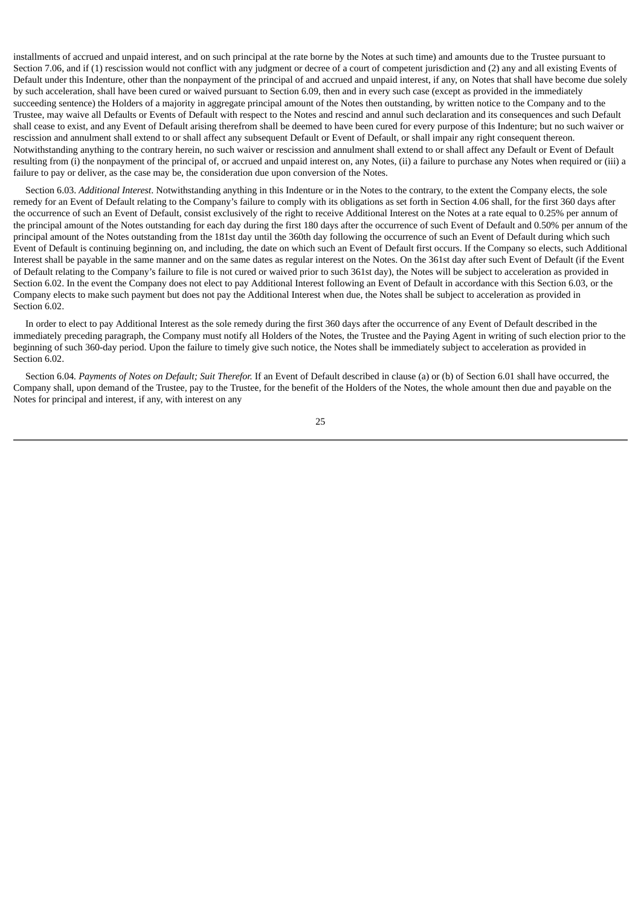installments of accrued and unpaid interest, and on such principal at the rate borne by the Notes at such time) and amounts due to the Trustee pursuant to Section 7.06, and if (1) rescission would not conflict with any judgment or decree of a court of competent jurisdiction and (2) any and all existing Events of Default under this Indenture, other than the nonpayment of the principal of and accrued and unpaid interest, if any, on Notes that shall have become due solely by such acceleration, shall have been cured or waived pursuant to Section 6.09, then and in every such case (except as provided in the immediately succeeding sentence) the Holders of a majority in aggregate principal amount of the Notes then outstanding, by written notice to the Company and to the Trustee, may waive all Defaults or Events of Default with respect to the Notes and rescind and annul such declaration and its consequences and such Default shall cease to exist, and any Event of Default arising therefrom shall be deemed to have been cured for every purpose of this Indenture; but no such waiver or rescission and annulment shall extend to or shall affect any subsequent Default or Event of Default, or shall impair any right consequent thereon. Notwithstanding anything to the contrary herein, no such waiver or rescission and annulment shall extend to or shall affect any Default or Event of Default resulting from (i) the nonpayment of the principal of, or accrued and unpaid interest on, any Notes, (ii) a failure to purchase any Notes when required or (iii) a failure to pay or deliver, as the case may be, the consideration due upon conversion of the Notes.

Section 6.03. *Additional Interest*. Notwithstanding anything in this Indenture or in the Notes to the contrary, to the extent the Company elects, the sole remedy for an Event of Default relating to the Company's failure to comply with its obligations as set forth in Section 4.06 shall, for the first 360 days after the occurrence of such an Event of Default, consist exclusively of the right to receive Additional Interest on the Notes at a rate equal to 0.25% per annum of the principal amount of the Notes outstanding for each day during the first 180 days after the occurrence of such Event of Default and 0.50% per annum of the principal amount of the Notes outstanding from the 181st day until the 360th day following the occurrence of such an Event of Default during which such Event of Default is continuing beginning on, and including, the date on which such an Event of Default first occurs. If the Company so elects, such Additional Interest shall be payable in the same manner and on the same dates as regular interest on the Notes. On the 361st day after such Event of Default (if the Event of Default relating to the Company's failure to file is not cured or waived prior to such 361st day), the Notes will be subject to acceleration as provided in Section 6.02. In the event the Company does not elect to pay Additional Interest following an Event of Default in accordance with this Section 6.03, or the Company elects to make such payment but does not pay the Additional Interest when due, the Notes shall be subject to acceleration as provided in Section 6.02.

In order to elect to pay Additional Interest as the sole remedy during the first 360 days after the occurrence of any Event of Default described in the immediately preceding paragraph, the Company must notify all Holders of the Notes, the Trustee and the Paying Agent in writing of such election prior to the beginning of such 360-day period. Upon the failure to timely give such notice, the Notes shall be immediately subject to acceleration as provided in Section 6.02.

Section 6.04*. Payments of Notes on Default; Suit Therefor.* If an Event of Default described in clause (a) or (b) of Section 6.01 shall have occurred, the Company shall, upon demand of the Trustee, pay to the Trustee, for the benefit of the Holders of the Notes, the whole amount then due and payable on the Notes for principal and interest, if any, with interest on any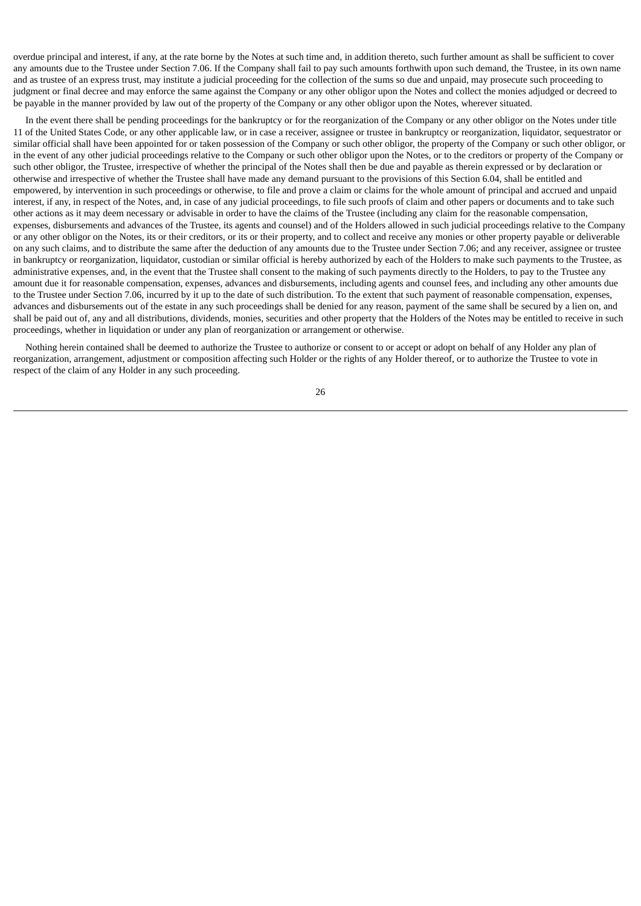overdue principal and interest, if any, at the rate borne by the Notes at such time and, in addition thereto, such further amount as shall be sufficient to cover any amounts due to the Trustee under Section 7.06. If the Company shall fail to pay such amounts forthwith upon such demand, the Trustee, in its own name and as trustee of an express trust, may institute a judicial proceeding for the collection of the sums so due and unpaid, may prosecute such proceeding to judgment or final decree and may enforce the same against the Company or any other obligor upon the Notes and collect the monies adjudged or decreed to be payable in the manner provided by law out of the property of the Company or any other obligor upon the Notes, wherever situated.

In the event there shall be pending proceedings for the bankruptcy or for the reorganization of the Company or any other obligor on the Notes under title 11 of the United States Code, or any other applicable law, or in case a receiver, assignee or trustee in bankruptcy or reorganization, liquidator, sequestrator or similar official shall have been appointed for or taken possession of the Company or such other obligor, the property of the Company or such other obligor, or in the event of any other judicial proceedings relative to the Company or such other obligor upon the Notes, or to the creditors or property of the Company or such other obligor, the Trustee, irrespective of whether the principal of the Notes shall then be due and payable as therein expressed or by declaration or otherwise and irrespective of whether the Trustee shall have made any demand pursuant to the provisions of this Section 6.04, shall be entitled and empowered, by intervention in such proceedings or otherwise, to file and prove a claim or claims for the whole amount of principal and accrued and unpaid interest, if any, in respect of the Notes, and, in case of any judicial proceedings, to file such proofs of claim and other papers or documents and to take such other actions as it may deem necessary or advisable in order to have the claims of the Trustee (including any claim for the reasonable compensation, expenses, disbursements and advances of the Trustee, its agents and counsel) and of the Holders allowed in such judicial proceedings relative to the Company or any other obligor on the Notes, its or their creditors, or its or their property, and to collect and receive any monies or other property payable or deliverable on any such claims, and to distribute the same after the deduction of any amounts due to the Trustee under Section 7.06; and any receiver, assignee or trustee in bankruptcy or reorganization, liquidator, custodian or similar official is hereby authorized by each of the Holders to make such payments to the Trustee, as administrative expenses, and, in the event that the Trustee shall consent to the making of such payments directly to the Holders, to pay to the Trustee any amount due it for reasonable compensation, expenses, advances and disbursements, including agents and counsel fees, and including any other amounts due to the Trustee under Section 7.06, incurred by it up to the date of such distribution. To the extent that such payment of reasonable compensation, expenses, advances and disbursements out of the estate in any such proceedings shall be denied for any reason, payment of the same shall be secured by a lien on, and shall be paid out of, any and all distributions, dividends, monies, securities and other property that the Holders of the Notes may be entitled to receive in such proceedings, whether in liquidation or under any plan of reorganization or arrangement or otherwise.

Nothing herein contained shall be deemed to authorize the Trustee to authorize or consent to or accept or adopt on behalf of any Holder any plan of reorganization, arrangement, adjustment or composition affecting such Holder or the rights of any Holder thereof, or to authorize the Trustee to vote in respect of the claim of any Holder in any such proceeding.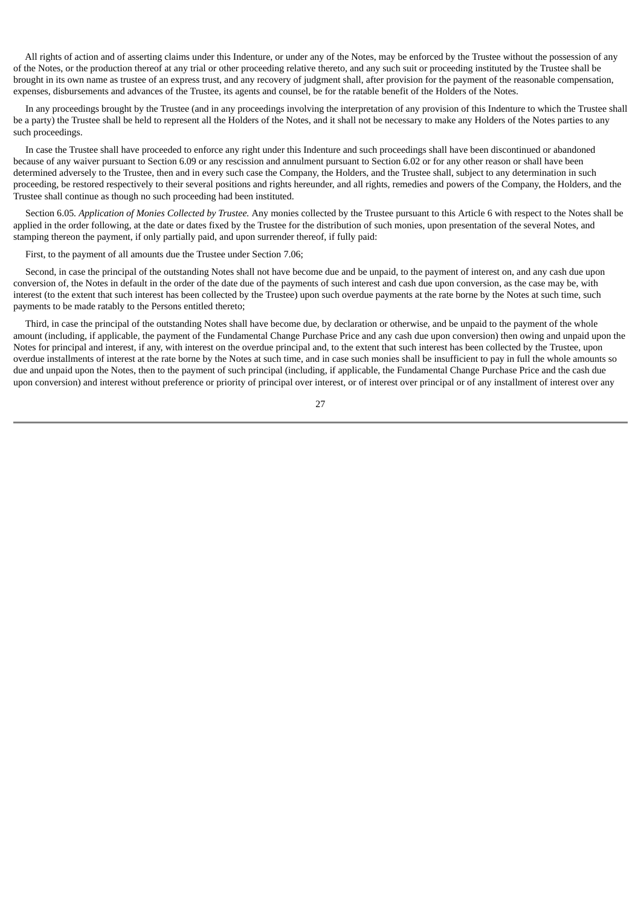All rights of action and of asserting claims under this Indenture, or under any of the Notes, may be enforced by the Trustee without the possession of any of the Notes, or the production thereof at any trial or other proceeding relative thereto, and any such suit or proceeding instituted by the Trustee shall be brought in its own name as trustee of an express trust, and any recovery of judgment shall, after provision for the payment of the reasonable compensation, expenses, disbursements and advances of the Trustee, its agents and counsel, be for the ratable benefit of the Holders of the Notes.

In any proceedings brought by the Trustee (and in any proceedings involving the interpretation of any provision of this Indenture to which the Trustee shall be a party) the Trustee shall be held to represent all the Holders of the Notes, and it shall not be necessary to make any Holders of the Notes parties to any such proceedings.

In case the Trustee shall have proceeded to enforce any right under this Indenture and such proceedings shall have been discontinued or abandoned because of any waiver pursuant to Section 6.09 or any rescission and annulment pursuant to Section 6.02 or for any other reason or shall have been determined adversely to the Trustee, then and in every such case the Company, the Holders, and the Trustee shall, subject to any determination in such proceeding, be restored respectively to their several positions and rights hereunder, and all rights, remedies and powers of the Company, the Holders, and the Trustee shall continue as though no such proceeding had been instituted.

Section 6.05*. Application of Monies Collected by Trustee.* Any monies collected by the Trustee pursuant to this Article 6 with respect to the Notes shall be applied in the order following, at the date or dates fixed by the Trustee for the distribution of such monies, upon presentation of the several Notes, and stamping thereon the payment, if only partially paid, and upon surrender thereof, if fully paid:

First, to the payment of all amounts due the Trustee under Section 7.06;

Second, in case the principal of the outstanding Notes shall not have become due and be unpaid, to the payment of interest on, and any cash due upon conversion of, the Notes in default in the order of the date due of the payments of such interest and cash due upon conversion, as the case may be, with interest (to the extent that such interest has been collected by the Trustee) upon such overdue payments at the rate borne by the Notes at such time, such payments to be made ratably to the Persons entitled thereto;

Third, in case the principal of the outstanding Notes shall have become due, by declaration or otherwise, and be unpaid to the payment of the whole amount (including, if applicable, the payment of the Fundamental Change Purchase Price and any cash due upon conversion) then owing and unpaid upon the Notes for principal and interest, if any, with interest on the overdue principal and, to the extent that such interest has been collected by the Trustee, upon overdue installments of interest at the rate borne by the Notes at such time, and in case such monies shall be insufficient to pay in full the whole amounts so due and unpaid upon the Notes, then to the payment of such principal (including, if applicable, the Fundamental Change Purchase Price and the cash due upon conversion) and interest without preference or priority of principal over interest, or of interest over principal or of any installment of interest over any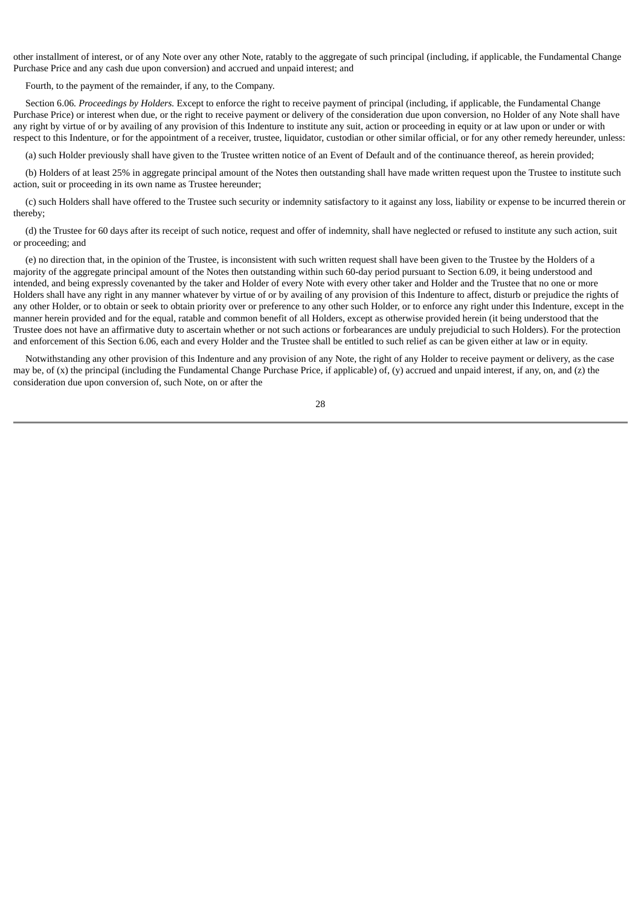other installment of interest, or of any Note over any other Note, ratably to the aggregate of such principal (including, if applicable, the Fundamental Change Purchase Price and any cash due upon conversion) and accrued and unpaid interest; and

Fourth, to the payment of the remainder, if any, to the Company.

Section 6.06*. Proceedings by Holders.* Except to enforce the right to receive payment of principal (including, if applicable, the Fundamental Change Purchase Price) or interest when due, or the right to receive payment or delivery of the consideration due upon conversion, no Holder of any Note shall have any right by virtue of or by availing of any provision of this Indenture to institute any suit, action or proceeding in equity or at law upon or under or with respect to this Indenture, or for the appointment of a receiver, trustee, liquidator, custodian or other similar official, or for any other remedy hereunder, unless:

(a) such Holder previously shall have given to the Trustee written notice of an Event of Default and of the continuance thereof, as herein provided;

(b) Holders of at least 25% in aggregate principal amount of the Notes then outstanding shall have made written request upon the Trustee to institute such action, suit or proceeding in its own name as Trustee hereunder;

(c) such Holders shall have offered to the Trustee such security or indemnity satisfactory to it against any loss, liability or expense to be incurred therein or thereby;

(d) the Trustee for 60 days after its receipt of such notice, request and offer of indemnity, shall have neglected or refused to institute any such action, suit or proceeding; and

(e) no direction that, in the opinion of the Trustee, is inconsistent with such written request shall have been given to the Trustee by the Holders of a majority of the aggregate principal amount of the Notes then outstanding within such 60-day period pursuant to Section 6.09, it being understood and intended, and being expressly covenanted by the taker and Holder of every Note with every other taker and Holder and the Trustee that no one or more Holders shall have any right in any manner whatever by virtue of or by availing of any provision of this Indenture to affect, disturb or prejudice the rights of any other Holder, or to obtain or seek to obtain priority over or preference to any other such Holder, or to enforce any right under this Indenture, except in the manner herein provided and for the equal, ratable and common benefit of all Holders, except as otherwise provided herein (it being understood that the Trustee does not have an affirmative duty to ascertain whether or not such actions or forbearances are unduly prejudicial to such Holders). For the protection and enforcement of this Section 6.06, each and every Holder and the Trustee shall be entitled to such relief as can be given either at law or in equity.

Notwithstanding any other provision of this Indenture and any provision of any Note, the right of any Holder to receive payment or delivery, as the case may be, of (x) the principal (including the Fundamental Change Purchase Price, if applicable) of, (y) accrued and unpaid interest, if any, on, and (z) the consideration due upon conversion of, such Note, on or after the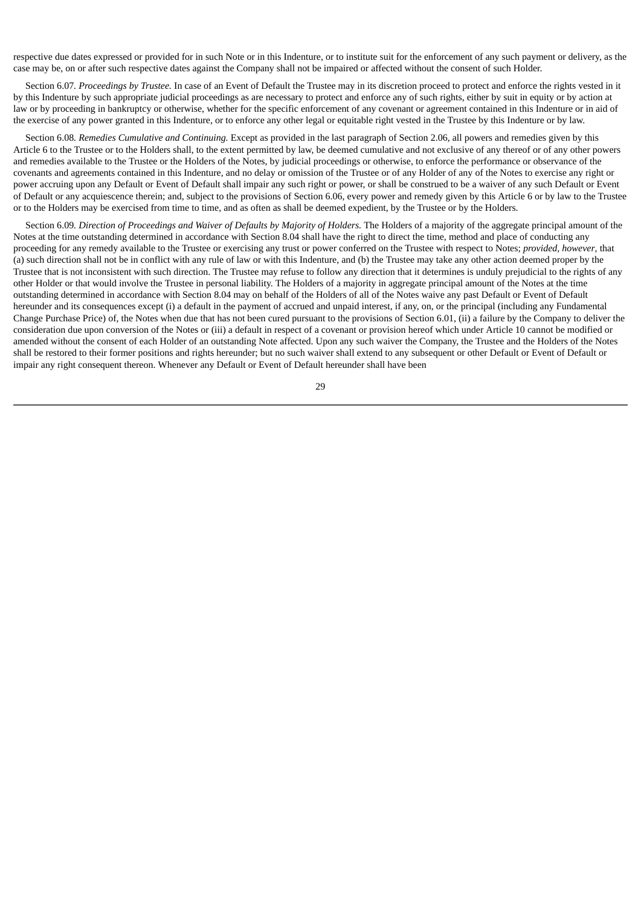respective due dates expressed or provided for in such Note or in this Indenture, or to institute suit for the enforcement of any such payment or delivery, as the case may be, on or after such respective dates against the Company shall not be impaired or affected without the consent of such Holder.

Section 6.07*. Proceedings by Trustee.* In case of an Event of Default the Trustee may in its discretion proceed to protect and enforce the rights vested in it by this Indenture by such appropriate judicial proceedings as are necessary to protect and enforce any of such rights, either by suit in equity or by action at law or by proceeding in bankruptcy or otherwise, whether for the specific enforcement of any covenant or agreement contained in this Indenture or in aid of the exercise of any power granted in this Indenture, or to enforce any other legal or equitable right vested in the Trustee by this Indenture or by law.

Section 6.08*. Remedies Cumulative and Continuing.* Except as provided in the last paragraph of Section 2.06, all powers and remedies given by this Article 6 to the Trustee or to the Holders shall, to the extent permitted by law, be deemed cumulative and not exclusive of any thereof or of any other powers and remedies available to the Trustee or the Holders of the Notes, by judicial proceedings or otherwise, to enforce the performance or observance of the covenants and agreements contained in this Indenture, and no delay or omission of the Trustee or of any Holder of any of the Notes to exercise any right or power accruing upon any Default or Event of Default shall impair any such right or power, or shall be construed to be a waiver of any such Default or Event of Default or any acquiescence therein; and, subject to the provisions of Section 6.06, every power and remedy given by this Article 6 or by law to the Trustee or to the Holders may be exercised from time to time, and as often as shall be deemed expedient, by the Trustee or by the Holders.

Section 6.09. Direction of Proceedings and Waiver of Defaults by Majority of Holders. The Holders of a majority of the aggregate principal amount of the Notes at the time outstanding determined in accordance with Section 8.04 shall have the right to direct the time, method and place of conducting any proceeding for any remedy available to the Trustee or exercising any trust or power conferred on the Trustee with respect to Notes; *provided*, *however*, that (a) such direction shall not be in conflict with any rule of law or with this Indenture, and (b) the Trustee may take any other action deemed proper by the Trustee that is not inconsistent with such direction. The Trustee may refuse to follow any direction that it determines is unduly prejudicial to the rights of any other Holder or that would involve the Trustee in personal liability. The Holders of a majority in aggregate principal amount of the Notes at the time outstanding determined in accordance with Section 8.04 may on behalf of the Holders of all of the Notes waive any past Default or Event of Default hereunder and its consequences except (i) a default in the payment of accrued and unpaid interest, if any, on, or the principal (including any Fundamental Change Purchase Price) of, the Notes when due that has not been cured pursuant to the provisions of Section 6.01, (ii) a failure by the Company to deliver the consideration due upon conversion of the Notes or (iii) a default in respect of a covenant or provision hereof which under Article 10 cannot be modified or amended without the consent of each Holder of an outstanding Note affected. Upon any such waiver the Company, the Trustee and the Holders of the Notes shall be restored to their former positions and rights hereunder; but no such waiver shall extend to any subsequent or other Default or Event of Default or impair any right consequent thereon. Whenever any Default or Event of Default hereunder shall have been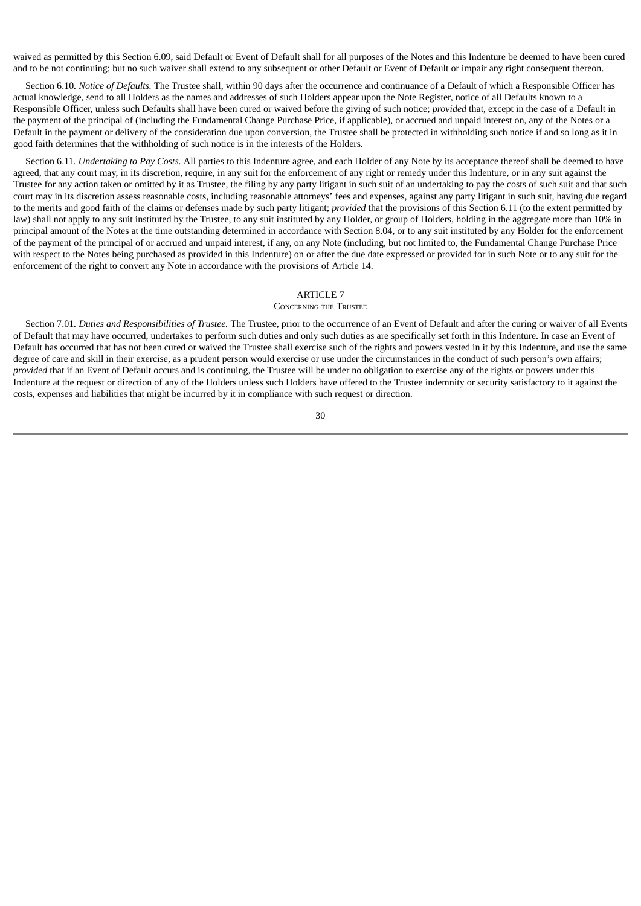waived as permitted by this Section 6.09, said Default or Event of Default shall for all purposes of the Notes and this Indenture be deemed to have been cured and to be not continuing; but no such waiver shall extend to any subsequent or other Default or Event of Default or impair any right consequent thereon.

Section 6.10*. Notice of Defaults.* The Trustee shall, within 90 days after the occurrence and continuance of a Default of which a Responsible Officer has actual knowledge, send to all Holders as the names and addresses of such Holders appear upon the Note Register, notice of all Defaults known to a Responsible Officer, unless such Defaults shall have been cured or waived before the giving of such notice; *provided* that, except in the case of a Default in the payment of the principal of (including the Fundamental Change Purchase Price, if applicable), or accrued and unpaid interest on, any of the Notes or a Default in the payment or delivery of the consideration due upon conversion, the Trustee shall be protected in withholding such notice if and so long as it in good faith determines that the withholding of such notice is in the interests of the Holders.

Section 6.11*. Undertaking to Pay Costs.* All parties to this Indenture agree, and each Holder of any Note by its acceptance thereof shall be deemed to have agreed, that any court may, in its discretion, require, in any suit for the enforcement of any right or remedy under this Indenture, or in any suit against the Trustee for any action taken or omitted by it as Trustee, the filing by any party litigant in such suit of an undertaking to pay the costs of such suit and that such court may in its discretion assess reasonable costs, including reasonable attorneys' fees and expenses, against any party litigant in such suit, having due regard to the merits and good faith of the claims or defenses made by such party litigant; *provided* that the provisions of this Section 6.11 (to the extent permitted by law) shall not apply to any suit instituted by the Trustee, to any suit instituted by any Holder, or group of Holders, holding in the aggregate more than 10% in principal amount of the Notes at the time outstanding determined in accordance with Section 8.04, or to any suit instituted by any Holder for the enforcement of the payment of the principal of or accrued and unpaid interest, if any, on any Note (including, but not limited to, the Fundamental Change Purchase Price with respect to the Notes being purchased as provided in this Indenture) on or after the due date expressed or provided for in such Note or to any suit for the enforcement of the right to convert any Note in accordance with the provisions of Article 14.

#### ARTICLE 7

#### CONCERNING THE TRUSTEE

Section 7.01*. Duties and Responsibilities of Trustee.* The Trustee, prior to the occurrence of an Event of Default and after the curing or waiver of all Events of Default that may have occurred, undertakes to perform such duties and only such duties as are specifically set forth in this Indenture. In case an Event of Default has occurred that has not been cured or waived the Trustee shall exercise such of the rights and powers vested in it by this Indenture, and use the same degree of care and skill in their exercise, as a prudent person would exercise or use under the circumstances in the conduct of such person's own affairs; *provided* that if an Event of Default occurs and is continuing, the Trustee will be under no obligation to exercise any of the rights or powers under this Indenture at the request or direction of any of the Holders unless such Holders have offered to the Trustee indemnity or security satisfactory to it against the costs, expenses and liabilities that might be incurred by it in compliance with such request or direction.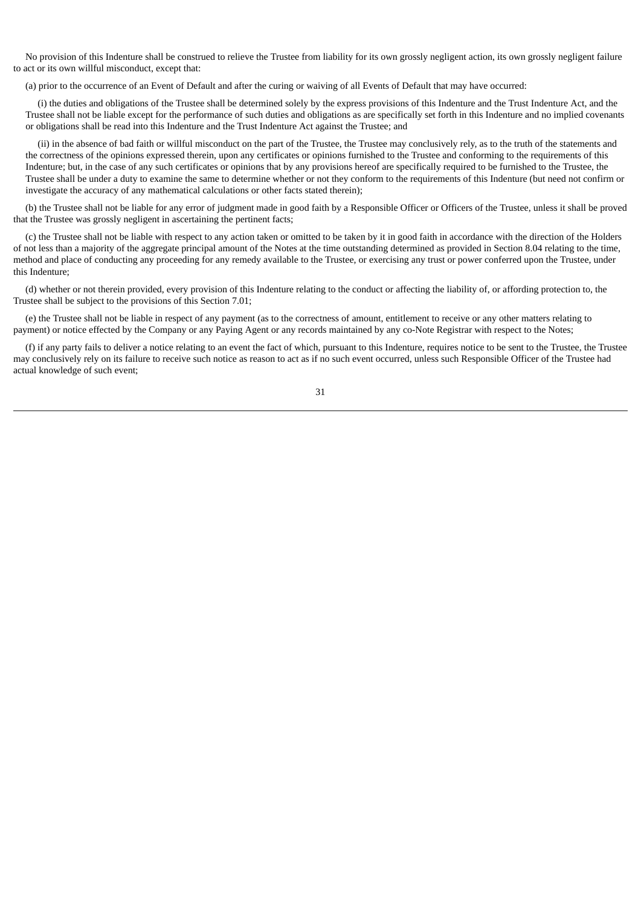No provision of this Indenture shall be construed to relieve the Trustee from liability for its own grossly negligent action, its own grossly negligent failure to act or its own willful misconduct, except that:

(a) prior to the occurrence of an Event of Default and after the curing or waiving of all Events of Default that may have occurred:

(i) the duties and obligations of the Trustee shall be determined solely by the express provisions of this Indenture and the Trust Indenture Act, and the Trustee shall not be liable except for the performance of such duties and obligations as are specifically set forth in this Indenture and no implied covenants or obligations shall be read into this Indenture and the Trust Indenture Act against the Trustee; and

(ii) in the absence of bad faith or willful misconduct on the part of the Trustee, the Trustee may conclusively rely, as to the truth of the statements and the correctness of the opinions expressed therein, upon any certificates or opinions furnished to the Trustee and conforming to the requirements of this Indenture; but, in the case of any such certificates or opinions that by any provisions hereof are specifically required to be furnished to the Trustee, the Trustee shall be under a duty to examine the same to determine whether or not they conform to the requirements of this Indenture (but need not confirm or investigate the accuracy of any mathematical calculations or other facts stated therein);

(b) the Trustee shall not be liable for any error of judgment made in good faith by a Responsible Officer or Officers of the Trustee, unless it shall be proved that the Trustee was grossly negligent in ascertaining the pertinent facts;

(c) the Trustee shall not be liable with respect to any action taken or omitted to be taken by it in good faith in accordance with the direction of the Holders of not less than a majority of the aggregate principal amount of the Notes at the time outstanding determined as provided in Section 8.04 relating to the time, method and place of conducting any proceeding for any remedy available to the Trustee, or exercising any trust or power conferred upon the Trustee, under this Indenture;

(d) whether or not therein provided, every provision of this Indenture relating to the conduct or affecting the liability of, or affording protection to, the Trustee shall be subject to the provisions of this Section 7.01;

(e) the Trustee shall not be liable in respect of any payment (as to the correctness of amount, entitlement to receive or any other matters relating to payment) or notice effected by the Company or any Paying Agent or any records maintained by any co-Note Registrar with respect to the Notes;

(f) if any party fails to deliver a notice relating to an event the fact of which, pursuant to this Indenture, requires notice to be sent to the Trustee, the Trustee may conclusively rely on its failure to receive such notice as reason to act as if no such event occurred, unless such Responsible Officer of the Trustee had actual knowledge of such event;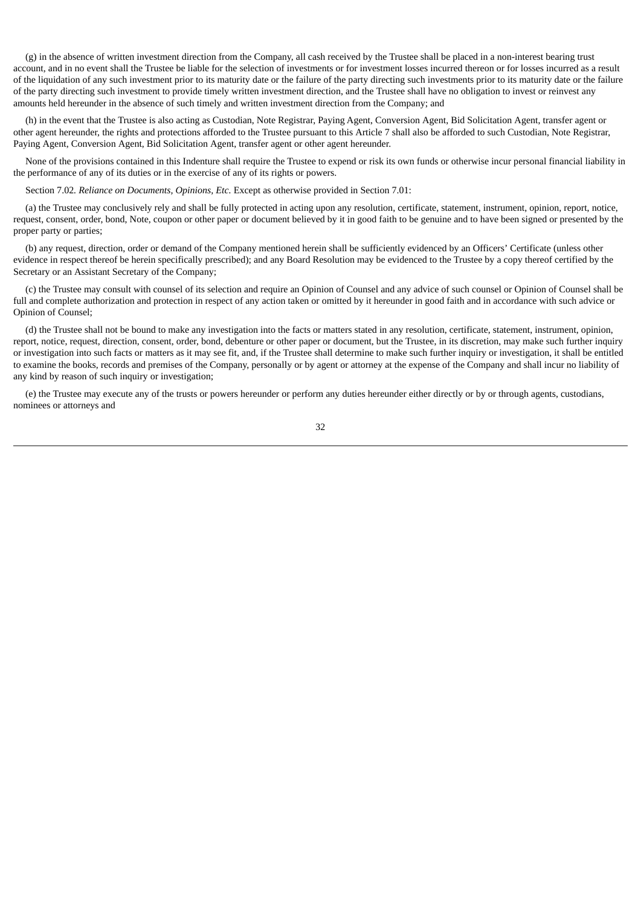(g) in the absence of written investment direction from the Company, all cash received by the Trustee shall be placed in a non-interest bearing trust account, and in no event shall the Trustee be liable for the selection of investments or for investment losses incurred thereon or for losses incurred as a result of the liquidation of any such investment prior to its maturity date or the failure of the party directing such investments prior to its maturity date or the failure of the party directing such investment to provide timely written investment direction, and the Trustee shall have no obligation to invest or reinvest any amounts held hereunder in the absence of such timely and written investment direction from the Company; and

(h) in the event that the Trustee is also acting as Custodian, Note Registrar, Paying Agent, Conversion Agent, Bid Solicitation Agent, transfer agent or other agent hereunder, the rights and protections afforded to the Trustee pursuant to this Article 7 shall also be afforded to such Custodian, Note Registrar, Paying Agent, Conversion Agent, Bid Solicitation Agent, transfer agent or other agent hereunder.

None of the provisions contained in this Indenture shall require the Trustee to expend or risk its own funds or otherwise incur personal financial liability in the performance of any of its duties or in the exercise of any of its rights or powers.

Section 7.02*. Reliance on Documents, Opinions, Etc.* Except as otherwise provided in Section 7.01:

(a) the Trustee may conclusively rely and shall be fully protected in acting upon any resolution, certificate, statement, instrument, opinion, report, notice, request, consent, order, bond, Note, coupon or other paper or document believed by it in good faith to be genuine and to have been signed or presented by the proper party or parties;

(b) any request, direction, order or demand of the Company mentioned herein shall be sufficiently evidenced by an Officers' Certificate (unless other evidence in respect thereof be herein specifically prescribed); and any Board Resolution may be evidenced to the Trustee by a copy thereof certified by the Secretary or an Assistant Secretary of the Company;

(c) the Trustee may consult with counsel of its selection and require an Opinion of Counsel and any advice of such counsel or Opinion of Counsel shall be full and complete authorization and protection in respect of any action taken or omitted by it hereunder in good faith and in accordance with such advice or Opinion of Counsel;

(d) the Trustee shall not be bound to make any investigation into the facts or matters stated in any resolution, certificate, statement, instrument, opinion, report, notice, request, direction, consent, order, bond, debenture or other paper or document, but the Trustee, in its discretion, may make such further inquiry or investigation into such facts or matters as it may see fit, and, if the Trustee shall determine to make such further inquiry or investigation, it shall be entitled to examine the books, records and premises of the Company, personally or by agent or attorney at the expense of the Company and shall incur no liability of any kind by reason of such inquiry or investigation;

(e) the Trustee may execute any of the trusts or powers hereunder or perform any duties hereunder either directly or by or through agents, custodians, nominees or attorneys and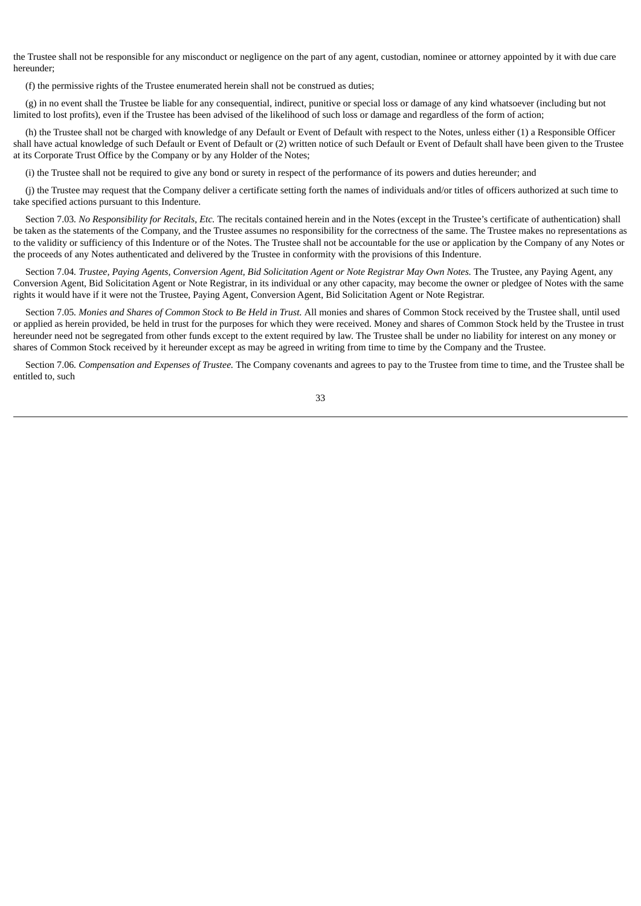the Trustee shall not be responsible for any misconduct or negligence on the part of any agent, custodian, nominee or attorney appointed by it with due care hereunder;

(f) the permissive rights of the Trustee enumerated herein shall not be construed as duties;

(g) in no event shall the Trustee be liable for any consequential, indirect, punitive or special loss or damage of any kind whatsoever (including but not limited to lost profits), even if the Trustee has been advised of the likelihood of such loss or damage and regardless of the form of action;

(h) the Trustee shall not be charged with knowledge of any Default or Event of Default with respect to the Notes, unless either (1) a Responsible Officer shall have actual knowledge of such Default or Event of Default or (2) written notice of such Default or Event of Default shall have been given to the Trustee at its Corporate Trust Office by the Company or by any Holder of the Notes;

(i) the Trustee shall not be required to give any bond or surety in respect of the performance of its powers and duties hereunder; and

(j) the Trustee may request that the Company deliver a certificate setting forth the names of individuals and/or titles of officers authorized at such time to take specified actions pursuant to this Indenture.

Section 7.03*. No Responsibility for Recitals, Etc.* The recitals contained herein and in the Notes (except in the Trustee's certificate of authentication) shall be taken as the statements of the Company, and the Trustee assumes no responsibility for the correctness of the same. The Trustee makes no representations as to the validity or sufficiency of this Indenture or of the Notes. The Trustee shall not be accountable for the use or application by the Company of any Notes or the proceeds of any Notes authenticated and delivered by the Trustee in conformity with the provisions of this Indenture.

Section 7.04. Trustee, Paying Agents, Conversion Agent, Bid Solicitation Agent or Note Registrar May Own Notes. The Trustee, any Paying Agent, any Conversion Agent, Bid Solicitation Agent or Note Registrar, in its individual or any other capacity, may become the owner or pledgee of Notes with the same rights it would have if it were not the Trustee, Paying Agent, Conversion Agent, Bid Solicitation Agent or Note Registrar.

Section 7.05. Monies and Shares of Common Stock to Be Held in Trust. All monies and shares of Common Stock received by the Trustee shall, until used or applied as herein provided, be held in trust for the purposes for which they were received. Money and shares of Common Stock held by the Trustee in trust hereunder need not be segregated from other funds except to the extent required by law. The Trustee shall be under no liability for interest on any money or shares of Common Stock received by it hereunder except as may be agreed in writing from time to time by the Company and the Trustee.

Section 7.06*. Compensation and Expenses of Trustee.* The Company covenants and agrees to pay to the Trustee from time to time, and the Trustee shall be entitled to, such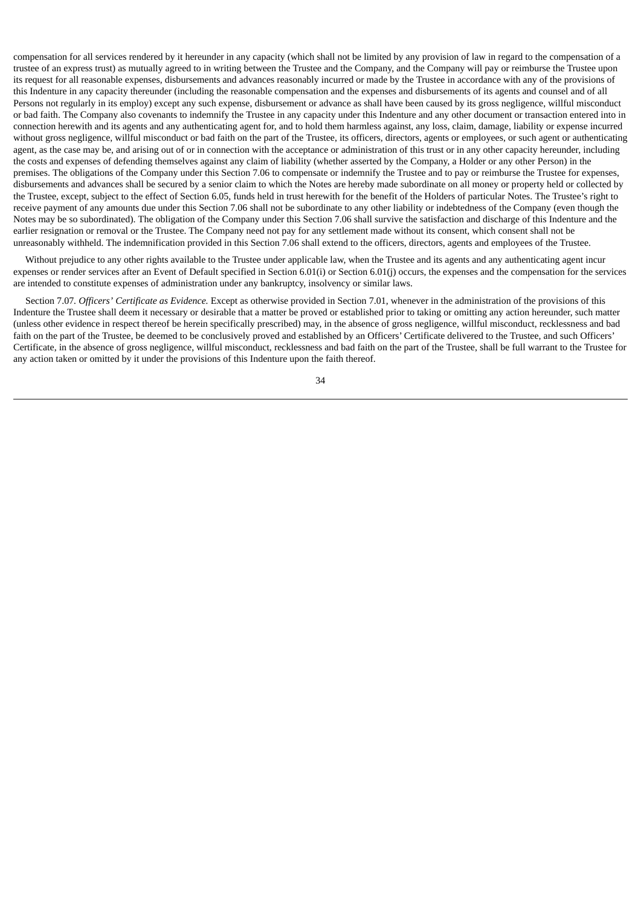compensation for all services rendered by it hereunder in any capacity (which shall not be limited by any provision of law in regard to the compensation of a trustee of an express trust) as mutually agreed to in writing between the Trustee and the Company, and the Company will pay or reimburse the Trustee upon its request for all reasonable expenses, disbursements and advances reasonably incurred or made by the Trustee in accordance with any of the provisions of this Indenture in any capacity thereunder (including the reasonable compensation and the expenses and disbursements of its agents and counsel and of all Persons not regularly in its employ) except any such expense, disbursement or advance as shall have been caused by its gross negligence, willful misconduct or bad faith. The Company also covenants to indemnify the Trustee in any capacity under this Indenture and any other document or transaction entered into in connection herewith and its agents and any authenticating agent for, and to hold them harmless against, any loss, claim, damage, liability or expense incurred without gross negligence, willful misconduct or bad faith on the part of the Trustee, its officers, directors, agents or employees, or such agent or authenticating agent, as the case may be, and arising out of or in connection with the acceptance or administration of this trust or in any other capacity hereunder, including the costs and expenses of defending themselves against any claim of liability (whether asserted by the Company, a Holder or any other Person) in the premises. The obligations of the Company under this Section 7.06 to compensate or indemnify the Trustee and to pay or reimburse the Trustee for expenses, disbursements and advances shall be secured by a senior claim to which the Notes are hereby made subordinate on all money or property held or collected by the Trustee, except, subject to the effect of Section 6.05, funds held in trust herewith for the benefit of the Holders of particular Notes. The Trustee's right to receive payment of any amounts due under this Section 7.06 shall not be subordinate to any other liability or indebtedness of the Company (even though the Notes may be so subordinated). The obligation of the Company under this Section 7.06 shall survive the satisfaction and discharge of this Indenture and the earlier resignation or removal or the Trustee. The Company need not pay for any settlement made without its consent, which consent shall not be unreasonably withheld. The indemnification provided in this Section 7.06 shall extend to the officers, directors, agents and employees of the Trustee.

Without prejudice to any other rights available to the Trustee under applicable law, when the Trustee and its agents and any authenticating agent incur expenses or render services after an Event of Default specified in Section 6.01(i) or Section 6.01(j) occurs, the expenses and the compensation for the services are intended to constitute expenses of administration under any bankruptcy, insolvency or similar laws.

Section 7.07*. Officers' Certificate as Evidence.* Except as otherwise provided in Section 7.01, whenever in the administration of the provisions of this Indenture the Trustee shall deem it necessary or desirable that a matter be proved or established prior to taking or omitting any action hereunder, such matter (unless other evidence in respect thereof be herein specifically prescribed) may, in the absence of gross negligence, willful misconduct, recklessness and bad faith on the part of the Trustee, be deemed to be conclusively proved and established by an Officers' Certificate delivered to the Trustee, and such Officers' Certificate, in the absence of gross negligence, willful misconduct, recklessness and bad faith on the part of the Trustee, shall be full warrant to the Trustee for any action taken or omitted by it under the provisions of this Indenture upon the faith thereof.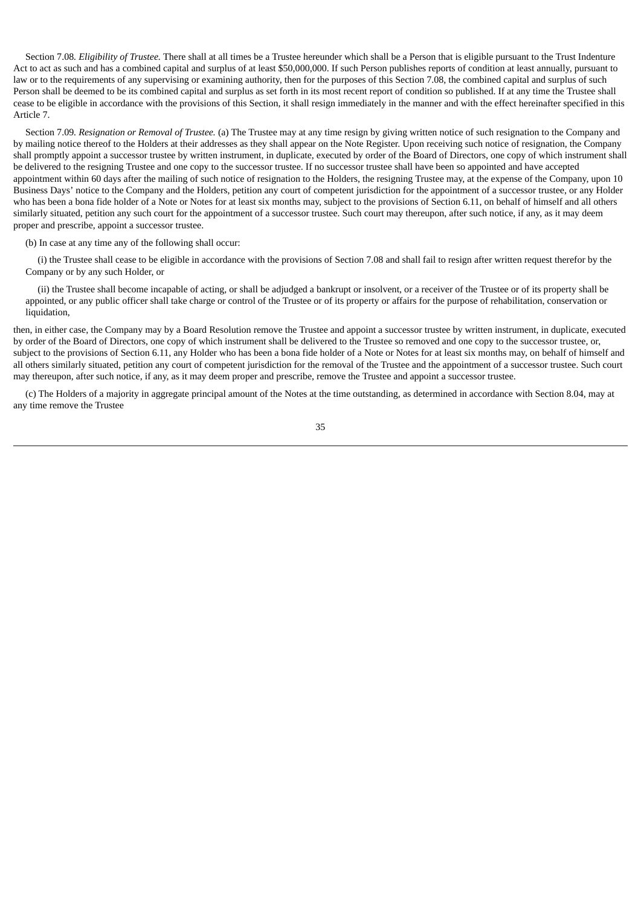Section 7.08*. Eligibility of Trustee.* There shall at all times be a Trustee hereunder which shall be a Person that is eligible pursuant to the Trust Indenture Act to act as such and has a combined capital and surplus of at least \$50,000,000. If such Person publishes reports of condition at least annually, pursuant to law or to the requirements of any supervising or examining authority, then for the purposes of this Section 7.08, the combined capital and surplus of such Person shall be deemed to be its combined capital and surplus as set forth in its most recent report of condition so published. If at any time the Trustee shall cease to be eligible in accordance with the provisions of this Section, it shall resign immediately in the manner and with the effect hereinafter specified in this Article 7.

Section 7.09*. Resignation or Removal of Trustee.* (a) The Trustee may at any time resign by giving written notice of such resignation to the Company and by mailing notice thereof to the Holders at their addresses as they shall appear on the Note Register. Upon receiving such notice of resignation, the Company shall promptly appoint a successor trustee by written instrument, in duplicate, executed by order of the Board of Directors, one copy of which instrument shall be delivered to the resigning Trustee and one copy to the successor trustee. If no successor trustee shall have been so appointed and have accepted appointment within 60 days after the mailing of such notice of resignation to the Holders, the resigning Trustee may, at the expense of the Company, upon 10 Business Days' notice to the Company and the Holders, petition any court of competent jurisdiction for the appointment of a successor trustee, or any Holder who has been a bona fide holder of a Note or Notes for at least six months may, subject to the provisions of Section 6.11, on behalf of himself and all others similarly situated, petition any such court for the appointment of a successor trustee. Such court may thereupon, after such notice, if any, as it may deem proper and prescribe, appoint a successor trustee.

(b) In case at any time any of the following shall occur:

(i) the Trustee shall cease to be eligible in accordance with the provisions of Section 7.08 and shall fail to resign after written request therefor by the Company or by any such Holder, or

(ii) the Trustee shall become incapable of acting, or shall be adjudged a bankrupt or insolvent, or a receiver of the Trustee or of its property shall be appointed, or any public officer shall take charge or control of the Trustee or of its property or affairs for the purpose of rehabilitation, conservation or liquidation,

then, in either case, the Company may by a Board Resolution remove the Trustee and appoint a successor trustee by written instrument, in duplicate, executed by order of the Board of Directors, one copy of which instrument shall be delivered to the Trustee so removed and one copy to the successor trustee, or, subject to the provisions of Section 6.11, any Holder who has been a bona fide holder of a Note or Notes for at least six months may, on behalf of himself and all others similarly situated, petition any court of competent jurisdiction for the removal of the Trustee and the appointment of a successor trustee. Such court may thereupon, after such notice, if any, as it may deem proper and prescribe, remove the Trustee and appoint a successor trustee.

(c) The Holders of a majority in aggregate principal amount of the Notes at the time outstanding, as determined in accordance with Section 8.04, may at any time remove the Trustee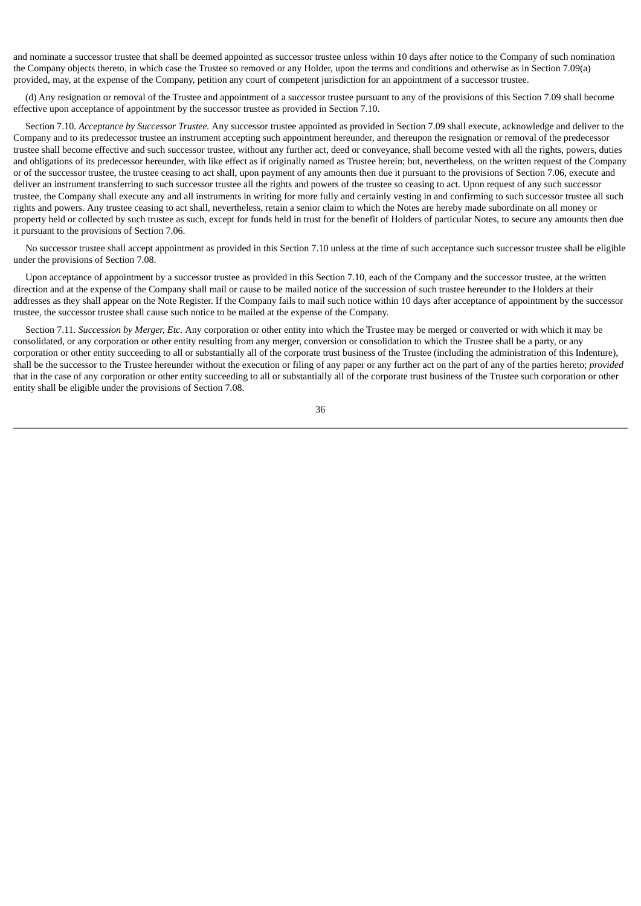and nominate a successor trustee that shall be deemed appointed as successor trustee unless within 10 days after notice to the Company of such nomination the Company objects thereto, in which case the Trustee so removed or any Holder, upon the terms and conditions and otherwise as in Section 7.09(a) provided, may, at the expense of the Company, petition any court of competent jurisdiction for an appointment of a successor trustee.

(d) Any resignation or removal of the Trustee and appointment of a successor trustee pursuant to any of the provisions of this Section 7.09 shall become effective upon acceptance of appointment by the successor trustee as provided in Section 7.10.

Section 7.10*. Acceptance by Successor Trustee.* Any successor trustee appointed as provided in Section 7.09 shall execute, acknowledge and deliver to the Company and to its predecessor trustee an instrument accepting such appointment hereunder, and thereupon the resignation or removal of the predecessor trustee shall become effective and such successor trustee, without any further act, deed or conveyance, shall become vested with all the rights, powers, duties and obligations of its predecessor hereunder, with like effect as if originally named as Trustee herein; but, nevertheless, on the written request of the Company or of the successor trustee, the trustee ceasing to act shall, upon payment of any amounts then due it pursuant to the provisions of Section 7.06, execute and deliver an instrument transferring to such successor trustee all the rights and powers of the trustee so ceasing to act. Upon request of any such successor trustee, the Company shall execute any and all instruments in writing for more fully and certainly vesting in and confirming to such successor trustee all such rights and powers. Any trustee ceasing to act shall, nevertheless, retain a senior claim to which the Notes are hereby made subordinate on all money or property held or collected by such trustee as such, except for funds held in trust for the benefit of Holders of particular Notes, to secure any amounts then due it pursuant to the provisions of Section 7.06.

No successor trustee shall accept appointment as provided in this Section 7.10 unless at the time of such acceptance such successor trustee shall be eligible under the provisions of Section 7.08.

Upon acceptance of appointment by a successor trustee as provided in this Section 7.10, each of the Company and the successor trustee, at the written direction and at the expense of the Company shall mail or cause to be mailed notice of the succession of such trustee hereunder to the Holders at their addresses as they shall appear on the Note Register. If the Company fails to mail such notice within 10 days after acceptance of appointment by the successor trustee, the successor trustee shall cause such notice to be mailed at the expense of the Company.

Section 7.11*. Succession by Merger, Etc.* Any corporation or other entity into which the Trustee may be merged or converted or with which it may be consolidated, or any corporation or other entity resulting from any merger, conversion or consolidation to which the Trustee shall be a party, or any corporation or other entity succeeding to all or substantially all of the corporate trust business of the Trustee (including the administration of this Indenture), shall be the successor to the Trustee hereunder without the execution or filing of any paper or any further act on the part of any of the parties hereto; *provided* that in the case of any corporation or other entity succeeding to all or substantially all of the corporate trust business of the Trustee such corporation or other entity shall be eligible under the provisions of Section 7.08.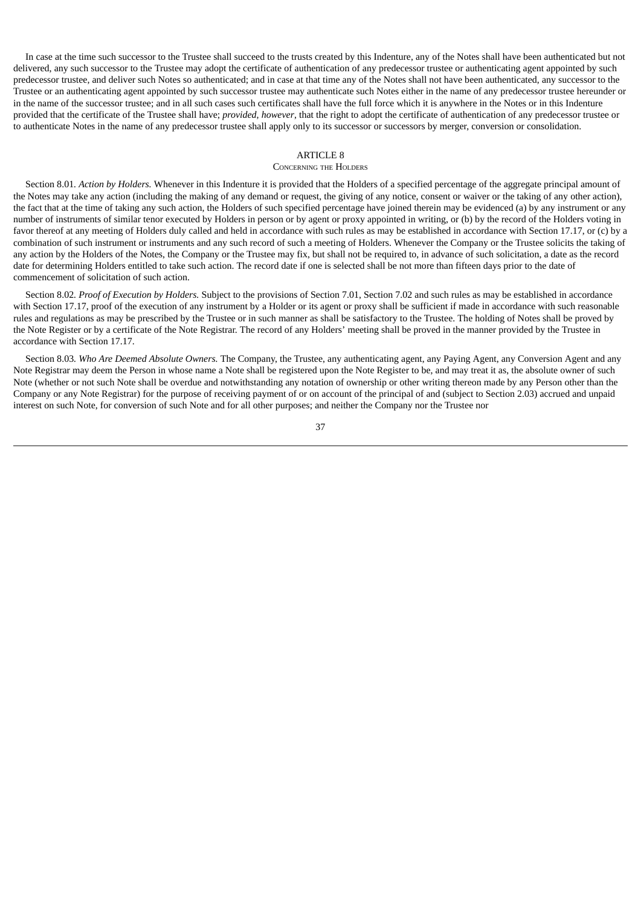In case at the time such successor to the Trustee shall succeed to the trusts created by this Indenture, any of the Notes shall have been authenticated but not delivered, any such successor to the Trustee may adopt the certificate of authentication of any predecessor trustee or authenticating agent appointed by such predecessor trustee, and deliver such Notes so authenticated; and in case at that time any of the Notes shall not have been authenticated, any successor to the Trustee or an authenticating agent appointed by such successor trustee may authenticate such Notes either in the name of any predecessor trustee hereunder or in the name of the successor trustee; and in all such cases such certificates shall have the full force which it is anywhere in the Notes or in this Indenture provided that the certificate of the Trustee shall have; *provided*, *however*, that the right to adopt the certificate of authentication of any predecessor trustee or to authenticate Notes in the name of any predecessor trustee shall apply only to its successor or successors by merger, conversion or consolidation.

### ARTICLE 8

### CONCERNING THE HOLDERS

Section 8.01*. Action by Holders.* Whenever in this Indenture it is provided that the Holders of a specified percentage of the aggregate principal amount of the Notes may take any action (including the making of any demand or request, the giving of any notice, consent or waiver or the taking of any other action), the fact that at the time of taking any such action, the Holders of such specified percentage have joined therein may be evidenced (a) by any instrument or any number of instruments of similar tenor executed by Holders in person or by agent or proxy appointed in writing, or (b) by the record of the Holders voting in favor thereof at any meeting of Holders duly called and held in accordance with such rules as may be established in accordance with Section 17.17, or (c) by a combination of such instrument or instruments and any such record of such a meeting of Holders. Whenever the Company or the Trustee solicits the taking of any action by the Holders of the Notes, the Company or the Trustee may fix, but shall not be required to, in advance of such solicitation, a date as the record date for determining Holders entitled to take such action. The record date if one is selected shall be not more than fifteen days prior to the date of commencement of solicitation of such action.

Section 8.02*. Proof of Execution by Holders.* Subject to the provisions of Section 7.01, Section 7.02 and such rules as may be established in accordance with Section 17.17, proof of the execution of any instrument by a Holder or its agent or proxy shall be sufficient if made in accordance with such reasonable rules and regulations as may be prescribed by the Trustee or in such manner as shall be satisfactory to the Trustee. The holding of Notes shall be proved by the Note Register or by a certificate of the Note Registrar. The record of any Holders' meeting shall be proved in the manner provided by the Trustee in accordance with Section 17.17.

Section 8.03*. Who Are Deemed Absolute Owners.* The Company, the Trustee, any authenticating agent, any Paying Agent, any Conversion Agent and any Note Registrar may deem the Person in whose name a Note shall be registered upon the Note Register to be, and may treat it as, the absolute owner of such Note (whether or not such Note shall be overdue and notwithstanding any notation of ownership or other writing thereon made by any Person other than the Company or any Note Registrar) for the purpose of receiving payment of or on account of the principal of and (subject to Section 2.03) accrued and unpaid interest on such Note, for conversion of such Note and for all other purposes; and neither the Company nor the Trustee nor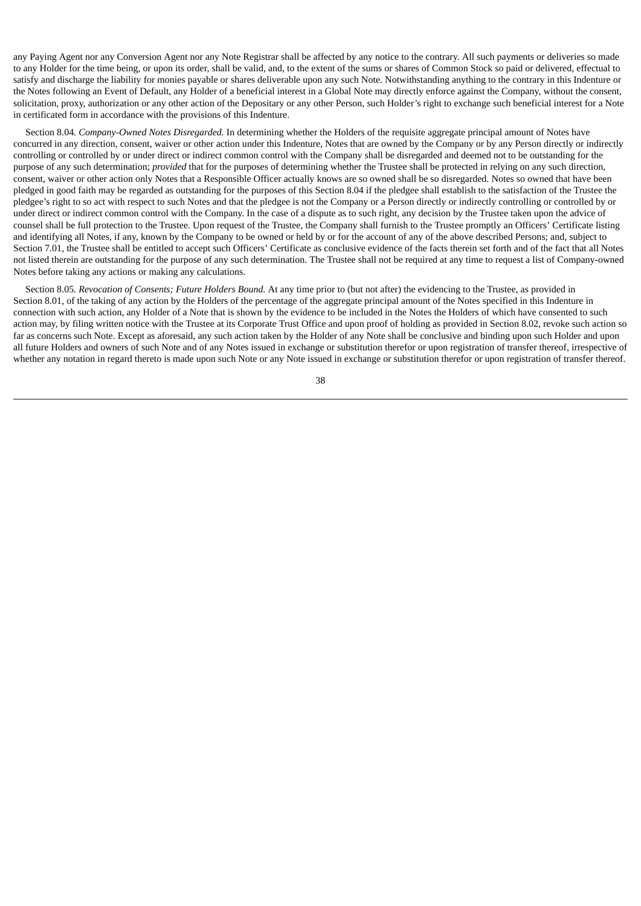any Paying Agent nor any Conversion Agent nor any Note Registrar shall be affected by any notice to the contrary. All such payments or deliveries so made to any Holder for the time being, or upon its order, shall be valid, and, to the extent of the sums or shares of Common Stock so paid or delivered, effectual to satisfy and discharge the liability for monies payable or shares deliverable upon any such Note. Notwithstanding anything to the contrary in this Indenture or the Notes following an Event of Default, any Holder of a beneficial interest in a Global Note may directly enforce against the Company, without the consent, solicitation, proxy, authorization or any other action of the Depositary or any other Person, such Holder's right to exchange such beneficial interest for a Note in certificated form in accordance with the provisions of this Indenture.

Section 8.04*. Company-Owned Notes Disregarded.* In determining whether the Holders of the requisite aggregate principal amount of Notes have concurred in any direction, consent, waiver or other action under this Indenture, Notes that are owned by the Company or by any Person directly or indirectly controlling or controlled by or under direct or indirect common control with the Company shall be disregarded and deemed not to be outstanding for the purpose of any such determination; *provided* that for the purposes of determining whether the Trustee shall be protected in relying on any such direction, consent, waiver or other action only Notes that a Responsible Officer actually knows are so owned shall be so disregarded. Notes so owned that have been pledged in good faith may be regarded as outstanding for the purposes of this Section 8.04 if the pledgee shall establish to the satisfaction of the Trustee the pledgee's right to so act with respect to such Notes and that the pledgee is not the Company or a Person directly or indirectly controlling or controlled by or under direct or indirect common control with the Company. In the case of a dispute as to such right, any decision by the Trustee taken upon the advice of counsel shall be full protection to the Trustee. Upon request of the Trustee, the Company shall furnish to the Trustee promptly an Officers' Certificate listing and identifying all Notes, if any, known by the Company to be owned or held by or for the account of any of the above described Persons; and, subject to Section 7.01, the Trustee shall be entitled to accept such Officers' Certificate as conclusive evidence of the facts therein set forth and of the fact that all Notes not listed therein are outstanding for the purpose of any such determination. The Trustee shall not be required at any time to request a list of Company-owned Notes before taking any actions or making any calculations.

Section 8.05*. Revocation of Consents; Future Holders Bound.* At any time prior to (but not after) the evidencing to the Trustee, as provided in Section 8.01, of the taking of any action by the Holders of the percentage of the aggregate principal amount of the Notes specified in this Indenture in connection with such action, any Holder of a Note that is shown by the evidence to be included in the Notes the Holders of which have consented to such action may, by filing written notice with the Trustee at its Corporate Trust Office and upon proof of holding as provided in Section 8.02, revoke such action so far as concerns such Note. Except as aforesaid, any such action taken by the Holder of any Note shall be conclusive and binding upon such Holder and upon all future Holders and owners of such Note and of any Notes issued in exchange or substitution therefor or upon registration of transfer thereof, irrespective of whether any notation in regard thereto is made upon such Note or any Note issued in exchange or substitution therefor or upon registration of transfer thereof.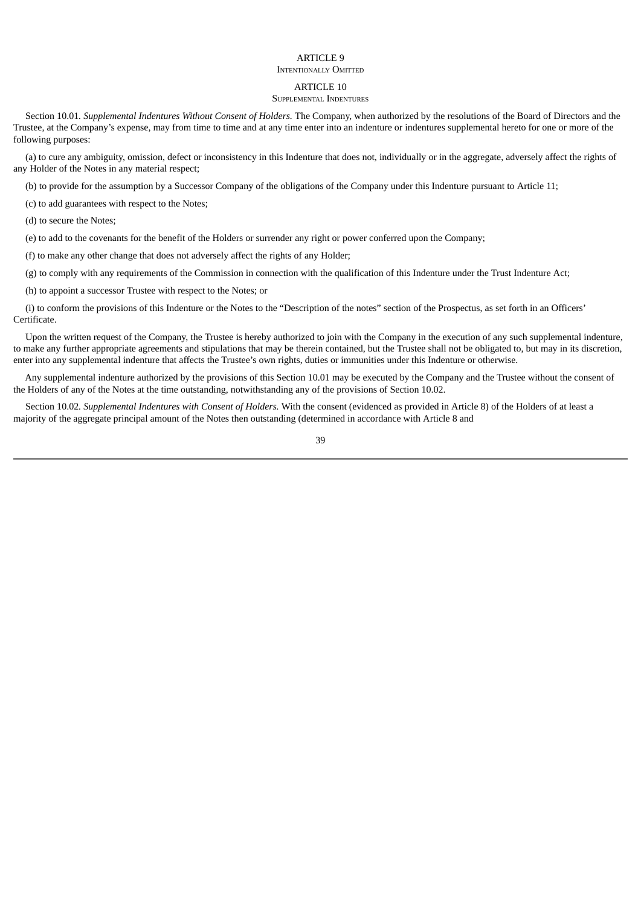# ARTICLE 9

### INTENTIONALLY OMITTED

### ARTICLE 10

### SUPPLEMENTAL INDENTURES

Section 10.01*. Supplemental Indentures Without Consent of Holders.* The Company, when authorized by the resolutions of the Board of Directors and the Trustee, at the Company's expense, may from time to time and at any time enter into an indenture or indentures supplemental hereto for one or more of the following purposes:

(a) to cure any ambiguity, omission, defect or inconsistency in this Indenture that does not, individually or in the aggregate, adversely affect the rights of any Holder of the Notes in any material respect;

(b) to provide for the assumption by a Successor Company of the obligations of the Company under this Indenture pursuant to Article 11;

(c) to add guarantees with respect to the Notes;

(d) to secure the Notes;

(e) to add to the covenants for the benefit of the Holders or surrender any right or power conferred upon the Company;

(f) to make any other change that does not adversely affect the rights of any Holder;

(g) to comply with any requirements of the Commission in connection with the qualification of this Indenture under the Trust Indenture Act;

(h) to appoint a successor Trustee with respect to the Notes; or

(i) to conform the provisions of this Indenture or the Notes to the "Description of the notes" section of the Prospectus, as set forth in an Officers' Certificate.

Upon the written request of the Company, the Trustee is hereby authorized to join with the Company in the execution of any such supplemental indenture, to make any further appropriate agreements and stipulations that may be therein contained, but the Trustee shall not be obligated to, but may in its discretion, enter into any supplemental indenture that affects the Trustee's own rights, duties or immunities under this Indenture or otherwise.

Any supplemental indenture authorized by the provisions of this Section 10.01 may be executed by the Company and the Trustee without the consent of the Holders of any of the Notes at the time outstanding, notwithstanding any of the provisions of Section 10.02.

Section 10.02*. Supplemental Indentures with Consent of Holders.* With the consent (evidenced as provided in Article 8) of the Holders of at least a majority of the aggregate principal amount of the Notes then outstanding (determined in accordance with Article 8 and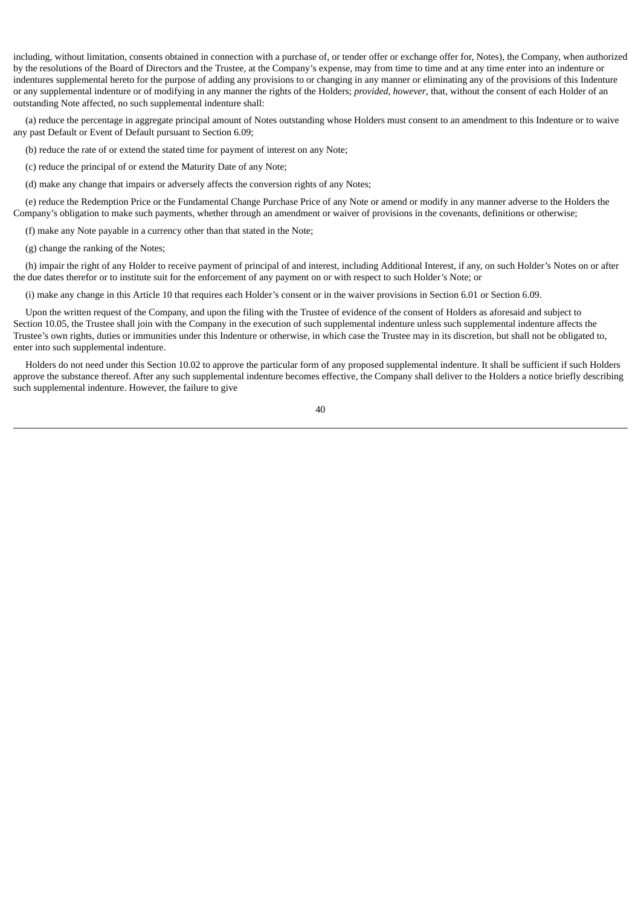including, without limitation, consents obtained in connection with a purchase of, or tender offer or exchange offer for, Notes), the Company, when authorized by the resolutions of the Board of Directors and the Trustee, at the Company's expense, may from time to time and at any time enter into an indenture or indentures supplemental hereto for the purpose of adding any provisions to or changing in any manner or eliminating any of the provisions of this Indenture or any supplemental indenture or of modifying in any manner the rights of the Holders; *provided*, *however*, that, without the consent of each Holder of an outstanding Note affected, no such supplemental indenture shall:

(a) reduce the percentage in aggregate principal amount of Notes outstanding whose Holders must consent to an amendment to this Indenture or to waive any past Default or Event of Default pursuant to Section 6.09;

(b) reduce the rate of or extend the stated time for payment of interest on any Note;

(c) reduce the principal of or extend the Maturity Date of any Note;

(d) make any change that impairs or adversely affects the conversion rights of any Notes;

(e) reduce the Redemption Price or the Fundamental Change Purchase Price of any Note or amend or modify in any manner adverse to the Holders the Company's obligation to make such payments, whether through an amendment or waiver of provisions in the covenants, definitions or otherwise;

(f) make any Note payable in a currency other than that stated in the Note;

(g) change the ranking of the Notes;

(h) impair the right of any Holder to receive payment of principal of and interest, including Additional Interest, if any, on such Holder's Notes on or after the due dates therefor or to institute suit for the enforcement of any payment on or with respect to such Holder's Note; or

(i) make any change in this Article 10 that requires each Holder's consent or in the waiver provisions in Section 6.01 or Section 6.09.

Upon the written request of the Company, and upon the filing with the Trustee of evidence of the consent of Holders as aforesaid and subject to Section 10.05, the Trustee shall join with the Company in the execution of such supplemental indenture unless such supplemental indenture affects the Trustee's own rights, duties or immunities under this Indenture or otherwise, in which case the Trustee may in its discretion, but shall not be obligated to, enter into such supplemental indenture.

Holders do not need under this Section 10.02 to approve the particular form of any proposed supplemental indenture. It shall be sufficient if such Holders approve the substance thereof. After any such supplemental indenture becomes effective, the Company shall deliver to the Holders a notice briefly describing such supplemental indenture. However, the failure to give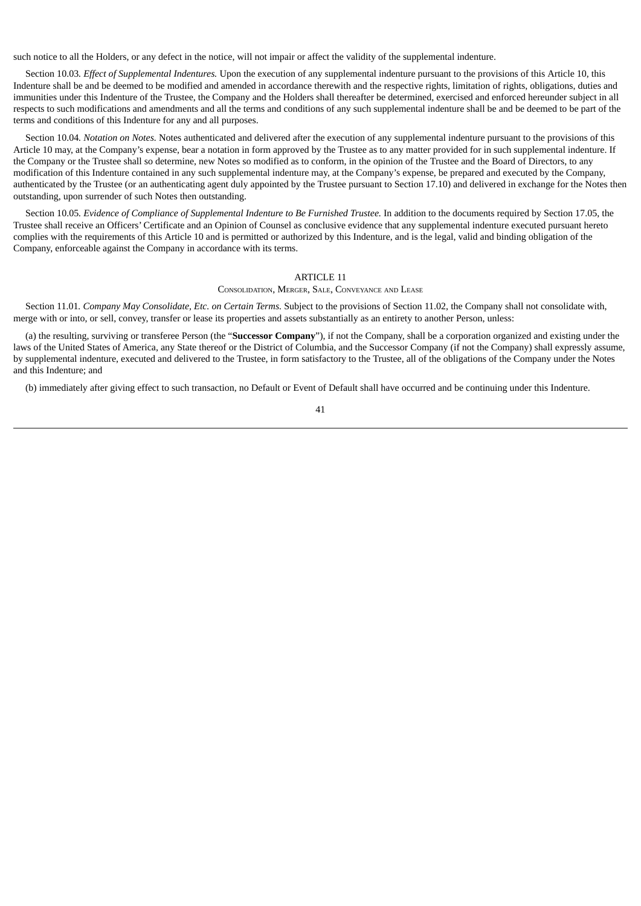such notice to all the Holders, or any defect in the notice, will not impair or affect the validity of the supplemental indenture.

Section 10.03*. Effect of Supplemental Indentures.* Upon the execution of any supplemental indenture pursuant to the provisions of this Article 10, this Indenture shall be and be deemed to be modified and amended in accordance therewith and the respective rights, limitation of rights, obligations, duties and immunities under this Indenture of the Trustee, the Company and the Holders shall thereafter be determined, exercised and enforced hereunder subject in all respects to such modifications and amendments and all the terms and conditions of any such supplemental indenture shall be and be deemed to be part of the terms and conditions of this Indenture for any and all purposes.

Section 10.04*. Notation on Notes.* Notes authenticated and delivered after the execution of any supplemental indenture pursuant to the provisions of this Article 10 may, at the Company's expense, bear a notation in form approved by the Trustee as to any matter provided for in such supplemental indenture. If the Company or the Trustee shall so determine, new Notes so modified as to conform, in the opinion of the Trustee and the Board of Directors, to any modification of this Indenture contained in any such supplemental indenture may, at the Company's expense, be prepared and executed by the Company, authenticated by the Trustee (or an authenticating agent duly appointed by the Trustee pursuant to Section 17.10) and delivered in exchange for the Notes then outstanding, upon surrender of such Notes then outstanding.

Section 10.05. Evidence of Compliance of Supplemental Indenture to Be Furnished Trustee. In addition to the documents required by Section 17.05, the Trustee shall receive an Officers' Certificate and an Opinion of Counsel as conclusive evidence that any supplemental indenture executed pursuant hereto complies with the requirements of this Article 10 and is permitted or authorized by this Indenture, and is the legal, valid and binding obligation of the Company, enforceable against the Company in accordance with its terms.

## ARTICLE 11

CONSOLIDATION, MERGER, SALE, CONVEYANCE AND LEASE

Section 11.01*. Company May Consolidate, Etc. on Certain Terms.* Subject to the provisions of Section 11.02, the Company shall not consolidate with, merge with or into, or sell, convey, transfer or lease its properties and assets substantially as an entirety to another Person, unless:

(a) the resulting, surviving or transferee Person (the "**Successor Company**"), if not the Company, shall be a corporation organized and existing under the laws of the United States of America, any State thereof or the District of Columbia, and the Successor Company (if not the Company) shall expressly assume, by supplemental indenture, executed and delivered to the Trustee, in form satisfactory to the Trustee, all of the obligations of the Company under the Notes and this Indenture; and

(b) immediately after giving effect to such transaction, no Default or Event of Default shall have occurred and be continuing under this Indenture.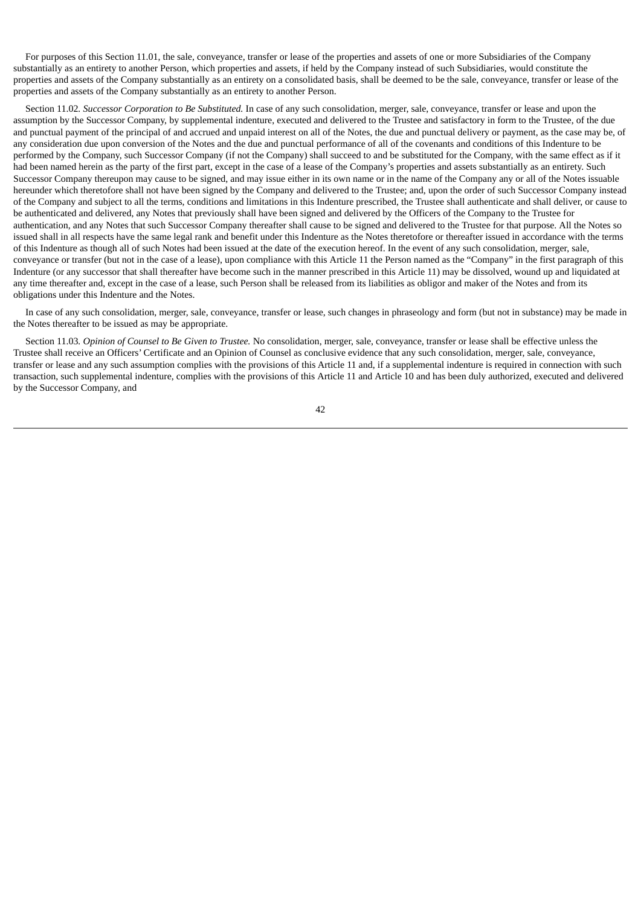For purposes of this Section 11.01, the sale, conveyance, transfer or lease of the properties and assets of one or more Subsidiaries of the Company substantially as an entirety to another Person, which properties and assets, if held by the Company instead of such Subsidiaries, would constitute the properties and assets of the Company substantially as an entirety on a consolidated basis, shall be deemed to be the sale, conveyance, transfer or lease of the properties and assets of the Company substantially as an entirety to another Person.

Section 11.02*. Successor Corporation to Be Substituted.* In case of any such consolidation, merger, sale, conveyance, transfer or lease and upon the assumption by the Successor Company, by supplemental indenture, executed and delivered to the Trustee and satisfactory in form to the Trustee, of the due and punctual payment of the principal of and accrued and unpaid interest on all of the Notes, the due and punctual delivery or payment, as the case may be, of any consideration due upon conversion of the Notes and the due and punctual performance of all of the covenants and conditions of this Indenture to be performed by the Company, such Successor Company (if not the Company) shall succeed to and be substituted for the Company, with the same effect as if it had been named herein as the party of the first part, except in the case of a lease of the Company's properties and assets substantially as an entirety. Such Successor Company thereupon may cause to be signed, and may issue either in its own name or in the name of the Company any or all of the Notes issuable hereunder which theretofore shall not have been signed by the Company and delivered to the Trustee; and, upon the order of such Successor Company instead of the Company and subject to all the terms, conditions and limitations in this Indenture prescribed, the Trustee shall authenticate and shall deliver, or cause to be authenticated and delivered, any Notes that previously shall have been signed and delivered by the Officers of the Company to the Trustee for authentication, and any Notes that such Successor Company thereafter shall cause to be signed and delivered to the Trustee for that purpose. All the Notes so issued shall in all respects have the same legal rank and benefit under this Indenture as the Notes theretofore or thereafter issued in accordance with the terms of this Indenture as though all of such Notes had been issued at the date of the execution hereof. In the event of any such consolidation, merger, sale, conveyance or transfer (but not in the case of a lease), upon compliance with this Article 11 the Person named as the "Company" in the first paragraph of this Indenture (or any successor that shall thereafter have become such in the manner prescribed in this Article 11) may be dissolved, wound up and liquidated at any time thereafter and, except in the case of a lease, such Person shall be released from its liabilities as obligor and maker of the Notes and from its obligations under this Indenture and the Notes.

In case of any such consolidation, merger, sale, conveyance, transfer or lease, such changes in phraseology and form (but not in substance) may be made in the Notes thereafter to be issued as may be appropriate.

Section 11.03*. Opinion of Counsel to Be Given to Trustee.* No consolidation, merger, sale, conveyance, transfer or lease shall be effective unless the Trustee shall receive an Officers' Certificate and an Opinion of Counsel as conclusive evidence that any such consolidation, merger, sale, conveyance, transfer or lease and any such assumption complies with the provisions of this Article 11 and, if a supplemental indenture is required in connection with such transaction, such supplemental indenture, complies with the provisions of this Article 11 and Article 10 and has been duly authorized, executed and delivered by the Successor Company, and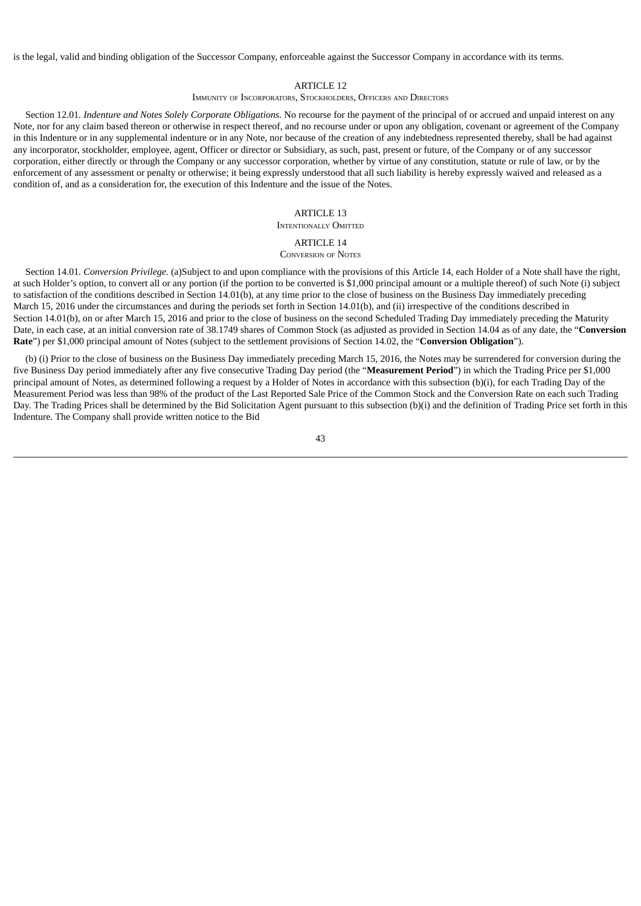is the legal, valid and binding obligation of the Successor Company, enforceable against the Successor Company in accordance with its terms.

### ARTICLE 12

### IMMUNITY OF INCORPORATORS, STOCKHOLDERS, OFFICERS AND DIRECTORS

Section 12.01*. Indenture and Notes Solely Corporate Obligations.* No recourse for the payment of the principal of or accrued and unpaid interest on any Note, nor for any claim based thereon or otherwise in respect thereof, and no recourse under or upon any obligation, covenant or agreement of the Company in this Indenture or in any supplemental indenture or in any Note, nor because of the creation of any indebtedness represented thereby, shall be had against any incorporator, stockholder, employee, agent, Officer or director or Subsidiary, as such, past, present or future, of the Company or of any successor corporation, either directly or through the Company or any successor corporation, whether by virtue of any constitution, statute or rule of law, or by the enforcement of any assessment or penalty or otherwise; it being expressly understood that all such liability is hereby expressly waived and released as a condition of, and as a consideration for, the execution of this Indenture and the issue of the Notes.

### ARTICLE 13

### INTENTIONALLY OMITTED

# ARTICLE 14

CONVERSION OF NOTES

Section 14.01*. Conversion Privilege.* (a)Subject to and upon compliance with the provisions of this Article 14, each Holder of a Note shall have the right, at such Holder's option, to convert all or any portion (if the portion to be converted is \$1,000 principal amount or a multiple thereof) of such Note (i) subject to satisfaction of the conditions described in Section 14.01(b), at any time prior to the close of business on the Business Day immediately preceding March 15, 2016 under the circumstances and during the periods set forth in Section 14.01(b), and (ii) irrespective of the conditions described in Section 14.01(b), on or after March 15, 2016 and prior to the close of business on the second Scheduled Trading Day immediately preceding the Maturity Date, in each case, at an initial conversion rate of 38.1749 shares of Common Stock (as adjusted as provided in Section 14.04 as of any date, the "**Conversion Rate**") per \$1,000 principal amount of Notes (subject to the settlement provisions of Section 14.02, the "**Conversion Obligation**").

(b) (i) Prior to the close of business on the Business Day immediately preceding March 15, 2016, the Notes may be surrendered for conversion during the five Business Day period immediately after any five consecutive Trading Day period (the "**Measurement Period**") in which the Trading Price per \$1,000 principal amount of Notes, as determined following a request by a Holder of Notes in accordance with this subsection (b)(i), for each Trading Day of the Measurement Period was less than 98% of the product of the Last Reported Sale Price of the Common Stock and the Conversion Rate on each such Trading Day. The Trading Prices shall be determined by the Bid Solicitation Agent pursuant to this subsection (b)(i) and the definition of Trading Price set forth in this Indenture. The Company shall provide written notice to the Bid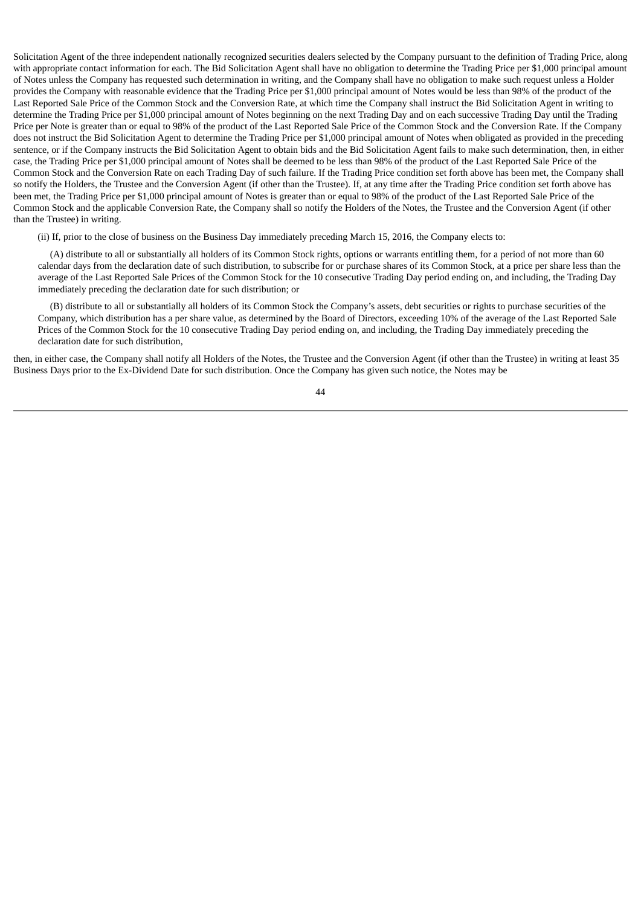Solicitation Agent of the three independent nationally recognized securities dealers selected by the Company pursuant to the definition of Trading Price, along with appropriate contact information for each. The Bid Solicitation Agent shall have no obligation to determine the Trading Price per \$1,000 principal amount of Notes unless the Company has requested such determination in writing, and the Company shall have no obligation to make such request unless a Holder provides the Company with reasonable evidence that the Trading Price per \$1,000 principal amount of Notes would be less than 98% of the product of the Last Reported Sale Price of the Common Stock and the Conversion Rate, at which time the Company shall instruct the Bid Solicitation Agent in writing to determine the Trading Price per \$1,000 principal amount of Notes beginning on the next Trading Day and on each successive Trading Day until the Trading Price per Note is greater than or equal to 98% of the product of the Last Reported Sale Price of the Common Stock and the Conversion Rate. If the Company does not instruct the Bid Solicitation Agent to determine the Trading Price per \$1,000 principal amount of Notes when obligated as provided in the preceding sentence, or if the Company instructs the Bid Solicitation Agent to obtain bids and the Bid Solicitation Agent fails to make such determination, then, in either case, the Trading Price per \$1,000 principal amount of Notes shall be deemed to be less than 98% of the product of the Last Reported Sale Price of the Common Stock and the Conversion Rate on each Trading Day of such failure. If the Trading Price condition set forth above has been met, the Company shall so notify the Holders, the Trustee and the Conversion Agent (if other than the Trustee). If, at any time after the Trading Price condition set forth above has been met, the Trading Price per \$1,000 principal amount of Notes is greater than or equal to 98% of the product of the Last Reported Sale Price of the Common Stock and the applicable Conversion Rate, the Company shall so notify the Holders of the Notes, the Trustee and the Conversion Agent (if other than the Trustee) in writing.

(ii) If, prior to the close of business on the Business Day immediately preceding March 15, 2016, the Company elects to:

(A) distribute to all or substantially all holders of its Common Stock rights, options or warrants entitling them, for a period of not more than 60 calendar days from the declaration date of such distribution, to subscribe for or purchase shares of its Common Stock, at a price per share less than the average of the Last Reported Sale Prices of the Common Stock for the 10 consecutive Trading Day period ending on, and including, the Trading Day immediately preceding the declaration date for such distribution; or

(B) distribute to all or substantially all holders of its Common Stock the Company's assets, debt securities or rights to purchase securities of the Company, which distribution has a per share value, as determined by the Board of Directors, exceeding 10% of the average of the Last Reported Sale Prices of the Common Stock for the 10 consecutive Trading Day period ending on, and including, the Trading Day immediately preceding the declaration date for such distribution,

then, in either case, the Company shall notify all Holders of the Notes, the Trustee and the Conversion Agent (if other than the Trustee) in writing at least 35 Business Days prior to the Ex-Dividend Date for such distribution. Once the Company has given such notice, the Notes may be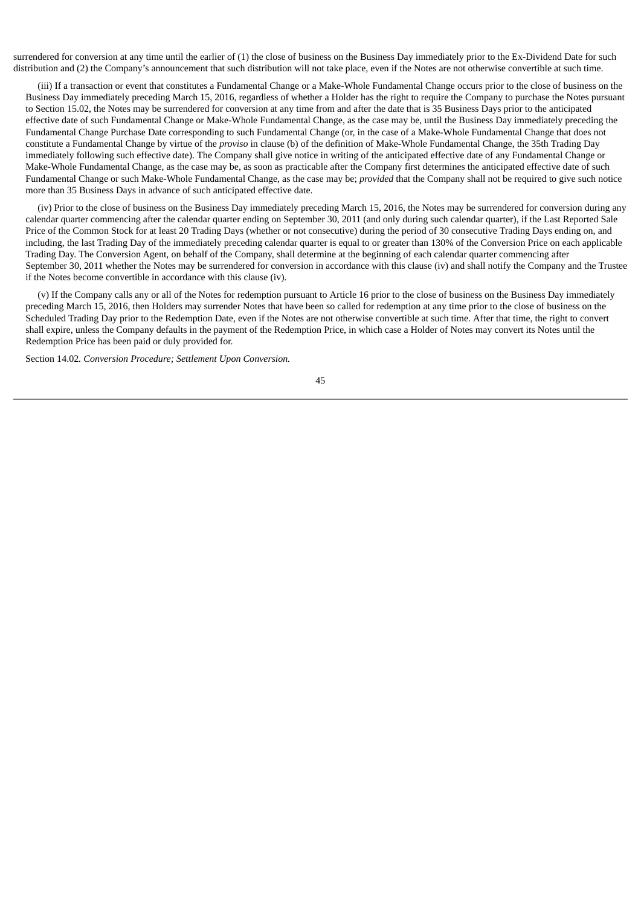surrendered for conversion at any time until the earlier of (1) the close of business on the Business Day immediately prior to the Ex-Dividend Date for such distribution and (2) the Company's announcement that such distribution will not take place, even if the Notes are not otherwise convertible at such time.

(iii) If a transaction or event that constitutes a Fundamental Change or a Make-Whole Fundamental Change occurs prior to the close of business on the Business Day immediately preceding March 15, 2016, regardless of whether a Holder has the right to require the Company to purchase the Notes pursuant to Section 15.02, the Notes may be surrendered for conversion at any time from and after the date that is 35 Business Days prior to the anticipated effective date of such Fundamental Change or Make-Whole Fundamental Change, as the case may be, until the Business Day immediately preceding the Fundamental Change Purchase Date corresponding to such Fundamental Change (or, in the case of a Make-Whole Fundamental Change that does not constitute a Fundamental Change by virtue of the *proviso* in clause (b) of the definition of Make-Whole Fundamental Change, the 35th Trading Day immediately following such effective date). The Company shall give notice in writing of the anticipated effective date of any Fundamental Change or Make-Whole Fundamental Change, as the case may be, as soon as practicable after the Company first determines the anticipated effective date of such Fundamental Change or such Make-Whole Fundamental Change, as the case may be; *provided* that the Company shall not be required to give such notice more than 35 Business Days in advance of such anticipated effective date.

(iv) Prior to the close of business on the Business Day immediately preceding March 15, 2016, the Notes may be surrendered for conversion during any calendar quarter commencing after the calendar quarter ending on September 30, 2011 (and only during such calendar quarter), if the Last Reported Sale Price of the Common Stock for at least 20 Trading Days (whether or not consecutive) during the period of 30 consecutive Trading Days ending on, and including, the last Trading Day of the immediately preceding calendar quarter is equal to or greater than 130% of the Conversion Price on each applicable Trading Day. The Conversion Agent, on behalf of the Company, shall determine at the beginning of each calendar quarter commencing after September 30, 2011 whether the Notes may be surrendered for conversion in accordance with this clause (iv) and shall notify the Company and the Trustee if the Notes become convertible in accordance with this clause (iv).

(v) If the Company calls any or all of the Notes for redemption pursuant to Article 16 prior to the close of business on the Business Day immediately preceding March 15, 2016, then Holders may surrender Notes that have been so called for redemption at any time prior to the close of business on the Scheduled Trading Day prior to the Redemption Date, even if the Notes are not otherwise convertible at such time. After that time, the right to convert shall expire, unless the Company defaults in the payment of the Redemption Price, in which case a Holder of Notes may convert its Notes until the Redemption Price has been paid or duly provided for.

Section 14.02*. Conversion Procedure; Settlement Upon Conversion.*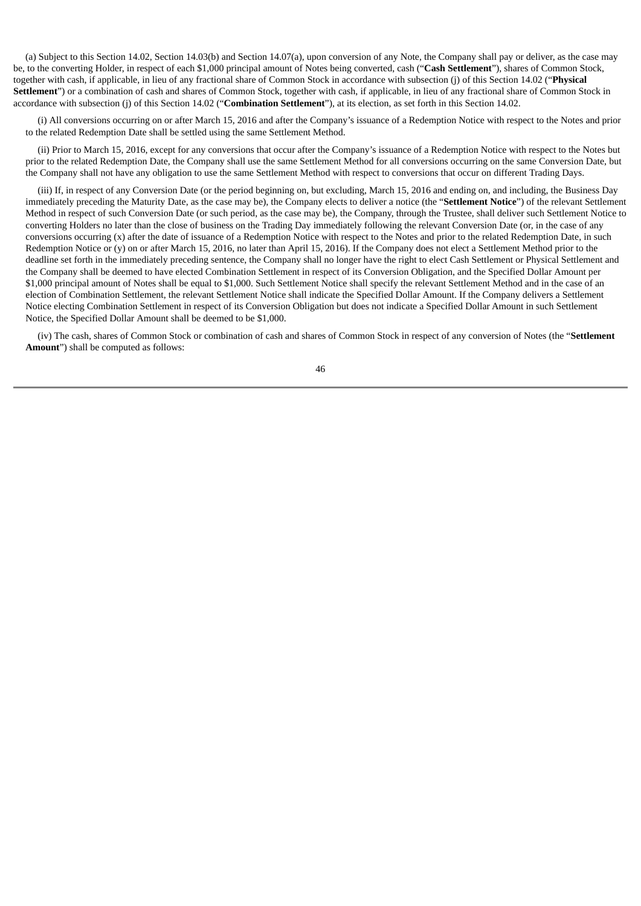(a) Subject to this Section 14.02, Section 14.03(b) and Section 14.07(a), upon conversion of any Note, the Company shall pay or deliver, as the case may be, to the converting Holder, in respect of each \$1,000 principal amount of Notes being converted, cash ("**Cash Settlement**"), shares of Common Stock, together with cash, if applicable, in lieu of any fractional share of Common Stock in accordance with subsection (j) of this Section 14.02 ("**Physical Settlement**") or a combination of cash and shares of Common Stock, together with cash, if applicable, in lieu of any fractional share of Common Stock in accordance with subsection (j) of this Section 14.02 ("**Combination Settlement**"), at its election, as set forth in this Section 14.02.

(i) All conversions occurring on or after March 15, 2016 and after the Company's issuance of a Redemption Notice with respect to the Notes and prior to the related Redemption Date shall be settled using the same Settlement Method.

(ii) Prior to March 15, 2016, except for any conversions that occur after the Company's issuance of a Redemption Notice with respect to the Notes but prior to the related Redemption Date, the Company shall use the same Settlement Method for all conversions occurring on the same Conversion Date, but the Company shall not have any obligation to use the same Settlement Method with respect to conversions that occur on different Trading Days.

(iii) If, in respect of any Conversion Date (or the period beginning on, but excluding, March 15, 2016 and ending on, and including, the Business Day immediately preceding the Maturity Date, as the case may be), the Company elects to deliver a notice (the "**Settlement Notice**") of the relevant Settlement Method in respect of such Conversion Date (or such period, as the case may be), the Company, through the Trustee, shall deliver such Settlement Notice to converting Holders no later than the close of business on the Trading Day immediately following the relevant Conversion Date (or, in the case of any conversions occurring (x) after the date of issuance of a Redemption Notice with respect to the Notes and prior to the related Redemption Date, in such Redemption Notice or (y) on or after March 15, 2016, no later than April 15, 2016). If the Company does not elect a Settlement Method prior to the deadline set forth in the immediately preceding sentence, the Company shall no longer have the right to elect Cash Settlement or Physical Settlement and the Company shall be deemed to have elected Combination Settlement in respect of its Conversion Obligation, and the Specified Dollar Amount per \$1,000 principal amount of Notes shall be equal to \$1,000. Such Settlement Notice shall specify the relevant Settlement Method and in the case of an election of Combination Settlement, the relevant Settlement Notice shall indicate the Specified Dollar Amount. If the Company delivers a Settlement Notice electing Combination Settlement in respect of its Conversion Obligation but does not indicate a Specified Dollar Amount in such Settlement Notice, the Specified Dollar Amount shall be deemed to be \$1,000.

(iv) The cash, shares of Common Stock or combination of cash and shares of Common Stock in respect of any conversion of Notes (the "**Settlement Amount**") shall be computed as follows: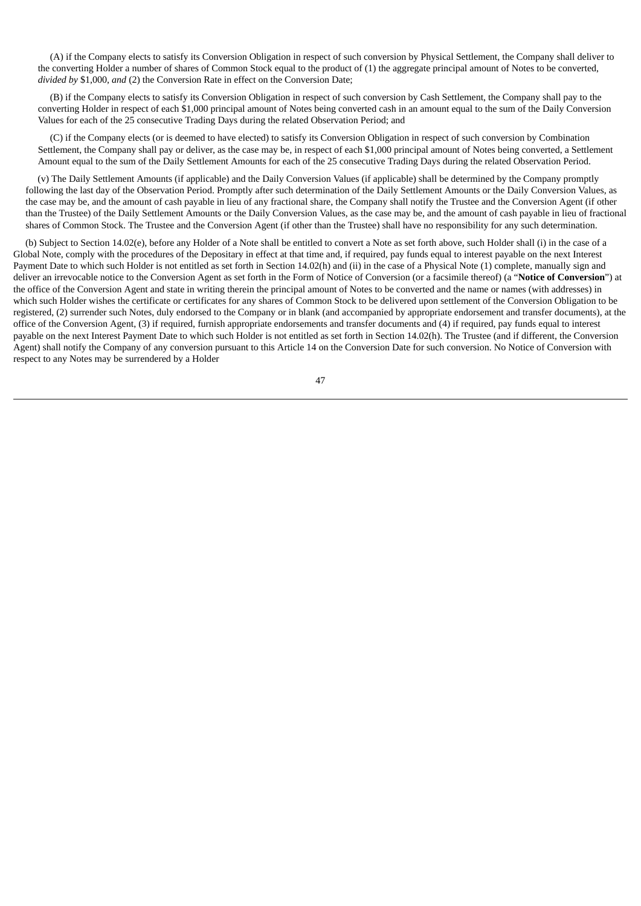(A) if the Company elects to satisfy its Conversion Obligation in respect of such conversion by Physical Settlement, the Company shall deliver to the converting Holder a number of shares of Common Stock equal to the product of (1) the aggregate principal amount of Notes to be converted, *divided by* \$1,000, *and* (2) the Conversion Rate in effect on the Conversion Date;

(B) if the Company elects to satisfy its Conversion Obligation in respect of such conversion by Cash Settlement, the Company shall pay to the converting Holder in respect of each \$1,000 principal amount of Notes being converted cash in an amount equal to the sum of the Daily Conversion Values for each of the 25 consecutive Trading Days during the related Observation Period; and

(C) if the Company elects (or is deemed to have elected) to satisfy its Conversion Obligation in respect of such conversion by Combination Settlement, the Company shall pay or deliver, as the case may be, in respect of each \$1,000 principal amount of Notes being converted, a Settlement Amount equal to the sum of the Daily Settlement Amounts for each of the 25 consecutive Trading Days during the related Observation Period.

(v) The Daily Settlement Amounts (if applicable) and the Daily Conversion Values (if applicable) shall be determined by the Company promptly following the last day of the Observation Period. Promptly after such determination of the Daily Settlement Amounts or the Daily Conversion Values, as the case may be, and the amount of cash payable in lieu of any fractional share, the Company shall notify the Trustee and the Conversion Agent (if other than the Trustee) of the Daily Settlement Amounts or the Daily Conversion Values, as the case may be, and the amount of cash payable in lieu of fractional shares of Common Stock. The Trustee and the Conversion Agent (if other than the Trustee) shall have no responsibility for any such determination.

(b) Subject to Section 14.02(e), before any Holder of a Note shall be entitled to convert a Note as set forth above, such Holder shall (i) in the case of a Global Note, comply with the procedures of the Depositary in effect at that time and, if required, pay funds equal to interest payable on the next Interest Payment Date to which such Holder is not entitled as set forth in Section 14.02(h) and (ii) in the case of a Physical Note (1) complete, manually sign and deliver an irrevocable notice to the Conversion Agent as set forth in the Form of Notice of Conversion (or a facsimile thereof) (a "**Notice of Conversion**") at the office of the Conversion Agent and state in writing therein the principal amount of Notes to be converted and the name or names (with addresses) in which such Holder wishes the certificate or certificates for any shares of Common Stock to be delivered upon settlement of the Conversion Obligation to be registered, (2) surrender such Notes, duly endorsed to the Company or in blank (and accompanied by appropriate endorsement and transfer documents), at the office of the Conversion Agent, (3) if required, furnish appropriate endorsements and transfer documents and (4) if required, pay funds equal to interest payable on the next Interest Payment Date to which such Holder is not entitled as set forth in Section 14.02(h). The Trustee (and if different, the Conversion Agent) shall notify the Company of any conversion pursuant to this Article 14 on the Conversion Date for such conversion. No Notice of Conversion with respect to any Notes may be surrendered by a Holder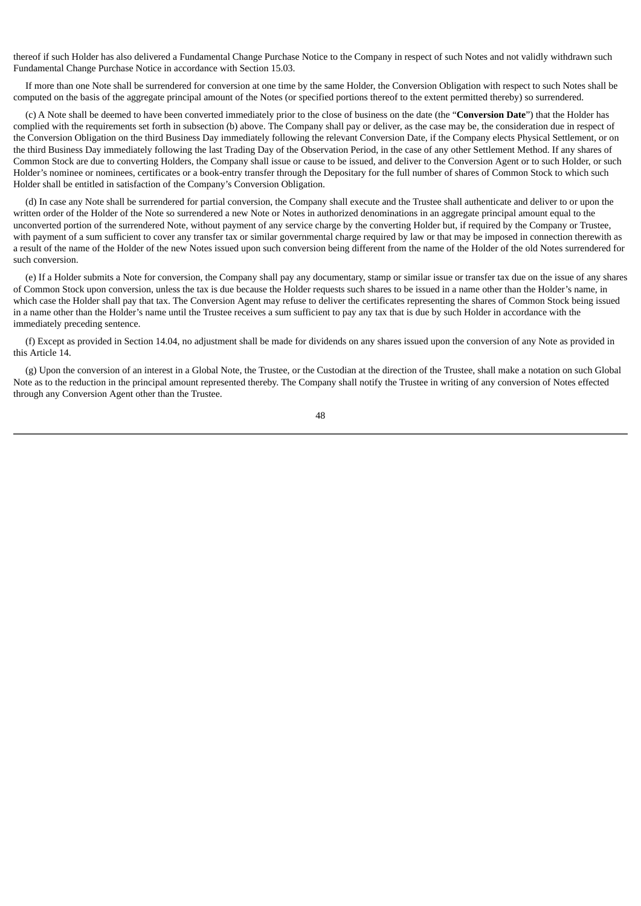thereof if such Holder has also delivered a Fundamental Change Purchase Notice to the Company in respect of such Notes and not validly withdrawn such Fundamental Change Purchase Notice in accordance with Section 15.03.

If more than one Note shall be surrendered for conversion at one time by the same Holder, the Conversion Obligation with respect to such Notes shall be computed on the basis of the aggregate principal amount of the Notes (or specified portions thereof to the extent permitted thereby) so surrendered.

(c) A Note shall be deemed to have been converted immediately prior to the close of business on the date (the "**Conversion Date**") that the Holder has complied with the requirements set forth in subsection (b) above. The Company shall pay or deliver, as the case may be, the consideration due in respect of the Conversion Obligation on the third Business Day immediately following the relevant Conversion Date, if the Company elects Physical Settlement, or on the third Business Day immediately following the last Trading Day of the Observation Period, in the case of any other Settlement Method. If any shares of Common Stock are due to converting Holders, the Company shall issue or cause to be issued, and deliver to the Conversion Agent or to such Holder, or such Holder's nominee or nominees, certificates or a book-entry transfer through the Depositary for the full number of shares of Common Stock to which such Holder shall be entitled in satisfaction of the Company's Conversion Obligation.

(d) In case any Note shall be surrendered for partial conversion, the Company shall execute and the Trustee shall authenticate and deliver to or upon the written order of the Holder of the Note so surrendered a new Note or Notes in authorized denominations in an aggregate principal amount equal to the unconverted portion of the surrendered Note, without payment of any service charge by the converting Holder but, if required by the Company or Trustee, with payment of a sum sufficient to cover any transfer tax or similar governmental charge required by law or that may be imposed in connection therewith as a result of the name of the Holder of the new Notes issued upon such conversion being different from the name of the Holder of the old Notes surrendered for such conversion.

(e) If a Holder submits a Note for conversion, the Company shall pay any documentary, stamp or similar issue or transfer tax due on the issue of any shares of Common Stock upon conversion, unless the tax is due because the Holder requests such shares to be issued in a name other than the Holder's name, in which case the Holder shall pay that tax. The Conversion Agent may refuse to deliver the certificates representing the shares of Common Stock being issued in a name other than the Holder's name until the Trustee receives a sum sufficient to pay any tax that is due by such Holder in accordance with the immediately preceding sentence.

(f) Except as provided in Section 14.04, no adjustment shall be made for dividends on any shares issued upon the conversion of any Note as provided in this Article 14.

(g) Upon the conversion of an interest in a Global Note, the Trustee, or the Custodian at the direction of the Trustee, shall make a notation on such Global Note as to the reduction in the principal amount represented thereby. The Company shall notify the Trustee in writing of any conversion of Notes effected through any Conversion Agent other than the Trustee.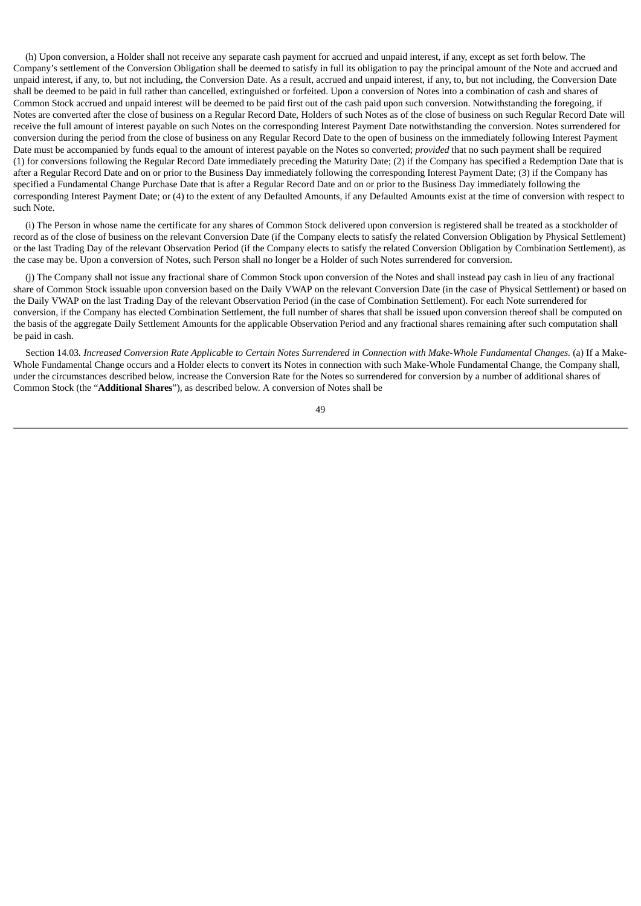(h) Upon conversion, a Holder shall not receive any separate cash payment for accrued and unpaid interest, if any, except as set forth below. The Company's settlement of the Conversion Obligation shall be deemed to satisfy in full its obligation to pay the principal amount of the Note and accrued and unpaid interest, if any, to, but not including, the Conversion Date. As a result, accrued and unpaid interest, if any, to, but not including, the Conversion Date shall be deemed to be paid in full rather than cancelled, extinguished or forfeited. Upon a conversion of Notes into a combination of cash and shares of Common Stock accrued and unpaid interest will be deemed to be paid first out of the cash paid upon such conversion. Notwithstanding the foregoing, if Notes are converted after the close of business on a Regular Record Date, Holders of such Notes as of the close of business on such Regular Record Date will receive the full amount of interest payable on such Notes on the corresponding Interest Payment Date notwithstanding the conversion. Notes surrendered for conversion during the period from the close of business on any Regular Record Date to the open of business on the immediately following Interest Payment Date must be accompanied by funds equal to the amount of interest payable on the Notes so converted; *provided* that no such payment shall be required (1) for conversions following the Regular Record Date immediately preceding the Maturity Date; (2) if the Company has specified a Redemption Date that is after a Regular Record Date and on or prior to the Business Day immediately following the corresponding Interest Payment Date; (3) if the Company has specified a Fundamental Change Purchase Date that is after a Regular Record Date and on or prior to the Business Day immediately following the corresponding Interest Payment Date; or (4) to the extent of any Defaulted Amounts, if any Defaulted Amounts exist at the time of conversion with respect to such Note.

(i) The Person in whose name the certificate for any shares of Common Stock delivered upon conversion is registered shall be treated as a stockholder of record as of the close of business on the relevant Conversion Date (if the Company elects to satisfy the related Conversion Obligation by Physical Settlement) or the last Trading Day of the relevant Observation Period (if the Company elects to satisfy the related Conversion Obligation by Combination Settlement), as the case may be. Upon a conversion of Notes, such Person shall no longer be a Holder of such Notes surrendered for conversion.

(j) The Company shall not issue any fractional share of Common Stock upon conversion of the Notes and shall instead pay cash in lieu of any fractional share of Common Stock issuable upon conversion based on the Daily VWAP on the relevant Conversion Date (in the case of Physical Settlement) or based on the Daily VWAP on the last Trading Day of the relevant Observation Period (in the case of Combination Settlement). For each Note surrendered for conversion, if the Company has elected Combination Settlement, the full number of shares that shall be issued upon conversion thereof shall be computed on the basis of the aggregate Daily Settlement Amounts for the applicable Observation Period and any fractional shares remaining after such computation shall be paid in cash.

Section 14.03. Increased Conversion Rate Applicable to Certain Notes Surrendered in Connection with Make-Whole Fundamental Changes. (a) If a Make-Whole Fundamental Change occurs and a Holder elects to convert its Notes in connection with such Make-Whole Fundamental Change, the Company shall, under the circumstances described below, increase the Conversion Rate for the Notes so surrendered for conversion by a number of additional shares of Common Stock (the "**Additional Shares**"), as described below. A conversion of Notes shall be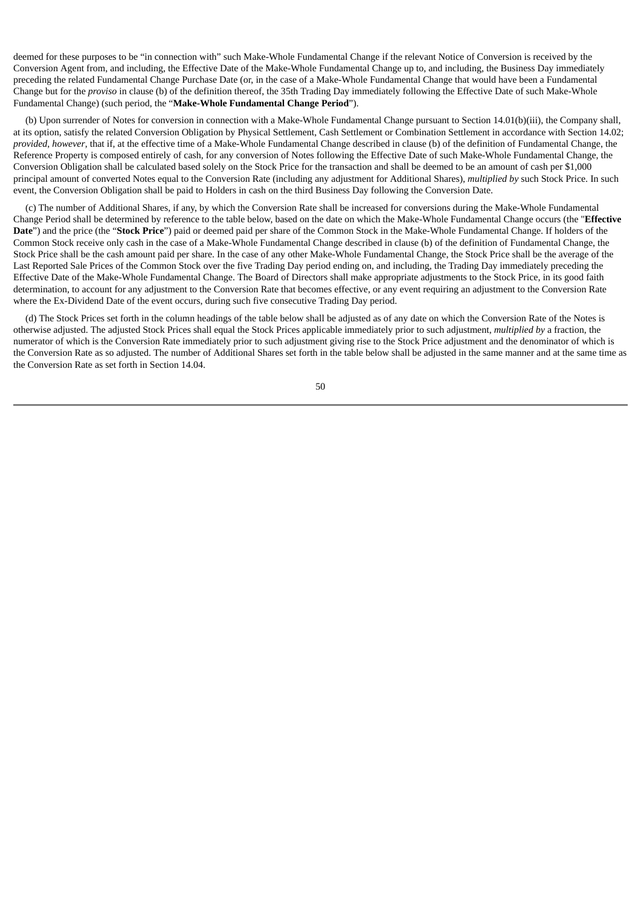deemed for these purposes to be "in connection with" such Make-Whole Fundamental Change if the relevant Notice of Conversion is received by the Conversion Agent from, and including, the Effective Date of the Make-Whole Fundamental Change up to, and including, the Business Day immediately preceding the related Fundamental Change Purchase Date (or, in the case of a Make-Whole Fundamental Change that would have been a Fundamental Change but for the *proviso* in clause (b) of the definition thereof, the 35th Trading Day immediately following the Effective Date of such Make-Whole Fundamental Change) (such period, the "**Make-Whole Fundamental Change Period**").

(b) Upon surrender of Notes for conversion in connection with a Make-Whole Fundamental Change pursuant to Section 14.01(b)(iii), the Company shall, at its option, satisfy the related Conversion Obligation by Physical Settlement, Cash Settlement or Combination Settlement in accordance with Section 14.02; *provided*, *however*, that if, at the effective time of a Make-Whole Fundamental Change described in clause (b) of the definition of Fundamental Change, the Reference Property is composed entirely of cash, for any conversion of Notes following the Effective Date of such Make-Whole Fundamental Change, the Conversion Obligation shall be calculated based solely on the Stock Price for the transaction and shall be deemed to be an amount of cash per \$1,000 principal amount of converted Notes equal to the Conversion Rate (including any adjustment for Additional Shares), *multiplied by* such Stock Price. In such event, the Conversion Obligation shall be paid to Holders in cash on the third Business Day following the Conversion Date.

(c) The number of Additional Shares, if any, by which the Conversion Rate shall be increased for conversions during the Make-Whole Fundamental Change Period shall be determined by reference to the table below, based on the date on which the Make-Whole Fundamental Change occurs (the "**Effective Date**") and the price (the "**Stock Price**") paid or deemed paid per share of the Common Stock in the Make-Whole Fundamental Change. If holders of the Common Stock receive only cash in the case of a Make-Whole Fundamental Change described in clause (b) of the definition of Fundamental Change, the Stock Price shall be the cash amount paid per share. In the case of any other Make-Whole Fundamental Change, the Stock Price shall be the average of the Last Reported Sale Prices of the Common Stock over the five Trading Day period ending on, and including, the Trading Day immediately preceding the Effective Date of the Make-Whole Fundamental Change. The Board of Directors shall make appropriate adjustments to the Stock Price, in its good faith determination, to account for any adjustment to the Conversion Rate that becomes effective, or any event requiring an adjustment to the Conversion Rate where the Ex-Dividend Date of the event occurs, during such five consecutive Trading Day period.

(d) The Stock Prices set forth in the column headings of the table below shall be adjusted as of any date on which the Conversion Rate of the Notes is otherwise adjusted. The adjusted Stock Prices shall equal the Stock Prices applicable immediately prior to such adjustment, *multiplied by* a fraction, the numerator of which is the Conversion Rate immediately prior to such adjustment giving rise to the Stock Price adjustment and the denominator of which is the Conversion Rate as so adjusted. The number of Additional Shares set forth in the table below shall be adjusted in the same manner and at the same time as the Conversion Rate as set forth in Section 14.04.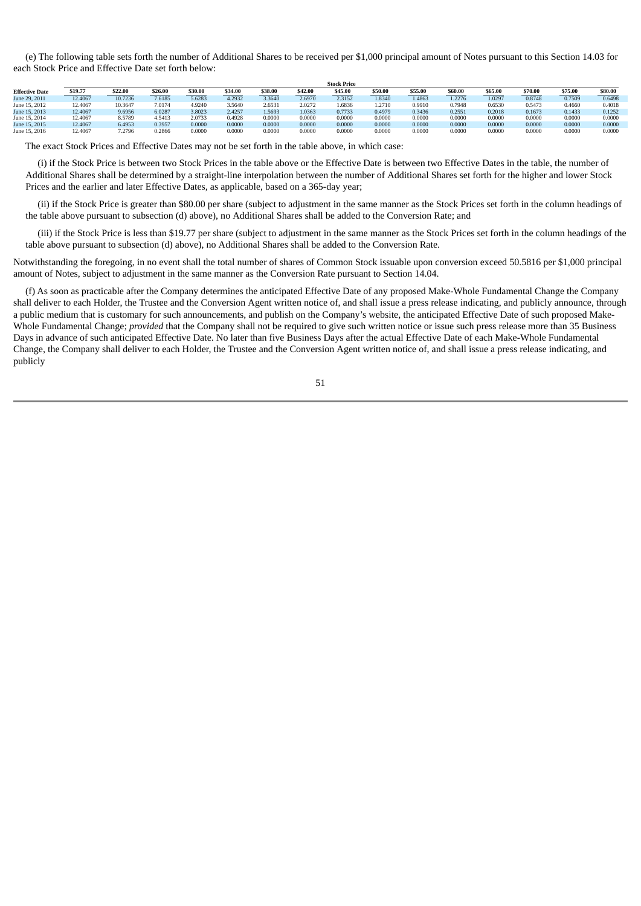(e) The following table sets forth the number of Additional Shares to be received per \$1,000 principal amount of Notes pursuant to this Section 14.03 for each Stock Price and Effective Date set forth below:

|                       | <b>JULAIRE</b> |         |         |         |         |         |         |         |         |        |         |         |         |         |         |
|-----------------------|----------------|---------|---------|---------|---------|---------|---------|---------|---------|--------|---------|---------|---------|---------|---------|
| <b>Effective Date</b> | \$19.77        | \$22.00 | \$26.00 | \$30.00 | \$34.00 | \$38.00 | \$42.00 | \$45.00 | \$50.00 | \$55.0 | \$60.00 | \$65.00 | \$70.00 | \$75.00 | \$80.00 |
| June 29, 2011         | 12.4067        | 10.7236 | 7,6185  | 5.6283  | 4.2932  | 3.3640  | 2.6970  | 2.3152  | 1.8340  | 1.4863 | 1.2276  | 1.0297  | 0.8748  | 0.7509  | 0.6498  |
| June 15, 2012         | 12,4067        | 10.3647 | 7.0174  | 4.9240  | 3.5640  | 2.6531  | 2.0272  | .6836   | 1.2710  | 0.9910 | 0.7948  | 0.6530  | 0.5473  | 0.4660  | 0.4018  |
| June 15, 2013         | 12,4067        | 9.6956  | 6.0287  | 3.8023  | 2.4257  | 1.5693  | 1.0363  | 0.7733  | 0.4979  | 0.3436 | 0.2551  | 0.2018  | 0.1673  | 0.1433  | 0.1252  |
| June 15, 2014         | 12,4067        | 8.5789  | 4.5413  | 2.0733  | 0.4928  | 0.0000  | 0.0000  | 0.0000  | 0.0000  | 0.0000 | 0.0000  | 0.0000  | 0.0000  | 0.0000  | 0.0000  |
| June 15, 2015         | 12,4067        | 6.4953  | 0.3957  | 0.0000  | 0.0000  | 0.0000  | 0.0000  | 0.0000  | 0.0000  | 0.0000 | 0.0000  | 0.0000  | 0.0000  | 0.0000  | 0.0000  |
| June 15, 2016         | 12,4067        | 7.2796  | 0.2866  | 0.0000  | 0.0000  | 0.0000  | 0.0000  | 0.0000  | 0.0000  | 0.0000 | 0.0000  | 0.0000  | 0.0000  | 0.0000  | 0.0000  |

**Stock Price**

The exact Stock Prices and Effective Dates may not be set forth in the table above, in which case:

(i) if the Stock Price is between two Stock Prices in the table above or the Effective Date is between two Effective Dates in the table, the number of Additional Shares shall be determined by a straight-line interpolation between the number of Additional Shares set forth for the higher and lower Stock Prices and the earlier and later Effective Dates, as applicable, based on a 365-day year;

(ii) if the Stock Price is greater than \$80.00 per share (subject to adjustment in the same manner as the Stock Prices set forth in the column headings of the table above pursuant to subsection (d) above), no Additional Shares shall be added to the Conversion Rate; and

(iii) if the Stock Price is less than \$19.77 per share (subject to adjustment in the same manner as the Stock Prices set forth in the column headings of the table above pursuant to subsection (d) above), no Additional Shares shall be added to the Conversion Rate.

Notwithstanding the foregoing, in no event shall the total number of shares of Common Stock issuable upon conversion exceed 50.5816 per \$1,000 principal amount of Notes, subject to adjustment in the same manner as the Conversion Rate pursuant to Section 14.04.

(f) As soon as practicable after the Company determines the anticipated Effective Date of any proposed Make-Whole Fundamental Change the Company shall deliver to each Holder, the Trustee and the Conversion Agent written notice of, and shall issue a press release indicating, and publicly announce, through a public medium that is customary for such announcements, and publish on the Company's website, the anticipated Effective Date of such proposed Make-Whole Fundamental Change; *provided* that the Company shall not be required to give such written notice or issue such press release more than 35 Business Days in advance of such anticipated Effective Date. No later than five Business Days after the actual Effective Date of each Make-Whole Fundamental Change, the Company shall deliver to each Holder, the Trustee and the Conversion Agent written notice of, and shall issue a press release indicating, and publicly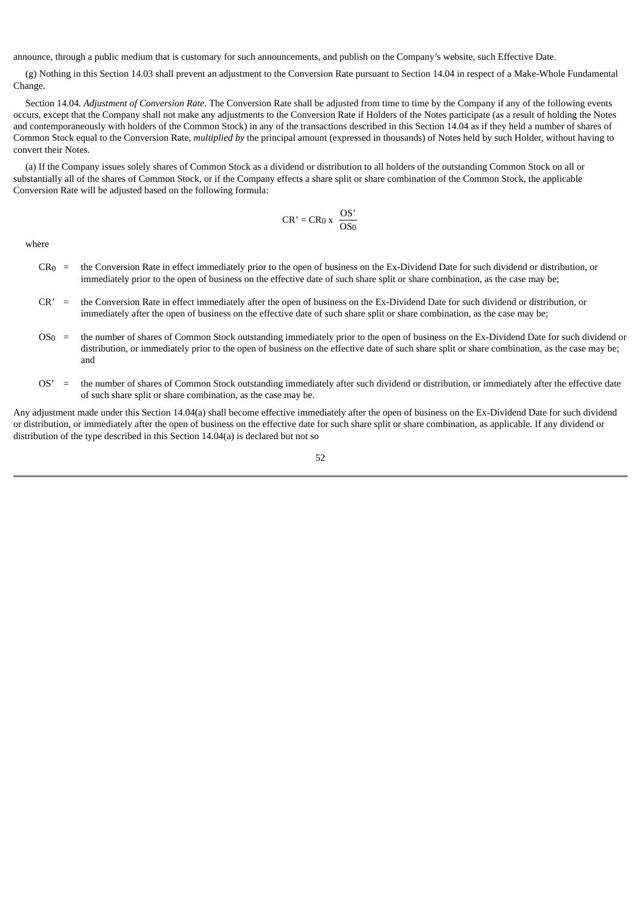announce, through a public medium that is customary for such announcements, and publish on the Company's website, such Effective Date.

(g) Nothing in this Section 14.03 shall prevent an adjustment to the Conversion Rate pursuant to Section 14.04 in respect of a Make-Whole Fundamental Change.

Section 14.04*. Adjustment of Conversion Rate.* The Conversion Rate shall be adjusted from time to time by the Company if any of the following events occurs, except that the Company shall not make any adjustments to the Conversion Rate if Holders of the Notes participate (as a result of holding the Notes and contemporaneously with holders of the Common Stock) in any of the transactions described in this Section 14.04 as if they held a number of shares of Common Stock equal to the Conversion Rate, *multiplied by* the principal amount (expressed in thousands) of Notes held by such Holder, without having to convert their Notes.

(a) If the Company issues solely shares of Common Stock as a dividend or distribution to all holders of the outstanding Common Stock on all or substantially all of the shares of Common Stock, or if the Company effects a share split or share combination of the Common Stock, the applicable Conversion Rate will be adjusted based on the following formula:

$$
CR' = CR_0 x \frac{OS'}{OS_0}
$$

where

- CR0 = the Conversion Rate in effect immediately prior to the open of business on the Ex-Dividend Date for such dividend or distribution, or immediately prior to the open of business on the effective date of such share split or share combination, as the case may be;
- CR' = the Conversion Rate in effect immediately after the open of business on the Ex-Dividend Date for such dividend or distribution, or immediately after the open of business on the effective date of such share split or share combination, as the case may be;
- OS0 = the number of shares of Common Stock outstanding immediately prior to the open of business on the Ex-Dividend Date for such dividend or distribution, or immediately prior to the open of business on the effective date of such share split or share combination, as the case may be; and
- OS' = the number of shares of Common Stock outstanding immediately after such dividend or distribution, or immediately after the effective date of such share split or share combination, as the case may be.

Any adjustment made under this Section 14.04(a) shall become effective immediately after the open of business on the Ex-Dividend Date for such dividend or distribution, or immediately after the open of business on the effective date for such share split or share combination, as applicable. If any dividend or distribution of the type described in this Section 14.04(a) is declared but not so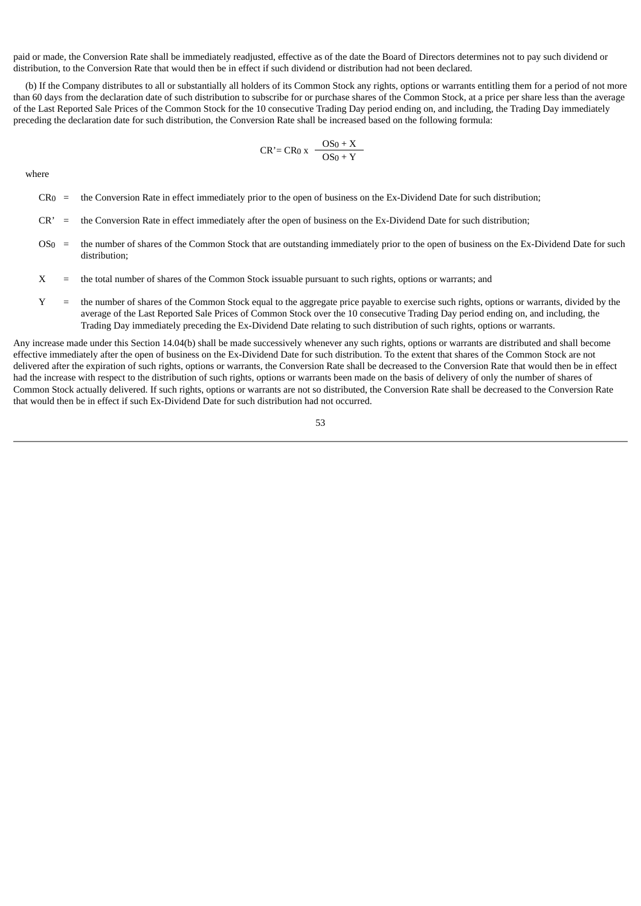paid or made, the Conversion Rate shall be immediately readjusted, effective as of the date the Board of Directors determines not to pay such dividend or distribution, to the Conversion Rate that would then be in effect if such dividend or distribution had not been declared.

(b) If the Company distributes to all or substantially all holders of its Common Stock any rights, options or warrants entitling them for a period of not more than 60 days from the declaration date of such distribution to subscribe for or purchase shares of the Common Stock, at a price per share less than the average of the Last Reported Sale Prices of the Common Stock for the 10 consecutive Trading Day period ending on, and including, the Trading Day immediately preceding the declaration date for such distribution, the Conversion Rate shall be increased based on the following formula:

$$
CR' = CR_0 x \frac{OS_0 + X}{OS_0 + Y}
$$

where

- $CR<sub>0</sub>$  = the Conversion Rate in effect immediately prior to the open of business on the Ex-Dividend Date for such distribution;
- CR' = the Conversion Rate in effect immediately after the open of business on the Ex-Dividend Date for such distribution;
- OS<sub>0</sub> = the number of shares of the Common Stock that are outstanding immediately prior to the open of business on the Ex-Dividend Date for such distribution;
- X = the total number of shares of the Common Stock issuable pursuant to such rights, options or warrants; and
- Y = the number of shares of the Common Stock equal to the aggregate price payable to exercise such rights, options or warrants, divided by the average of the Last Reported Sale Prices of Common Stock over the 10 consecutive Trading Day period ending on, and including, the Trading Day immediately preceding the Ex-Dividend Date relating to such distribution of such rights, options or warrants.

Any increase made under this Section 14.04(b) shall be made successively whenever any such rights, options or warrants are distributed and shall become effective immediately after the open of business on the Ex-Dividend Date for such distribution. To the extent that shares of the Common Stock are not delivered after the expiration of such rights, options or warrants, the Conversion Rate shall be decreased to the Conversion Rate that would then be in effect had the increase with respect to the distribution of such rights, options or warrants been made on the basis of delivery of only the number of shares of Common Stock actually delivered. If such rights, options or warrants are not so distributed, the Conversion Rate shall be decreased to the Conversion Rate that would then be in effect if such Ex-Dividend Date for such distribution had not occurred.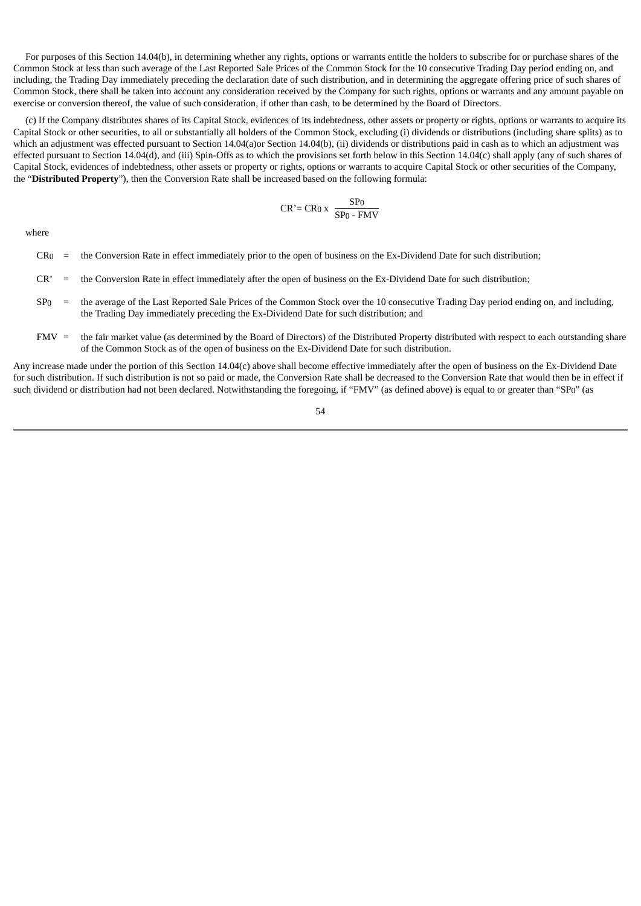For purposes of this Section 14.04(b), in determining whether any rights, options or warrants entitle the holders to subscribe for or purchase shares of the Common Stock at less than such average of the Last Reported Sale Prices of the Common Stock for the 10 consecutive Trading Day period ending on, and including, the Trading Day immediately preceding the declaration date of such distribution, and in determining the aggregate offering price of such shares of Common Stock, there shall be taken into account any consideration received by the Company for such rights, options or warrants and any amount payable on exercise or conversion thereof, the value of such consideration, if other than cash, to be determined by the Board of Directors.

(c) If the Company distributes shares of its Capital Stock, evidences of its indebtedness, other assets or property or rights, options or warrants to acquire its Capital Stock or other securities, to all or substantially all holders of the Common Stock, excluding (i) dividends or distributions (including share splits) as to which an adjustment was effected pursuant to Section 14.04(a)or Section 14.04(b), (ii) dividends or distributions paid in cash as to which an adjustment was effected pursuant to Section 14.04(d), and (iii) Spin-Offs as to which the provisions set forth below in this Section 14.04(c) shall apply (any of such shares of Capital Stock, evidences of indebtedness, other assets or property or rights, options or warrants to acquire Capital Stock or other securities of the Company, the "**Distributed Property**"), then the Conversion Rate shall be increased based on the following formula:

$$
CR' = CR_0 x \frac{SP_0}{SP_0 - FMV}
$$

where

- $CR<sub>0</sub>$  = the Conversion Rate in effect immediately prior to the open of business on the Ex-Dividend Date for such distribution;
- CR' = the Conversion Rate in effect immediately after the open of business on the Ex-Dividend Date for such distribution;
- $Sp<sub>0</sub>$  = the average of the Last Reported Sale Prices of the Common Stock over the 10 consecutive Trading Day period ending on, and including, the Trading Day immediately preceding the Ex-Dividend Date for such distribution; and
- FMV = the fair market value (as determined by the Board of Directors) of the Distributed Property distributed with respect to each outstanding share of the Common Stock as of the open of business on the Ex-Dividend Date for such distribution.

Any increase made under the portion of this Section 14.04(c) above shall become effective immediately after the open of business on the Ex-Dividend Date for such distribution. If such distribution is not so paid or made, the Conversion Rate shall be decreased to the Conversion Rate that would then be in effect if such dividend or distribution had not been declared. Notwithstanding the foregoing, if "FMV" (as defined above) is equal to or greater than "SP0" (as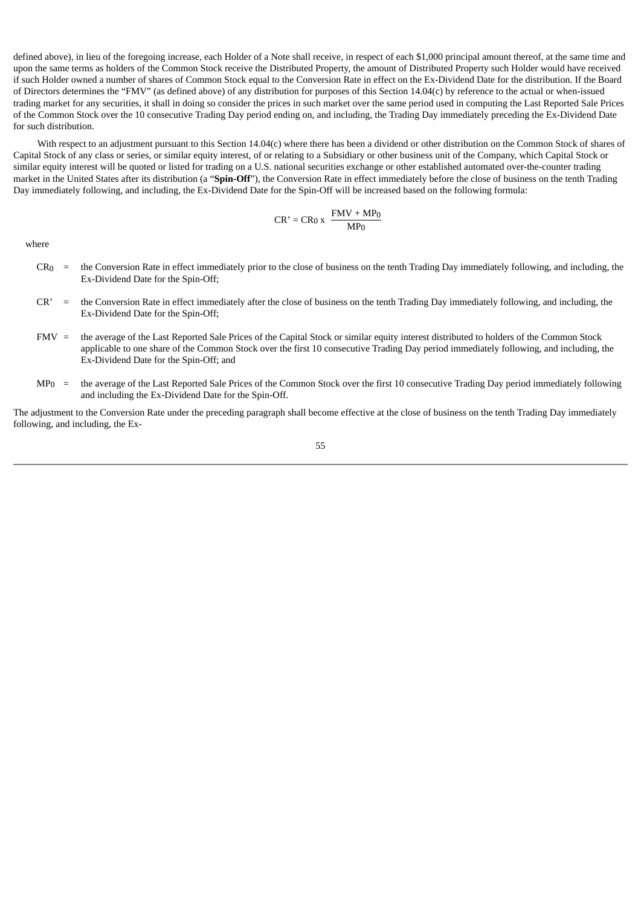defined above), in lieu of the foregoing increase, each Holder of a Note shall receive, in respect of each \$1,000 principal amount thereof, at the same time and upon the same terms as holders of the Common Stock receive the Distributed Property, the amount of Distributed Property such Holder would have received if such Holder owned a number of shares of Common Stock equal to the Conversion Rate in effect on the Ex-Dividend Date for the distribution. If the Board of Directors determines the "FMV" (as defined above) of any distribution for purposes of this Section 14.04(c) by reference to the actual or when-issued trading market for any securities, it shall in doing so consider the prices in such market over the same period used in computing the Last Reported Sale Prices of the Common Stock over the 10 consecutive Trading Day period ending on, and including, the Trading Day immediately preceding the Ex-Dividend Date for such distribution.

With respect to an adjustment pursuant to this Section 14.04(c) where there has been a dividend or other distribution on the Common Stock of shares of Capital Stock of any class or series, or similar equity interest, of or relating to a Subsidiary or other business unit of the Company, which Capital Stock or similar equity interest will be quoted or listed for trading on a U.S. national securities exchange or other established automated over-the-counter trading market in the United States after its distribution (a "**Spin-Off**"), the Conversion Rate in effect immediately before the close of business on the tenth Trading Day immediately following, and including, the Ex-Dividend Date for the Spin-Off will be increased based on the following formula:

$$
CR' = CR_0 x \frac{FMV + MP_0}{MP_0}
$$

where

- CR0 = the Conversion Rate in effect immediately prior to the close of business on the tenth Trading Day immediately following, and including, the Ex-Dividend Date for the Spin-Off;
- CR' = the Conversion Rate in effect immediately after the close of business on the tenth Trading Day immediately following, and including, the Ex-Dividend Date for the Spin-Off;
- FMV = the average of the Last Reported Sale Prices of the Capital Stock or similar equity interest distributed to holders of the Common Stock applicable to one share of the Common Stock over the first 10 consecutive Trading Day period immediately following, and including, the Ex-Dividend Date for the Spin-Off; and
- MP<sub>0</sub> = the average of the Last Reported Sale Prices of the Common Stock over the first 10 consecutive Trading Day period immediately following and including the Ex-Dividend Date for the Spin-Off.

The adjustment to the Conversion Rate under the preceding paragraph shall become effective at the close of business on the tenth Trading Day immediately following, and including, the Ex-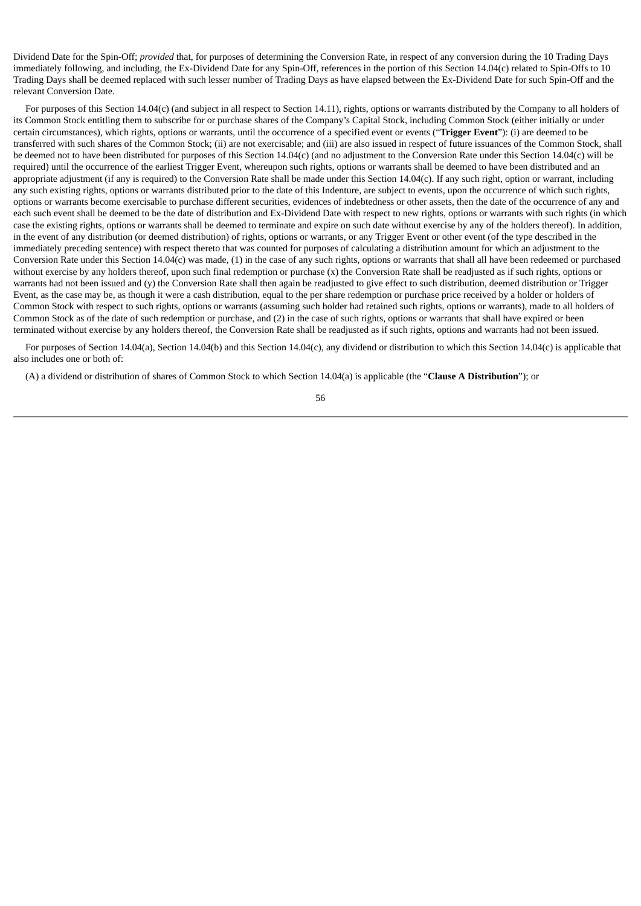Dividend Date for the Spin-Off; *provided* that, for purposes of determining the Conversion Rate, in respect of any conversion during the 10 Trading Days immediately following, and including, the Ex-Dividend Date for any Spin-Off, references in the portion of this Section 14.04(c) related to Spin-Offs to 10 Trading Days shall be deemed replaced with such lesser number of Trading Days as have elapsed between the Ex-Dividend Date for such Spin-Off and the relevant Conversion Date.

For purposes of this Section 14.04(c) (and subject in all respect to Section 14.11), rights, options or warrants distributed by the Company to all holders of its Common Stock entitling them to subscribe for or purchase shares of the Company's Capital Stock, including Common Stock (either initially or under certain circumstances), which rights, options or warrants, until the occurrence of a specified event or events ("**Trigger Event**"): (i) are deemed to be transferred with such shares of the Common Stock; (ii) are not exercisable; and (iii) are also issued in respect of future issuances of the Common Stock, shall be deemed not to have been distributed for purposes of this Section 14.04(c) (and no adjustment to the Conversion Rate under this Section 14.04(c) will be required) until the occurrence of the earliest Trigger Event, whereupon such rights, options or warrants shall be deemed to have been distributed and an appropriate adjustment (if any is required) to the Conversion Rate shall be made under this Section 14.04(c). If any such right, option or warrant, including any such existing rights, options or warrants distributed prior to the date of this Indenture, are subject to events, upon the occurrence of which such rights, options or warrants become exercisable to purchase different securities, evidences of indebtedness or other assets, then the date of the occurrence of any and each such event shall be deemed to be the date of distribution and Ex-Dividend Date with respect to new rights, options or warrants with such rights (in which case the existing rights, options or warrants shall be deemed to terminate and expire on such date without exercise by any of the holders thereof). In addition, in the event of any distribution (or deemed distribution) of rights, options or warrants, or any Trigger Event or other event (of the type described in the immediately preceding sentence) with respect thereto that was counted for purposes of calculating a distribution amount for which an adjustment to the Conversion Rate under this Section 14.04(c) was made, (1) in the case of any such rights, options or warrants that shall all have been redeemed or purchased without exercise by any holders thereof, upon such final redemption or purchase (x) the Conversion Rate shall be readjusted as if such rights, options or warrants had not been issued and (y) the Conversion Rate shall then again be readjusted to give effect to such distribution, deemed distribution or Trigger Event, as the case may be, as though it were a cash distribution, equal to the per share redemption or purchase price received by a holder or holders of Common Stock with respect to such rights, options or warrants (assuming such holder had retained such rights, options or warrants), made to all holders of Common Stock as of the date of such redemption or purchase, and (2) in the case of such rights, options or warrants that shall have expired or been terminated without exercise by any holders thereof, the Conversion Rate shall be readjusted as if such rights, options and warrants had not been issued.

For purposes of Section 14.04(a), Section 14.04(b) and this Section 14.04(c), any dividend or distribution to which this Section 14.04(c) is applicable that also includes one or both of:

(A) a dividend or distribution of shares of Common Stock to which Section 14.04(a) is applicable (the "**Clause A Distribution**"); or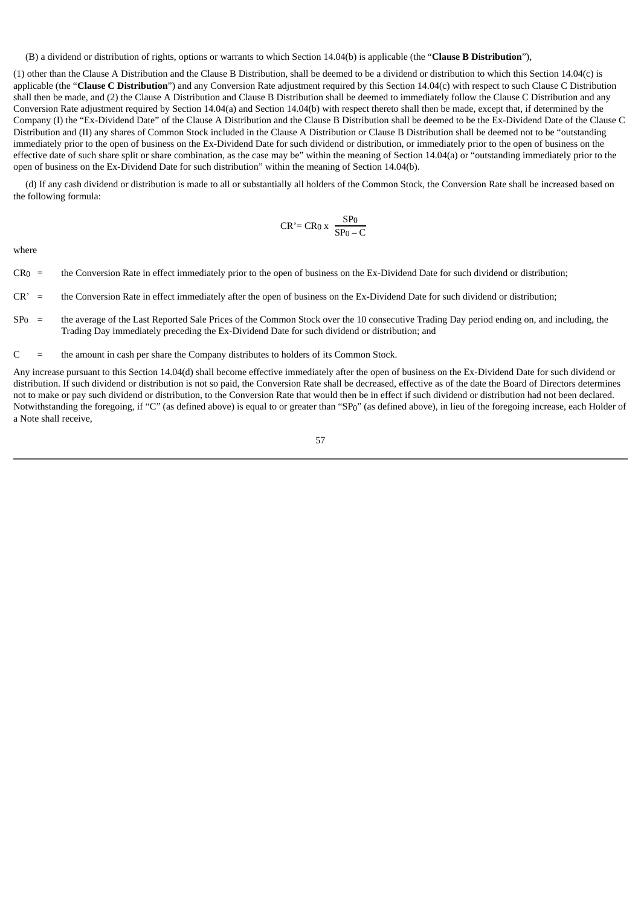(B) a dividend or distribution of rights, options or warrants to which Section 14.04(b) is applicable (the "**Clause B Distribution**"),

(1) other than the Clause A Distribution and the Clause B Distribution, shall be deemed to be a dividend or distribution to which this Section 14.04(c) is applicable (the "**Clause C Distribution**") and any Conversion Rate adjustment required by this Section 14.04(c) with respect to such Clause C Distribution shall then be made, and (2) the Clause A Distribution and Clause B Distribution shall be deemed to immediately follow the Clause C Distribution and any Conversion Rate adjustment required by Section 14.04(a) and Section 14.04(b) with respect thereto shall then be made, except that, if determined by the Company (I) the "Ex-Dividend Date" of the Clause A Distribution and the Clause B Distribution shall be deemed to be the Ex-Dividend Date of the Clause C Distribution and (II) any shares of Common Stock included in the Clause A Distribution or Clause B Distribution shall be deemed not to be "outstanding immediately prior to the open of business on the Ex-Dividend Date for such dividend or distribution, or immediately prior to the open of business on the effective date of such share split or share combination, as the case may be" within the meaning of Section 14.04(a) or "outstanding immediately prior to the open of business on the Ex-Dividend Date for such distribution" within the meaning of Section 14.04(b).

(d) If any cash dividend or distribution is made to all or substantially all holders of the Common Stock, the Conversion Rate shall be increased based on the following formula:

$$
CR' = CR_0 x \frac{SP_0}{SP_0 - C}
$$

where

- CR0 = the Conversion Rate in effect immediately prior to the open of business on the Ex-Dividend Date for such dividend or distribution;
- CR' = the Conversion Rate in effect immediately after the open of business on the Ex-Dividend Date for such dividend or distribution;
- $SP<sub>0</sub>$  = the average of the Last Reported Sale Prices of the Common Stock over the 10 consecutive Trading Day period ending on, and including, the Trading Day immediately preceding the Ex-Dividend Date for such dividend or distribution; and
- $C =$  the amount in cash per share the Company distributes to holders of its Common Stock.

Any increase pursuant to this Section 14.04(d) shall become effective immediately after the open of business on the Ex-Dividend Date for such dividend or distribution. If such dividend or distribution is not so paid, the Conversion Rate shall be decreased, effective as of the date the Board of Directors determines not to make or pay such dividend or distribution, to the Conversion Rate that would then be in effect if such dividend or distribution had not been declared. Notwithstanding the foregoing, if "C" (as defined above) is equal to or greater than "SP0" (as defined above), in lieu of the foregoing increase, each Holder of a Note shall receive,

57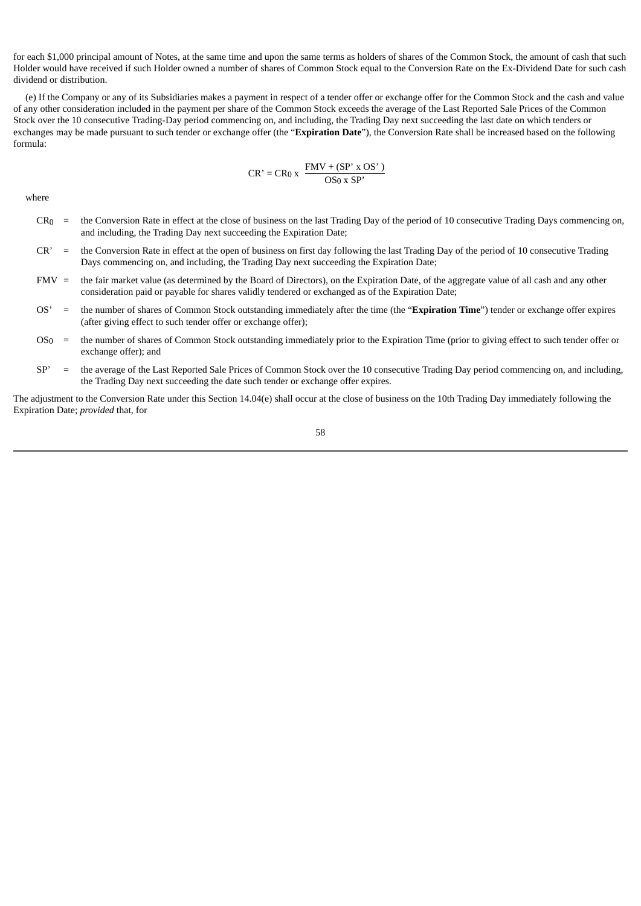for each \$1,000 principal amount of Notes, at the same time and upon the same terms as holders of shares of the Common Stock, the amount of cash that such Holder would have received if such Holder owned a number of shares of Common Stock equal to the Conversion Rate on the Ex-Dividend Date for such cash dividend or distribution.

(e) If the Company or any of its Subsidiaries makes a payment in respect of a tender offer or exchange offer for the Common Stock and the cash and value of any other consideration included in the payment per share of the Common Stock exceeds the average of the Last Reported Sale Prices of the Common Stock over the 10 consecutive Trading-Day period commencing on, and including, the Trading Day next succeeding the last date on which tenders or exchanges may be made pursuant to such tender or exchange offer (the "**Expiration Date**"), the Conversion Rate shall be increased based on the following formula:

$$
CR' = CR_0 x \frac{FMV + (SP' x OS')}{OS_0 x SP'}
$$

where

- CR0 = the Conversion Rate in effect at the close of business on the last Trading Day of the period of 10 consecutive Trading Days commencing on, and including, the Trading Day next succeeding the Expiration Date;
- CR' = the Conversion Rate in effect at the open of business on first day following the last Trading Day of the period of 10 consecutive Trading Days commencing on, and including, the Trading Day next succeeding the Expiration Date;
- FMV = the fair market value (as determined by the Board of Directors), on the Expiration Date, of the aggregate value of all cash and any other consideration paid or payable for shares validly tendered or exchanged as of the Expiration Date;
- OS' = the number of shares of Common Stock outstanding immediately after the time (the "**Expiration Time**") tender or exchange offer expires (after giving effect to such tender offer or exchange offer);
- OS0 = the number of shares of Common Stock outstanding immediately prior to the Expiration Time (prior to giving effect to such tender offer or exchange offer); and
- SP' = the average of the Last Reported Sale Prices of Common Stock over the 10 consecutive Trading Day period commencing on, and including, the Trading Day next succeeding the date such tender or exchange offer expires.

The adjustment to the Conversion Rate under this Section 14.04(e) shall occur at the close of business on the 10th Trading Day immediately following the Expiration Date; *provided* that, for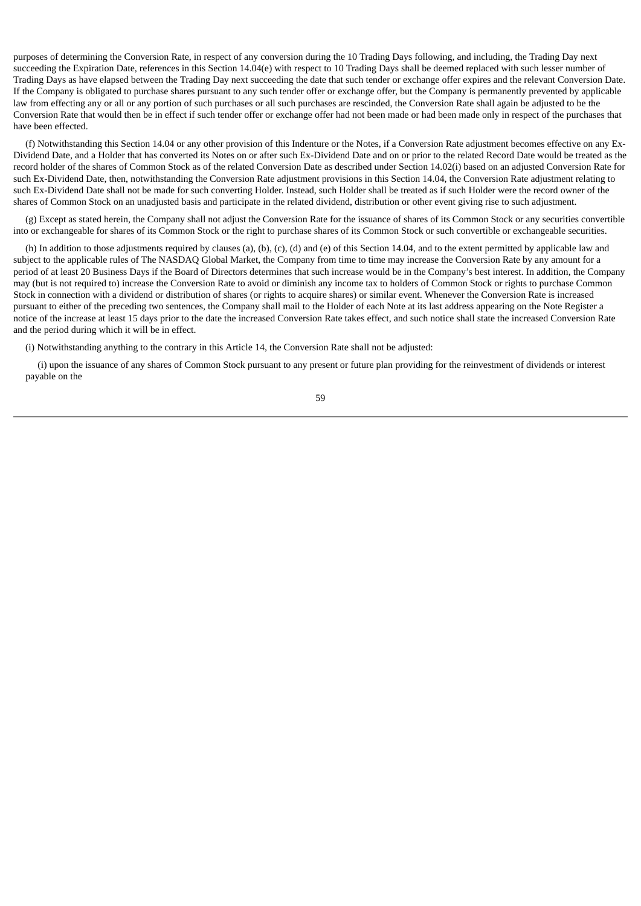purposes of determining the Conversion Rate, in respect of any conversion during the 10 Trading Days following, and including, the Trading Day next succeeding the Expiration Date, references in this Section 14.04(e) with respect to 10 Trading Days shall be deemed replaced with such lesser number of Trading Days as have elapsed between the Trading Day next succeeding the date that such tender or exchange offer expires and the relevant Conversion Date. If the Company is obligated to purchase shares pursuant to any such tender offer or exchange offer, but the Company is permanently prevented by applicable law from effecting any or all or any portion of such purchases or all such purchases are rescinded, the Conversion Rate shall again be adjusted to be the Conversion Rate that would then be in effect if such tender offer or exchange offer had not been made or had been made only in respect of the purchases that have been effected.

(f) Notwithstanding this Section 14.04 or any other provision of this Indenture or the Notes, if a Conversion Rate adjustment becomes effective on any Ex-Dividend Date, and a Holder that has converted its Notes on or after such Ex-Dividend Date and on or prior to the related Record Date would be treated as the record holder of the shares of Common Stock as of the related Conversion Date as described under Section 14.02(i) based on an adjusted Conversion Rate for such Ex-Dividend Date, then, notwithstanding the Conversion Rate adjustment provisions in this Section 14.04, the Conversion Rate adjustment relating to such Ex-Dividend Date shall not be made for such converting Holder. Instead, such Holder shall be treated as if such Holder were the record owner of the shares of Common Stock on an unadjusted basis and participate in the related dividend, distribution or other event giving rise to such adjustment.

(g) Except as stated herein, the Company shall not adjust the Conversion Rate for the issuance of shares of its Common Stock or any securities convertible into or exchangeable for shares of its Common Stock or the right to purchase shares of its Common Stock or such convertible or exchangeable securities.

(h) In addition to those adjustments required by clauses (a), (b), (c), (d) and (e) of this Section 14.04, and to the extent permitted by applicable law and subject to the applicable rules of The NASDAO Global Market, the Company from time to time may increase the Conversion Rate by any amount for a period of at least 20 Business Days if the Board of Directors determines that such increase would be in the Company's best interest. In addition, the Company may (but is not required to) increase the Conversion Rate to avoid or diminish any income tax to holders of Common Stock or rights to purchase Common Stock in connection with a dividend or distribution of shares (or rights to acquire shares) or similar event. Whenever the Conversion Rate is increased pursuant to either of the preceding two sentences, the Company shall mail to the Holder of each Note at its last address appearing on the Note Register a notice of the increase at least 15 days prior to the date the increased Conversion Rate takes effect, and such notice shall state the increased Conversion Rate and the period during which it will be in effect.

(i) Notwithstanding anything to the contrary in this Article 14, the Conversion Rate shall not be adjusted:

(i) upon the issuance of any shares of Common Stock pursuant to any present or future plan providing for the reinvestment of dividends or interest payable on the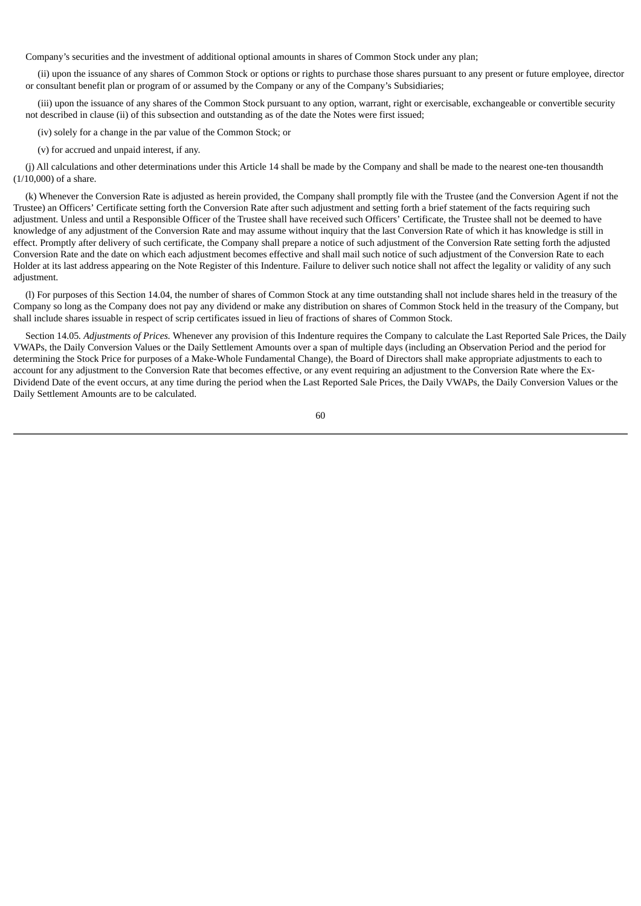Company's securities and the investment of additional optional amounts in shares of Common Stock under any plan;

(ii) upon the issuance of any shares of Common Stock or options or rights to purchase those shares pursuant to any present or future employee, director or consultant benefit plan or program of or assumed by the Company or any of the Company's Subsidiaries;

(iii) upon the issuance of any shares of the Common Stock pursuant to any option, warrant, right or exercisable, exchangeable or convertible security not described in clause (ii) of this subsection and outstanding as of the date the Notes were first issued;

(iv) solely for a change in the par value of the Common Stock; or

(v) for accrued and unpaid interest, if any.

(j) All calculations and other determinations under this Article 14 shall be made by the Company and shall be made to the nearest one-ten thousandth (1/10,000) of a share.

(k) Whenever the Conversion Rate is adjusted as herein provided, the Company shall promptly file with the Trustee (and the Conversion Agent if not the Trustee) an Officers' Certificate setting forth the Conversion Rate after such adjustment and setting forth a brief statement of the facts requiring such adjustment. Unless and until a Responsible Officer of the Trustee shall have received such Officers' Certificate, the Trustee shall not be deemed to have knowledge of any adjustment of the Conversion Rate and may assume without inquiry that the last Conversion Rate of which it has knowledge is still in effect. Promptly after delivery of such certificate, the Company shall prepare a notice of such adjustment of the Conversion Rate setting forth the adjusted Conversion Rate and the date on which each adjustment becomes effective and shall mail such notice of such adjustment of the Conversion Rate to each Holder at its last address appearing on the Note Register of this Indenture. Failure to deliver such notice shall not affect the legality or validity of any such adjustment.

(l) For purposes of this Section 14.04, the number of shares of Common Stock at any time outstanding shall not include shares held in the treasury of the Company so long as the Company does not pay any dividend or make any distribution on shares of Common Stock held in the treasury of the Company, but shall include shares issuable in respect of scrip certificates issued in lieu of fractions of shares of Common Stock.

Section 14.05*. Adjustments of Prices.* Whenever any provision of this Indenture requires the Company to calculate the Last Reported Sale Prices, the Daily VWAPs, the Daily Conversion Values or the Daily Settlement Amounts over a span of multiple days (including an Observation Period and the period for determining the Stock Price for purposes of a Make-Whole Fundamental Change), the Board of Directors shall make appropriate adjustments to each to account for any adjustment to the Conversion Rate that becomes effective, or any event requiring an adjustment to the Conversion Rate where the Ex-Dividend Date of the event occurs, at any time during the period when the Last Reported Sale Prices, the Daily VWAPs, the Daily Conversion Values or the Daily Settlement Amounts are to be calculated.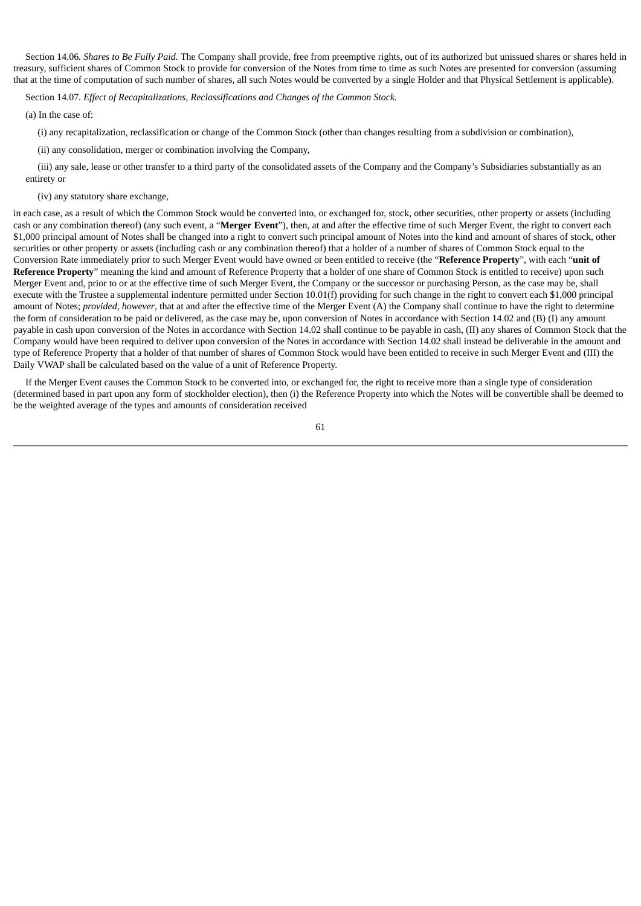Section 14.06*. Shares to Be Fully Paid.* The Company shall provide, free from preemptive rights, out of its authorized but unissued shares or shares held in treasury, sufficient shares of Common Stock to provide for conversion of the Notes from time to time as such Notes are presented for conversion (assuming that at the time of computation of such number of shares, all such Notes would be converted by a single Holder and that Physical Settlement is applicable).

Section 14.07*. Effect of Recapitalizations, Reclassifications and Changes of the Common Stock.*

(a) In the case of:

(i) any recapitalization, reclassification or change of the Common Stock (other than changes resulting from a subdivision or combination),

(ii) any consolidation, merger or combination involving the Company,

(iii) any sale, lease or other transfer to a third party of the consolidated assets of the Company and the Company's Subsidiaries substantially as an entirety or

### (iv) any statutory share exchange,

in each case, as a result of which the Common Stock would be converted into, or exchanged for, stock, other securities, other property or assets (including cash or any combination thereof) (any such event, a "**Merger Event**"), then, at and after the effective time of such Merger Event, the right to convert each \$1,000 principal amount of Notes shall be changed into a right to convert such principal amount of Notes into the kind and amount of shares of stock, other securities or other property or assets (including cash or any combination thereof) that a holder of a number of shares of Common Stock equal to the Conversion Rate immediately prior to such Merger Event would have owned or been entitled to receive (the "**Reference Property**", with each "**unit of Reference Property**" meaning the kind and amount of Reference Property that a holder of one share of Common Stock is entitled to receive) upon such Merger Event and, prior to or at the effective time of such Merger Event, the Company or the successor or purchasing Person, as the case may be, shall execute with the Trustee a supplemental indenture permitted under Section 10.01(f) providing for such change in the right to convert each \$1,000 principal amount of Notes; *provided*, *however*, that at and after the effective time of the Merger Event (A) the Company shall continue to have the right to determine the form of consideration to be paid or delivered, as the case may be, upon conversion of Notes in accordance with Section 14.02 and (B) (I) any amount payable in cash upon conversion of the Notes in accordance with Section 14.02 shall continue to be payable in cash, (II) any shares of Common Stock that the Company would have been required to deliver upon conversion of the Notes in accordance with Section 14.02 shall instead be deliverable in the amount and type of Reference Property that a holder of that number of shares of Common Stock would have been entitled to receive in such Merger Event and (III) the Daily VWAP shall be calculated based on the value of a unit of Reference Property.

If the Merger Event causes the Common Stock to be converted into, or exchanged for, the right to receive more than a single type of consideration (determined based in part upon any form of stockholder election), then (i) the Reference Property into which the Notes will be convertible shall be deemed to be the weighted average of the types and amounts of consideration received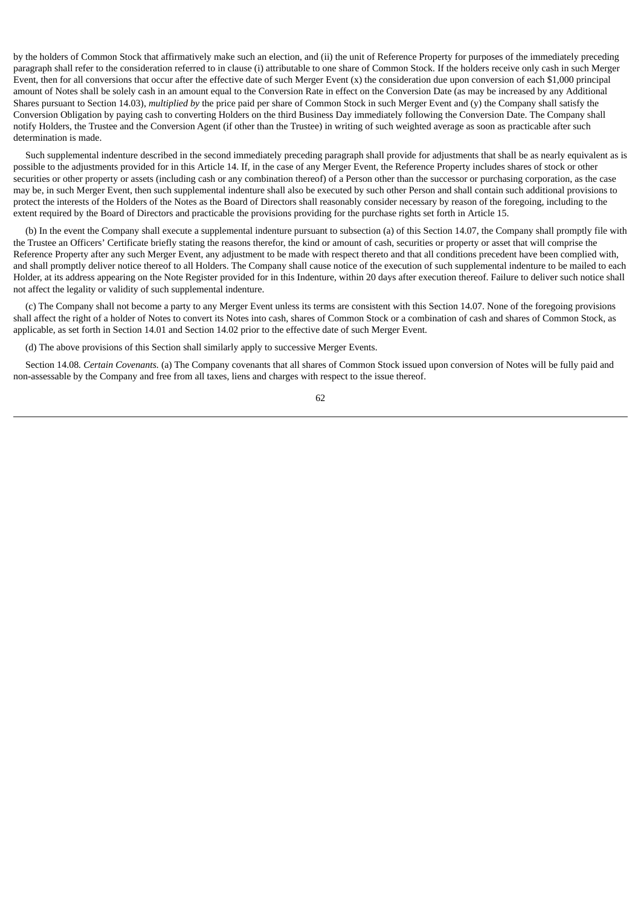by the holders of Common Stock that affirmatively make such an election, and (ii) the unit of Reference Property for purposes of the immediately preceding paragraph shall refer to the consideration referred to in clause (i) attributable to one share of Common Stock. If the holders receive only cash in such Merger Event, then for all conversions that occur after the effective date of such Merger Event (x) the consideration due upon conversion of each \$1,000 principal amount of Notes shall be solely cash in an amount equal to the Conversion Rate in effect on the Conversion Date (as may be increased by any Additional Shares pursuant to Section 14.03), *multiplied by* the price paid per share of Common Stock in such Merger Event and (y) the Company shall satisfy the Conversion Obligation by paying cash to converting Holders on the third Business Day immediately following the Conversion Date. The Company shall notify Holders, the Trustee and the Conversion Agent (if other than the Trustee) in writing of such weighted average as soon as practicable after such determination is made.

Such supplemental indenture described in the second immediately preceding paragraph shall provide for adjustments that shall be as nearly equivalent as is possible to the adjustments provided for in this Article 14. If, in the case of any Merger Event, the Reference Property includes shares of stock or other securities or other property or assets (including cash or any combination thereof) of a Person other than the successor or purchasing corporation, as the case may be, in such Merger Event, then such supplemental indenture shall also be executed by such other Person and shall contain such additional provisions to protect the interests of the Holders of the Notes as the Board of Directors shall reasonably consider necessary by reason of the foregoing, including to the extent required by the Board of Directors and practicable the provisions providing for the purchase rights set forth in Article 15.

(b) In the event the Company shall execute a supplemental indenture pursuant to subsection (a) of this Section 14.07, the Company shall promptly file with the Trustee an Officers' Certificate briefly stating the reasons therefor, the kind or amount of cash, securities or property or asset that will comprise the Reference Property after any such Merger Event, any adjustment to be made with respect thereto and that all conditions precedent have been complied with, and shall promptly deliver notice thereof to all Holders. The Company shall cause notice of the execution of such supplemental indenture to be mailed to each Holder, at its address appearing on the Note Register provided for in this Indenture, within 20 days after execution thereof. Failure to deliver such notice shall not affect the legality or validity of such supplemental indenture.

(c) The Company shall not become a party to any Merger Event unless its terms are consistent with this Section 14.07. None of the foregoing provisions shall affect the right of a holder of Notes to convert its Notes into cash, shares of Common Stock or a combination of cash and shares of Common Stock, as applicable, as set forth in Section 14.01 and Section 14.02 prior to the effective date of such Merger Event.

(d) The above provisions of this Section shall similarly apply to successive Merger Events.

Section 14.08*. Certain Covenants.* (a) The Company covenants that all shares of Common Stock issued upon conversion of Notes will be fully paid and non-assessable by the Company and free from all taxes, liens and charges with respect to the issue thereof.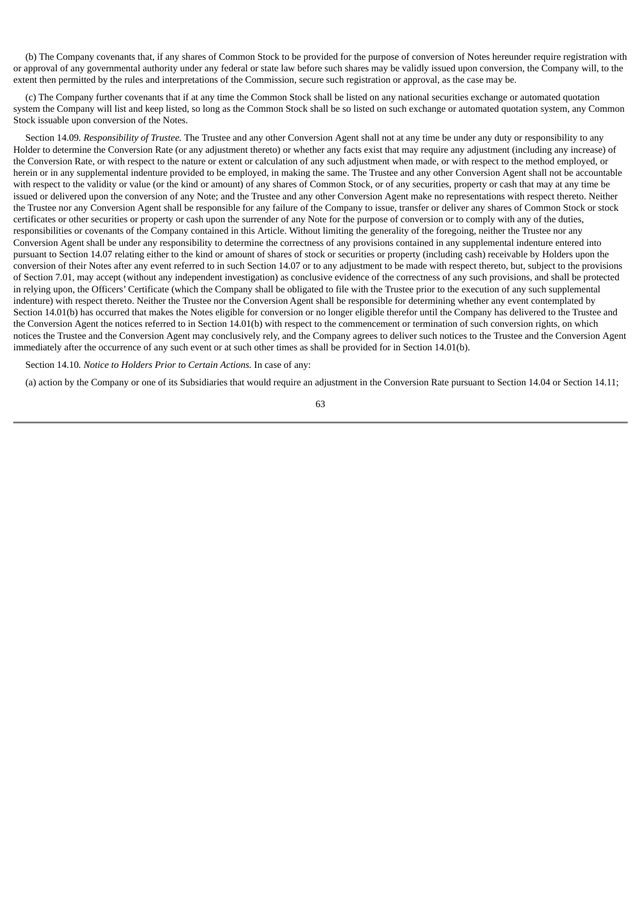(b) The Company covenants that, if any shares of Common Stock to be provided for the purpose of conversion of Notes hereunder require registration with or approval of any governmental authority under any federal or state law before such shares may be validly issued upon conversion, the Company will, to the extent then permitted by the rules and interpretations of the Commission, secure such registration or approval, as the case may be.

(c) The Company further covenants that if at any time the Common Stock shall be listed on any national securities exchange or automated quotation system the Company will list and keep listed, so long as the Common Stock shall be so listed on such exchange or automated quotation system, any Common Stock issuable upon conversion of the Notes.

Section 14.09*. Responsibility of Trustee.* The Trustee and any other Conversion Agent shall not at any time be under any duty or responsibility to any Holder to determine the Conversion Rate (or any adjustment thereto) or whether any facts exist that may require any adjustment (including any increase) of the Conversion Rate, or with respect to the nature or extent or calculation of any such adjustment when made, or with respect to the method employed, or herein or in any supplemental indenture provided to be employed, in making the same. The Trustee and any other Conversion Agent shall not be accountable with respect to the validity or value (or the kind or amount) of any shares of Common Stock, or of any securities, property or cash that may at any time be issued or delivered upon the conversion of any Note; and the Trustee and any other Conversion Agent make no representations with respect thereto. Neither the Trustee nor any Conversion Agent shall be responsible for any failure of the Company to issue, transfer or deliver any shares of Common Stock or stock certificates or other securities or property or cash upon the surrender of any Note for the purpose of conversion or to comply with any of the duties, responsibilities or covenants of the Company contained in this Article. Without limiting the generality of the foregoing, neither the Trustee nor any Conversion Agent shall be under any responsibility to determine the correctness of any provisions contained in any supplemental indenture entered into pursuant to Section 14.07 relating either to the kind or amount of shares of stock or securities or property (including cash) receivable by Holders upon the conversion of their Notes after any event referred to in such Section 14.07 or to any adjustment to be made with respect thereto, but, subject to the provisions of Section 7.01, may accept (without any independent investigation) as conclusive evidence of the correctness of any such provisions, and shall be protected in relying upon, the Officers' Certificate (which the Company shall be obligated to file with the Trustee prior to the execution of any such supplemental indenture) with respect thereto. Neither the Trustee nor the Conversion Agent shall be responsible for determining whether any event contemplated by Section 14.01(b) has occurred that makes the Notes eligible for conversion or no longer eligible therefor until the Company has delivered to the Trustee and the Conversion Agent the notices referred to in Section 14.01(b) with respect to the commencement or termination of such conversion rights, on which notices the Trustee and the Conversion Agent may conclusively rely, and the Company agrees to deliver such notices to the Trustee and the Conversion Agent immediately after the occurrence of any such event or at such other times as shall be provided for in Section 14.01(b).

Section 14.10*. Notice to Holders Prior to Certain Actions.* In case of any:

(a) action by the Company or one of its Subsidiaries that would require an adjustment in the Conversion Rate pursuant to Section 14.04 or Section 14.11;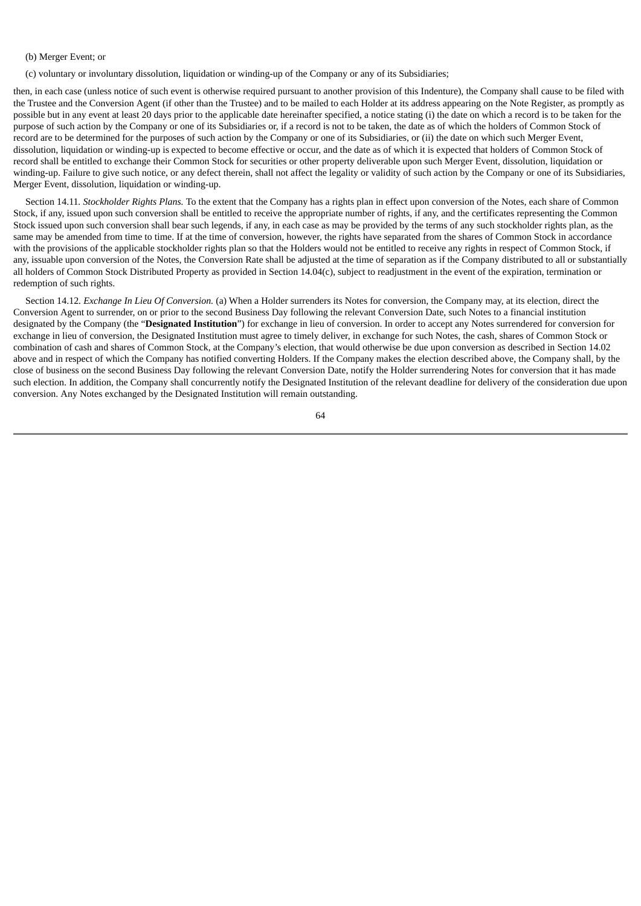#### (b) Merger Event; or

(c) voluntary or involuntary dissolution, liquidation or winding-up of the Company or any of its Subsidiaries;

then, in each case (unless notice of such event is otherwise required pursuant to another provision of this Indenture), the Company shall cause to be filed with the Trustee and the Conversion Agent (if other than the Trustee) and to be mailed to each Holder at its address appearing on the Note Register, as promptly as possible but in any event at least 20 days prior to the applicable date hereinafter specified, a notice stating (i) the date on which a record is to be taken for the purpose of such action by the Company or one of its Subsidiaries or, if a record is not to be taken, the date as of which the holders of Common Stock of record are to be determined for the purposes of such action by the Company or one of its Subsidiaries, or (ii) the date on which such Merger Event, dissolution, liquidation or winding-up is expected to become effective or occur, and the date as of which it is expected that holders of Common Stock of record shall be entitled to exchange their Common Stock for securities or other property deliverable upon such Merger Event, dissolution, liquidation or winding-up. Failure to give such notice, or any defect therein, shall not affect the legality or validity of such action by the Company or one of its Subsidiaries, Merger Event, dissolution, liquidation or winding-up.

Section 14.11*. Stockholder Rights Plans.* To the extent that the Company has a rights plan in effect upon conversion of the Notes, each share of Common Stock, if any, issued upon such conversion shall be entitled to receive the appropriate number of rights, if any, and the certificates representing the Common Stock issued upon such conversion shall bear such legends, if any, in each case as may be provided by the terms of any such stockholder rights plan, as the same may be amended from time to time. If at the time of conversion, however, the rights have separated from the shares of Common Stock in accordance with the provisions of the applicable stockholder rights plan so that the Holders would not be entitled to receive any rights in respect of Common Stock, if any, issuable upon conversion of the Notes, the Conversion Rate shall be adjusted at the time of separation as if the Company distributed to all or substantially all holders of Common Stock Distributed Property as provided in Section 14.04(c), subject to readjustment in the event of the expiration, termination or redemption of such rights.

Section 14.12*. Exchange In Lieu Of Conversion.* (a) When a Holder surrenders its Notes for conversion, the Company may, at its election, direct the Conversion Agent to surrender, on or prior to the second Business Day following the relevant Conversion Date, such Notes to a financial institution designated by the Company (the "**Designated Institution**") for exchange in lieu of conversion. In order to accept any Notes surrendered for conversion for exchange in lieu of conversion, the Designated Institution must agree to timely deliver, in exchange for such Notes, the cash, shares of Common Stock or combination of cash and shares of Common Stock, at the Company's election, that would otherwise be due upon conversion as described in Section 14.02 above and in respect of which the Company has notified converting Holders. If the Company makes the election described above, the Company shall, by the close of business on the second Business Day following the relevant Conversion Date, notify the Holder surrendering Notes for conversion that it has made such election. In addition, the Company shall concurrently notify the Designated Institution of the relevant deadline for delivery of the consideration due upon conversion. Any Notes exchanged by the Designated Institution will remain outstanding.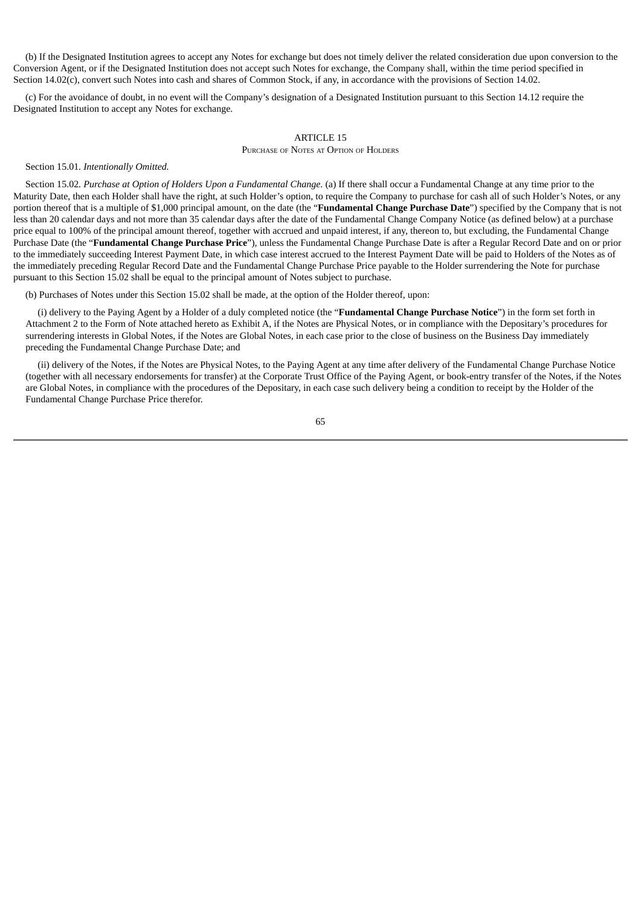(b) If the Designated Institution agrees to accept any Notes for exchange but does not timely deliver the related consideration due upon conversion to the Conversion Agent, or if the Designated Institution does not accept such Notes for exchange, the Company shall, within the time period specified in Section 14.02(c), convert such Notes into cash and shares of Common Stock, if any, in accordance with the provisions of Section 14.02.

(c) For the avoidance of doubt, in no event will the Company's designation of a Designated Institution pursuant to this Section 14.12 require the Designated Institution to accept any Notes for exchange.

# ARTICLE 15

PURCHASE OF NOTES AT OPTION OF HOLDERS

Section 15.01*. Intentionally Omitted.*

Section 15.02*. Purchase at Option of Holders Upon a Fundamental Change.* (a) If there shall occur a Fundamental Change at any time prior to the Maturity Date, then each Holder shall have the right, at such Holder's option, to require the Company to purchase for cash all of such Holder's Notes, or any portion thereof that is a multiple of \$1,000 principal amount, on the date (the "**Fundamental Change Purchase Date**") specified by the Company that is not less than 20 calendar days and not more than 35 calendar days after the date of the Fundamental Change Company Notice (as defined below) at a purchase price equal to 100% of the principal amount thereof, together with accrued and unpaid interest, if any, thereon to, but excluding, the Fundamental Change Purchase Date (the "**Fundamental Change Purchase Price**"), unless the Fundamental Change Purchase Date is after a Regular Record Date and on or prior to the immediately succeeding Interest Payment Date, in which case interest accrued to the Interest Payment Date will be paid to Holders of the Notes as of the immediately preceding Regular Record Date and the Fundamental Change Purchase Price payable to the Holder surrendering the Note for purchase pursuant to this Section 15.02 shall be equal to the principal amount of Notes subject to purchase.

(b) Purchases of Notes under this Section 15.02 shall be made, at the option of the Holder thereof, upon:

(i) delivery to the Paying Agent by a Holder of a duly completed notice (the "**Fundamental Change Purchase Notice**") in the form set forth in Attachment 2 to the Form of Note attached hereto as Exhibit A, if the Notes are Physical Notes, or in compliance with the Depositary's procedures for surrendering interests in Global Notes, if the Notes are Global Notes, in each case prior to the close of business on the Business Day immediately preceding the Fundamental Change Purchase Date; and

(ii) delivery of the Notes, if the Notes are Physical Notes, to the Paying Agent at any time after delivery of the Fundamental Change Purchase Notice (together with all necessary endorsements for transfer) at the Corporate Trust Office of the Paying Agent, or book-entry transfer of the Notes, if the Notes are Global Notes, in compliance with the procedures of the Depositary, in each case such delivery being a condition to receipt by the Holder of the Fundamental Change Purchase Price therefor.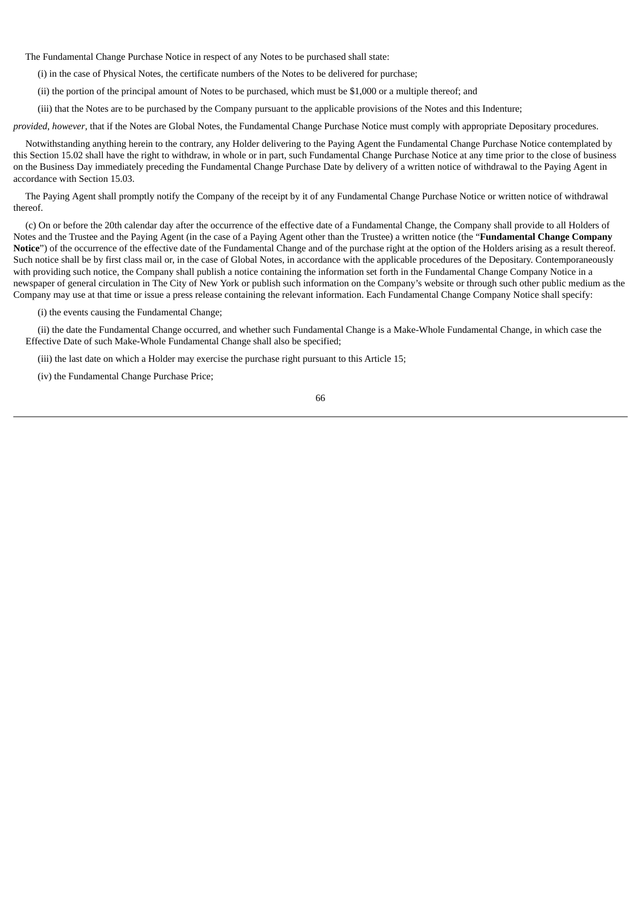The Fundamental Change Purchase Notice in respect of any Notes to be purchased shall state:

(i) in the case of Physical Notes, the certificate numbers of the Notes to be delivered for purchase;

(ii) the portion of the principal amount of Notes to be purchased, which must be \$1,000 or a multiple thereof; and

(iii) that the Notes are to be purchased by the Company pursuant to the applicable provisions of the Notes and this Indenture;

*provided*, *however*, that if the Notes are Global Notes, the Fundamental Change Purchase Notice must comply with appropriate Depositary procedures.

Notwithstanding anything herein to the contrary, any Holder delivering to the Paying Agent the Fundamental Change Purchase Notice contemplated by this Section 15.02 shall have the right to withdraw, in whole or in part, such Fundamental Change Purchase Notice at any time prior to the close of business on the Business Day immediately preceding the Fundamental Change Purchase Date by delivery of a written notice of withdrawal to the Paying Agent in accordance with Section 15.03.

The Paying Agent shall promptly notify the Company of the receipt by it of any Fundamental Change Purchase Notice or written notice of withdrawal thereof.

(c) On or before the 20th calendar day after the occurrence of the effective date of a Fundamental Change, the Company shall provide to all Holders of Notes and the Trustee and the Paying Agent (in the case of a Paying Agent other than the Trustee) a written notice (the "**Fundamental Change Company Notice**") of the occurrence of the effective date of the Fundamental Change and of the purchase right at the option of the Holders arising as a result thereof. Such notice shall be by first class mail or, in the case of Global Notes, in accordance with the applicable procedures of the Depositary. Contemporaneously with providing such notice, the Company shall publish a notice containing the information set forth in the Fundamental Change Company Notice in a newspaper of general circulation in The City of New York or publish such information on the Company's website or through such other public medium as the Company may use at that time or issue a press release containing the relevant information. Each Fundamental Change Company Notice shall specify:

(i) the events causing the Fundamental Change;

(ii) the date the Fundamental Change occurred, and whether such Fundamental Change is a Make-Whole Fundamental Change, in which case the Effective Date of such Make-Whole Fundamental Change shall also be specified;

(iii) the last date on which a Holder may exercise the purchase right pursuant to this Article 15;

(iv) the Fundamental Change Purchase Price;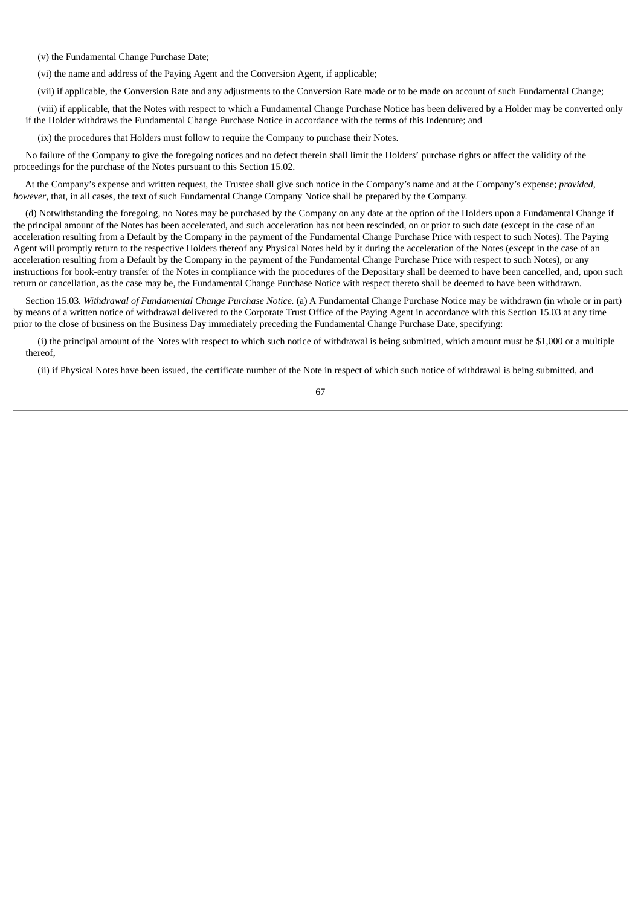(v) the Fundamental Change Purchase Date;

(vi) the name and address of the Paying Agent and the Conversion Agent, if applicable;

(vii) if applicable, the Conversion Rate and any adjustments to the Conversion Rate made or to be made on account of such Fundamental Change;

(viii) if applicable, that the Notes with respect to which a Fundamental Change Purchase Notice has been delivered by a Holder may be converted only if the Holder withdraws the Fundamental Change Purchase Notice in accordance with the terms of this Indenture; and

(ix) the procedures that Holders must follow to require the Company to purchase their Notes.

No failure of the Company to give the foregoing notices and no defect therein shall limit the Holders' purchase rights or affect the validity of the proceedings for the purchase of the Notes pursuant to this Section 15.02.

At the Company's expense and written request, the Trustee shall give such notice in the Company's name and at the Company's expense; *provided*, *however*, that, in all cases, the text of such Fundamental Change Company Notice shall be prepared by the Company.

(d) Notwithstanding the foregoing, no Notes may be purchased by the Company on any date at the option of the Holders upon a Fundamental Change if the principal amount of the Notes has been accelerated, and such acceleration has not been rescinded, on or prior to such date (except in the case of an acceleration resulting from a Default by the Company in the payment of the Fundamental Change Purchase Price with respect to such Notes). The Paying Agent will promptly return to the respective Holders thereof any Physical Notes held by it during the acceleration of the Notes (except in the case of an acceleration resulting from a Default by the Company in the payment of the Fundamental Change Purchase Price with respect to such Notes), or any instructions for book-entry transfer of the Notes in compliance with the procedures of the Depositary shall be deemed to have been cancelled, and, upon such return or cancellation, as the case may be, the Fundamental Change Purchase Notice with respect thereto shall be deemed to have been withdrawn.

Section 15.03*. Withdrawal of Fundamental Change Purchase Notice.* (a) A Fundamental Change Purchase Notice may be withdrawn (in whole or in part) by means of a written notice of withdrawal delivered to the Corporate Trust Office of the Paying Agent in accordance with this Section 15.03 at any time prior to the close of business on the Business Day immediately preceding the Fundamental Change Purchase Date, specifying:

(i) the principal amount of the Notes with respect to which such notice of withdrawal is being submitted, which amount must be \$1,000 or a multiple thereof,

(ii) if Physical Notes have been issued, the certificate number of the Note in respect of which such notice of withdrawal is being submitted, and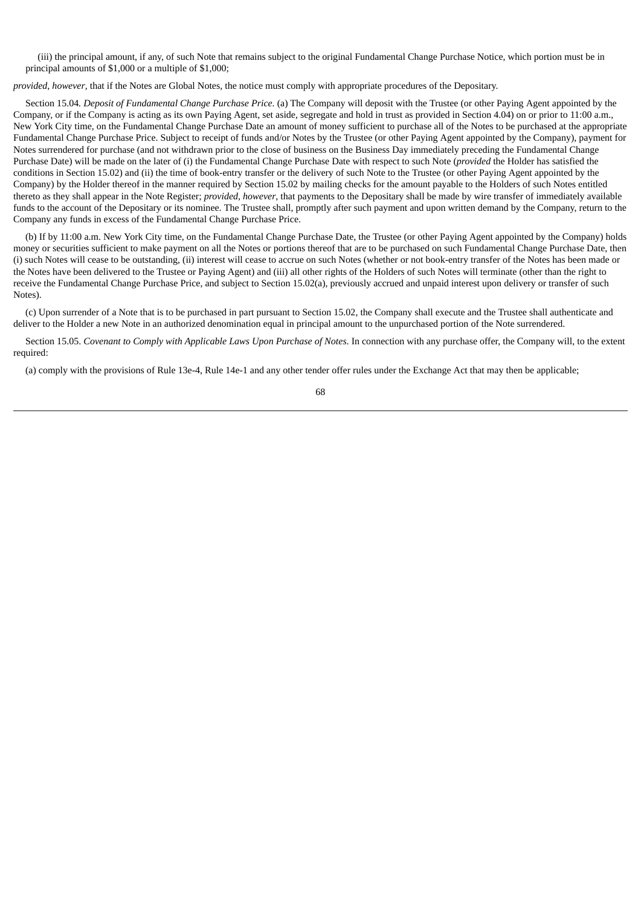(iii) the principal amount, if any, of such Note that remains subject to the original Fundamental Change Purchase Notice, which portion must be in principal amounts of \$1,000 or a multiple of \$1,000;

*provided*, *however*, that if the Notes are Global Notes, the notice must comply with appropriate procedures of the Depositary.

Section 15.04*. Deposit of Fundamental Change Purchase Price.* (a) The Company will deposit with the Trustee (or other Paying Agent appointed by the Company, or if the Company is acting as its own Paying Agent, set aside, segregate and hold in trust as provided in Section 4.04) on or prior to 11:00 a.m., New York City time, on the Fundamental Change Purchase Date an amount of money sufficient to purchase all of the Notes to be purchased at the appropriate Fundamental Change Purchase Price. Subject to receipt of funds and/or Notes by the Trustee (or other Paying Agent appointed by the Company), payment for Notes surrendered for purchase (and not withdrawn prior to the close of business on the Business Day immediately preceding the Fundamental Change Purchase Date) will be made on the later of (i) the Fundamental Change Purchase Date with respect to such Note (*provided* the Holder has satisfied the conditions in Section 15.02) and (ii) the time of book-entry transfer or the delivery of such Note to the Trustee (or other Paying Agent appointed by the Company) by the Holder thereof in the manner required by Section 15.02 by mailing checks for the amount payable to the Holders of such Notes entitled thereto as they shall appear in the Note Register; *provided*, *however*, that payments to the Depositary shall be made by wire transfer of immediately available funds to the account of the Depositary or its nominee. The Trustee shall, promptly after such payment and upon written demand by the Company, return to the Company any funds in excess of the Fundamental Change Purchase Price.

(b) If by 11:00 a.m. New York City time, on the Fundamental Change Purchase Date, the Trustee (or other Paying Agent appointed by the Company) holds money or securities sufficient to make payment on all the Notes or portions thereof that are to be purchased on such Fundamental Change Purchase Date, then (i) such Notes will cease to be outstanding, (ii) interest will cease to accrue on such Notes (whether or not book-entry transfer of the Notes has been made or the Notes have been delivered to the Trustee or Paying Agent) and (iii) all other rights of the Holders of such Notes will terminate (other than the right to receive the Fundamental Change Purchase Price, and subject to Section 15.02(a), previously accrued and unpaid interest upon delivery or transfer of such Notes).

(c) Upon surrender of a Note that is to be purchased in part pursuant to Section 15.02, the Company shall execute and the Trustee shall authenticate and deliver to the Holder a new Note in an authorized denomination equal in principal amount to the unpurchased portion of the Note surrendered.

Section 15.05. *Covenant to Comply with Applicable Laws Upon Purchase of Notes*. In connection with any purchase offer, the Company will, to the extent required:

(a) comply with the provisions of Rule 13e-4, Rule 14e-1 and any other tender offer rules under the Exchange Act that may then be applicable;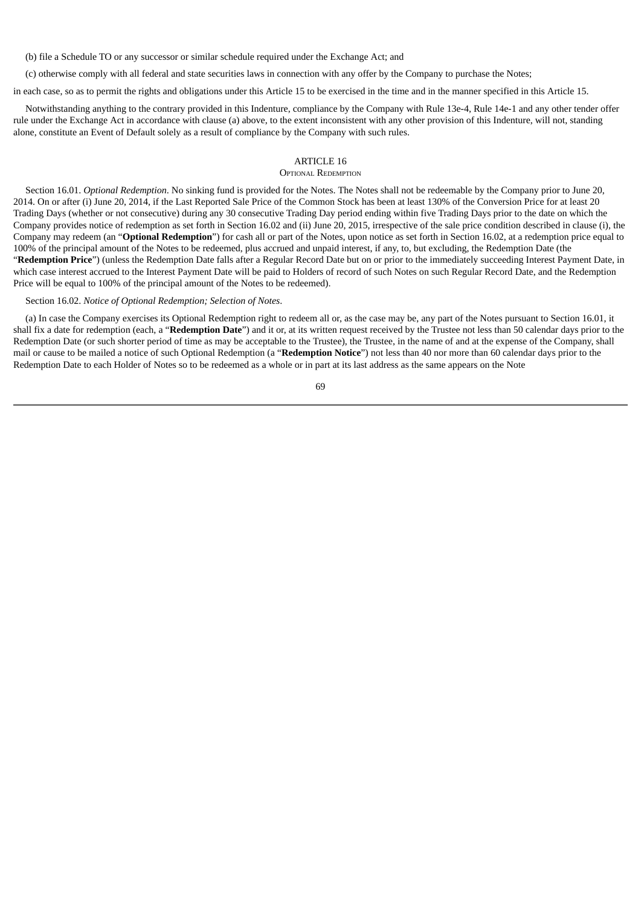(b) file a Schedule TO or any successor or similar schedule required under the Exchange Act; and

(c) otherwise comply with all federal and state securities laws in connection with any offer by the Company to purchase the Notes;

in each case, so as to permit the rights and obligations under this Article 15 to be exercised in the time and in the manner specified in this Article 15.

Notwithstanding anything to the contrary provided in this Indenture, compliance by the Company with Rule 13e-4, Rule 14e-1 and any other tender offer rule under the Exchange Act in accordance with clause (a) above, to the extent inconsistent with any other provision of this Indenture, will not, standing alone, constitute an Event of Default solely as a result of compliance by the Company with such rules.

# ARTICLE 16

### OPTIONAL REDEMPTION

Section 16.01. *Optional Redemption*. No sinking fund is provided for the Notes. The Notes shall not be redeemable by the Company prior to June 20, 2014. On or after (i) June 20, 2014, if the Last Reported Sale Price of the Common Stock has been at least 130% of the Conversion Price for at least 20 Trading Days (whether or not consecutive) during any 30 consecutive Trading Day period ending within five Trading Days prior to the date on which the Company provides notice of redemption as set forth in Section 16.02 and (ii) June 20, 2015, irrespective of the sale price condition described in clause (i), the Company may redeem (an "**Optional Redemption**") for cash all or part of the Notes, upon notice as set forth in Section 16.02, at a redemption price equal to 100% of the principal amount of the Notes to be redeemed, plus accrued and unpaid interest, if any, to, but excluding, the Redemption Date (the "**Redemption Price**") (unless the Redemption Date falls after a Regular Record Date but on or prior to the immediately succeeding Interest Payment Date, in which case interest accrued to the Interest Payment Date will be paid to Holders of record of such Notes on such Regular Record Date, and the Redemption Price will be equal to 100% of the principal amount of the Notes to be redeemed).

### Section 16.02. *Notice of Optional Redemption; Selection of Notes*.

(a) In case the Company exercises its Optional Redemption right to redeem all or, as the case may be, any part of the Notes pursuant to Section 16.01, it shall fix a date for redemption (each, a "**Redemption Date**") and it or, at its written request received by the Trustee not less than 50 calendar days prior to the Redemption Date (or such shorter period of time as may be acceptable to the Trustee), the Trustee, in the name of and at the expense of the Company, shall mail or cause to be mailed a notice of such Optional Redemption (a "**Redemption Notice**") not less than 40 nor more than 60 calendar days prior to the Redemption Date to each Holder of Notes so to be redeemed as a whole or in part at its last address as the same appears on the Note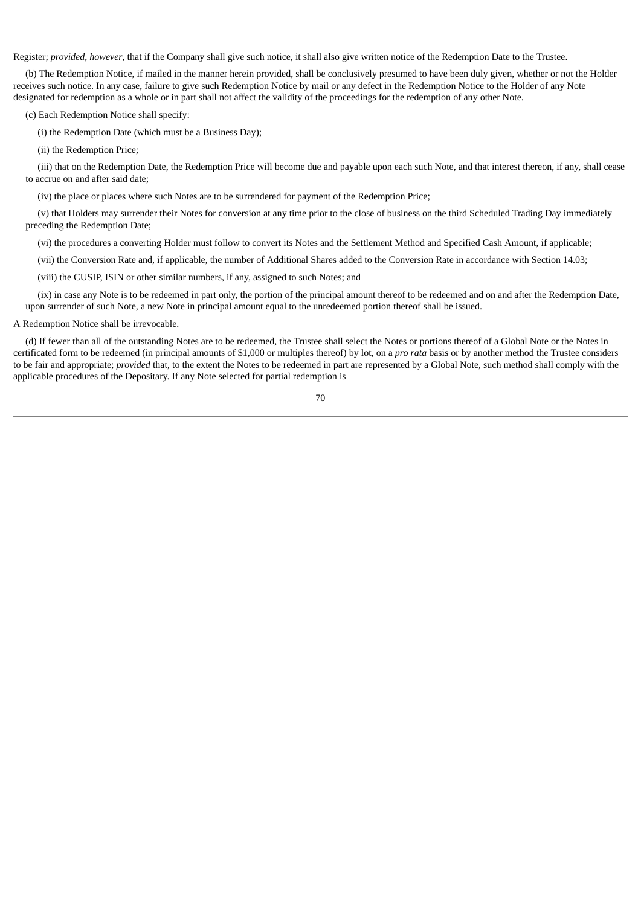Register; *provided*, *however*, that if the Company shall give such notice, it shall also give written notice of the Redemption Date to the Trustee.

(b) The Redemption Notice, if mailed in the manner herein provided, shall be conclusively presumed to have been duly given, whether or not the Holder receives such notice. In any case, failure to give such Redemption Notice by mail or any defect in the Redemption Notice to the Holder of any Note designated for redemption as a whole or in part shall not affect the validity of the proceedings for the redemption of any other Note.

(c) Each Redemption Notice shall specify:

(i) the Redemption Date (which must be a Business Day);

(ii) the Redemption Price;

(iii) that on the Redemption Date, the Redemption Price will become due and payable upon each such Note, and that interest thereon, if any, shall cease to accrue on and after said date;

(iv) the place or places where such Notes are to be surrendered for payment of the Redemption Price;

(v) that Holders may surrender their Notes for conversion at any time prior to the close of business on the third Scheduled Trading Day immediately preceding the Redemption Date;

(vi) the procedures a converting Holder must follow to convert its Notes and the Settlement Method and Specified Cash Amount, if applicable;

(vii) the Conversion Rate and, if applicable, the number of Additional Shares added to the Conversion Rate in accordance with Section 14.03;

(viii) the CUSIP, ISIN or other similar numbers, if any, assigned to such Notes; and

(ix) in case any Note is to be redeemed in part only, the portion of the principal amount thereof to be redeemed and on and after the Redemption Date, upon surrender of such Note, a new Note in principal amount equal to the unredeemed portion thereof shall be issued.

# A Redemption Notice shall be irrevocable.

(d) If fewer than all of the outstanding Notes are to be redeemed, the Trustee shall select the Notes or portions thereof of a Global Note or the Notes in certificated form to be redeemed (in principal amounts of \$1,000 or multiples thereof) by lot, on a *pro rata* basis or by another method the Trustee considers to be fair and appropriate; *provided* that, to the extent the Notes to be redeemed in part are represented by a Global Note, such method shall comply with the applicable procedures of the Depositary. If any Note selected for partial redemption is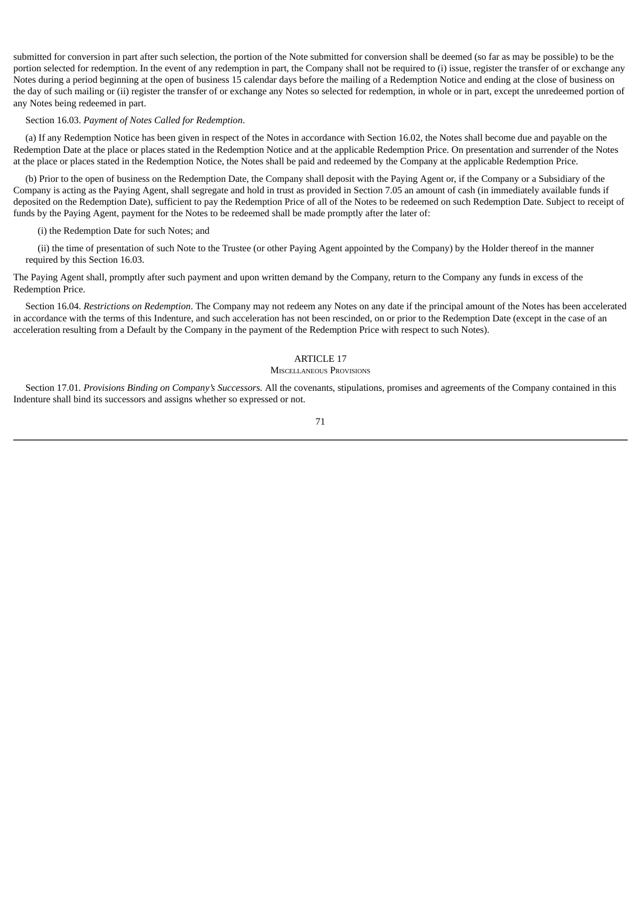submitted for conversion in part after such selection, the portion of the Note submitted for conversion shall be deemed (so far as may be possible) to be the portion selected for redemption. In the event of any redemption in part, the Company shall not be required to (i) issue, register the transfer of or exchange any Notes during a period beginning at the open of business 15 calendar days before the mailing of a Redemption Notice and ending at the close of business on the day of such mailing or (ii) register the transfer of or exchange any Notes so selected for redemption, in whole or in part, except the unredeemed portion of any Notes being redeemed in part.

#### Section 16.03. *Payment of Notes Called for Redemption*.

(a) If any Redemption Notice has been given in respect of the Notes in accordance with Section 16.02, the Notes shall become due and payable on the Redemption Date at the place or places stated in the Redemption Notice and at the applicable Redemption Price. On presentation and surrender of the Notes at the place or places stated in the Redemption Notice, the Notes shall be paid and redeemed by the Company at the applicable Redemption Price.

(b) Prior to the open of business on the Redemption Date, the Company shall deposit with the Paying Agent or, if the Company or a Subsidiary of the Company is acting as the Paying Agent, shall segregate and hold in trust as provided in Section 7.05 an amount of cash (in immediately available funds if deposited on the Redemption Date), sufficient to pay the Redemption Price of all of the Notes to be redeemed on such Redemption Date. Subject to receipt of funds by the Paying Agent, payment for the Notes to be redeemed shall be made promptly after the later of:

#### (i) the Redemption Date for such Notes; and

(ii) the time of presentation of such Note to the Trustee (or other Paying Agent appointed by the Company) by the Holder thereof in the manner required by this Section 16.03.

The Paying Agent shall, promptly after such payment and upon written demand by the Company, return to the Company any funds in excess of the Redemption Price.

Section 16.04. *Restrictions on Redemption*. The Company may not redeem any Notes on any date if the principal amount of the Notes has been accelerated in accordance with the terms of this Indenture, and such acceleration has not been rescinded, on or prior to the Redemption Date (except in the case of an acceleration resulting from a Default by the Company in the payment of the Redemption Price with respect to such Notes).

# ARTICLE 17

#### MISCELLANEOUS PROVISIONS

Section 17.01*. Provisions Binding on Company's Successors.* All the covenants, stipulations, promises and agreements of the Company contained in this Indenture shall bind its successors and assigns whether so expressed or not.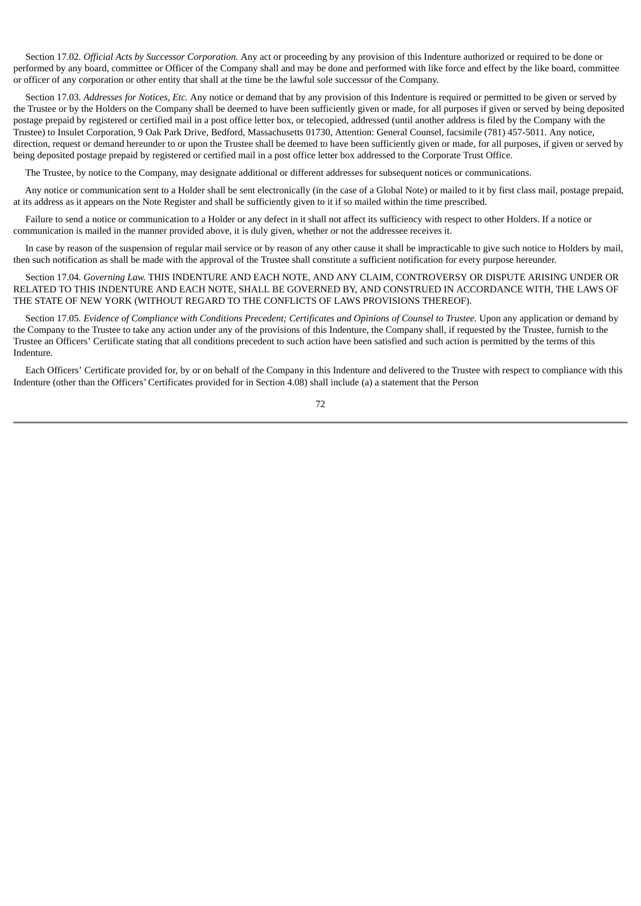Section 17.02*. Official Acts by Successor Corporation.* Any act or proceeding by any provision of this Indenture authorized or required to be done or performed by any board, committee or Officer of the Company shall and may be done and performed with like force and effect by the like board, committee or officer of any corporation or other entity that shall at the time be the lawful sole successor of the Company.

Section 17.03*. Addresses for Notices, Etc.* Any notice or demand that by any provision of this Indenture is required or permitted to be given or served by the Trustee or by the Holders on the Company shall be deemed to have been sufficiently given or made, for all purposes if given or served by being deposited postage prepaid by registered or certified mail in a post office letter box, or telecopied, addressed (until another address is filed by the Company with the Trustee) to Insulet Corporation, 9 Oak Park Drive, Bedford, Massachusetts 01730, Attention: General Counsel, facsimile (781) 457-5011. Any notice, direction, request or demand hereunder to or upon the Trustee shall be deemed to have been sufficiently given or made, for all purposes, if given or served by being deposited postage prepaid by registered or certified mail in a post office letter box addressed to the Corporate Trust Office.

The Trustee, by notice to the Company, may designate additional or different addresses for subsequent notices or communications.

Any notice or communication sent to a Holder shall be sent electronically (in the case of a Global Note) or mailed to it by first class mail, postage prepaid, at its address as it appears on the Note Register and shall be sufficiently given to it if so mailed within the time prescribed.

Failure to send a notice or communication to a Holder or any defect in it shall not affect its sufficiency with respect to other Holders. If a notice or communication is mailed in the manner provided above, it is duly given, whether or not the addressee receives it.

In case by reason of the suspension of regular mail service or by reason of any other cause it shall be impracticable to give such notice to Holders by mail, then such notification as shall be made with the approval of the Trustee shall constitute a sufficient notification for every purpose hereunder.

Section 17.04*. Governing Law.* THIS INDENTURE AND EACH NOTE, AND ANY CLAIM, CONTROVERSY OR DISPUTE ARISING UNDER OR RELATED TO THIS INDENTURE AND EACH NOTE, SHALL BE GOVERNED BY, AND CONSTRUED IN ACCORDANCE WITH, THE LAWS OF THE STATE OF NEW YORK (WITHOUT REGARD TO THE CONFLICTS OF LAWS PROVISIONS THEREOF).

Section 17.05. Evidence of Compliance with Conditions Precedent: Certificates and Opinions of Counsel to Trustee. Upon any application or demand by the Company to the Trustee to take any action under any of the provisions of this Indenture, the Company shall, if requested by the Trustee, furnish to the Trustee an Officers' Certificate stating that all conditions precedent to such action have been satisfied and such action is permitted by the terms of this Indenture.

Each Officers' Certificate provided for, by or on behalf of the Company in this Indenture and delivered to the Trustee with respect to compliance with this Indenture (other than the Officers' Certificates provided for in Section 4.08) shall include (a) a statement that the Person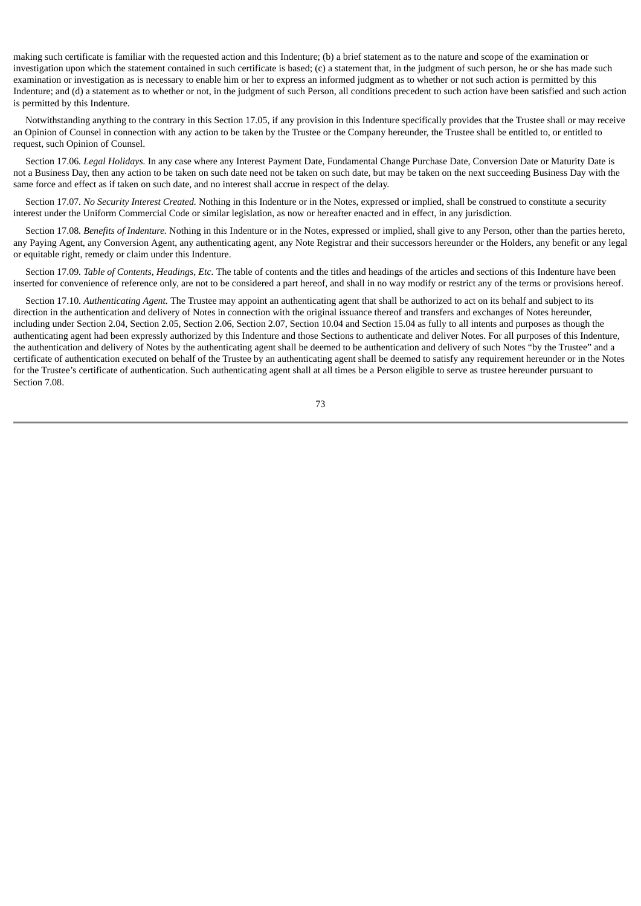making such certificate is familiar with the requested action and this Indenture; (b) a brief statement as to the nature and scope of the examination or investigation upon which the statement contained in such certificate is based; (c) a statement that, in the judgment of such person, he or she has made such examination or investigation as is necessary to enable him or her to express an informed judgment as to whether or not such action is permitted by this Indenture; and (d) a statement as to whether or not, in the judgment of such Person, all conditions precedent to such action have been satisfied and such action is permitted by this Indenture.

Notwithstanding anything to the contrary in this Section 17.05, if any provision in this Indenture specifically provides that the Trustee shall or may receive an Opinion of Counsel in connection with any action to be taken by the Trustee or the Company hereunder, the Trustee shall be entitled to, or entitled to request, such Opinion of Counsel.

Section 17.06*. Legal Holidays.* In any case where any Interest Payment Date, Fundamental Change Purchase Date, Conversion Date or Maturity Date is not a Business Day, then any action to be taken on such date need not be taken on such date, but may be taken on the next succeeding Business Day with the same force and effect as if taken on such date, and no interest shall accrue in respect of the delay.

Section 17.07*. No Security Interest Created.* Nothing in this Indenture or in the Notes, expressed or implied, shall be construed to constitute a security interest under the Uniform Commercial Code or similar legislation, as now or hereafter enacted and in effect, in any jurisdiction.

Section 17.08*. Benefits of Indenture.* Nothing in this Indenture or in the Notes, expressed or implied, shall give to any Person, other than the parties hereto, any Paying Agent, any Conversion Agent, any authenticating agent, any Note Registrar and their successors hereunder or the Holders, any benefit or any legal or equitable right, remedy or claim under this Indenture.

Section 17.09*. Table of Contents, Headings, Etc.* The table of contents and the titles and headings of the articles and sections of this Indenture have been inserted for convenience of reference only, are not to be considered a part hereof, and shall in no way modify or restrict any of the terms or provisions hereof.

Section 17.10*. Authenticating Agent.* The Trustee may appoint an authenticating agent that shall be authorized to act on its behalf and subject to its direction in the authentication and delivery of Notes in connection with the original issuance thereof and transfers and exchanges of Notes hereunder, including under Section 2.04, Section 2.05, Section 2.06, Section 2.07, Section 10.04 and Section 15.04 as fully to all intents and purposes as though the authenticating agent had been expressly authorized by this Indenture and those Sections to authenticate and deliver Notes. For all purposes of this Indenture, the authentication and delivery of Notes by the authenticating agent shall be deemed to be authentication and delivery of such Notes "by the Trustee" and a certificate of authentication executed on behalf of the Trustee by an authenticating agent shall be deemed to satisfy any requirement hereunder or in the Notes for the Trustee's certificate of authentication. Such authenticating agent shall at all times be a Person eligible to serve as trustee hereunder pursuant to Section 7.08.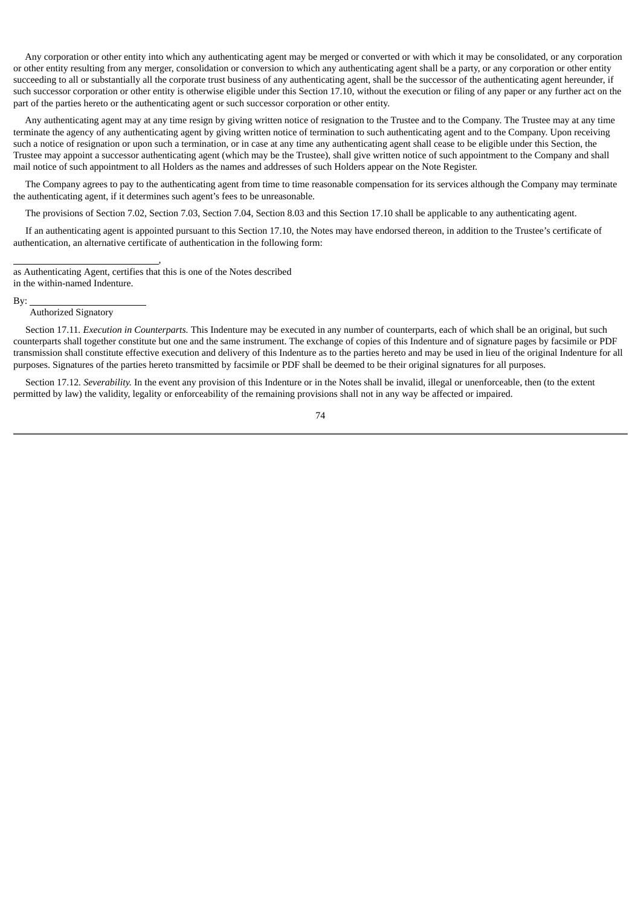Any corporation or other entity into which any authenticating agent may be merged or converted or with which it may be consolidated, or any corporation or other entity resulting from any merger, consolidation or conversion to which any authenticating agent shall be a party, or any corporation or other entity succeeding to all or substantially all the corporate trust business of any authenticating agent, shall be the successor of the authenticating agent hereunder, if such successor corporation or other entity is otherwise eligible under this Section 17.10, without the execution or filing of any paper or any further act on the part of the parties hereto or the authenticating agent or such successor corporation or other entity.

Any authenticating agent may at any time resign by giving written notice of resignation to the Trustee and to the Company. The Trustee may at any time terminate the agency of any authenticating agent by giving written notice of termination to such authenticating agent and to the Company. Upon receiving such a notice of resignation or upon such a termination, or in case at any time any authenticating agent shall cease to be eligible under this Section, the Trustee may appoint a successor authenticating agent (which may be the Trustee), shall give written notice of such appointment to the Company and shall mail notice of such appointment to all Holders as the names and addresses of such Holders appear on the Note Register.

The Company agrees to pay to the authenticating agent from time to time reasonable compensation for its services although the Company may terminate the authenticating agent, if it determines such agent's fees to be unreasonable.

The provisions of Section 7.02, Section 7.03, Section 7.04, Section 8.03 and this Section 17.10 shall be applicable to any authenticating agent.

If an authenticating agent is appointed pursuant to this Section 17.10, the Notes may have endorsed thereon, in addition to the Trustee's certificate of authentication, an alternative certificate of authentication in the following form:

as Authenticating Agent, certifies that this is one of the Notes described in the within-named Indenture.

,

By:

Authorized Signatory

Section 17.11*. Execution in Counterparts.* This Indenture may be executed in any number of counterparts, each of which shall be an original, but such counterparts shall together constitute but one and the same instrument. The exchange of copies of this Indenture and of signature pages by facsimile or PDF transmission shall constitute effective execution and delivery of this Indenture as to the parties hereto and may be used in lieu of the original Indenture for all purposes. Signatures of the parties hereto transmitted by facsimile or PDF shall be deemed to be their original signatures for all purposes.

Section 17.12*. Severability.* In the event any provision of this Indenture or in the Notes shall be invalid, illegal or unenforceable, then (to the extent permitted by law) the validity, legality or enforceability of the remaining provisions shall not in any way be affected or impaired.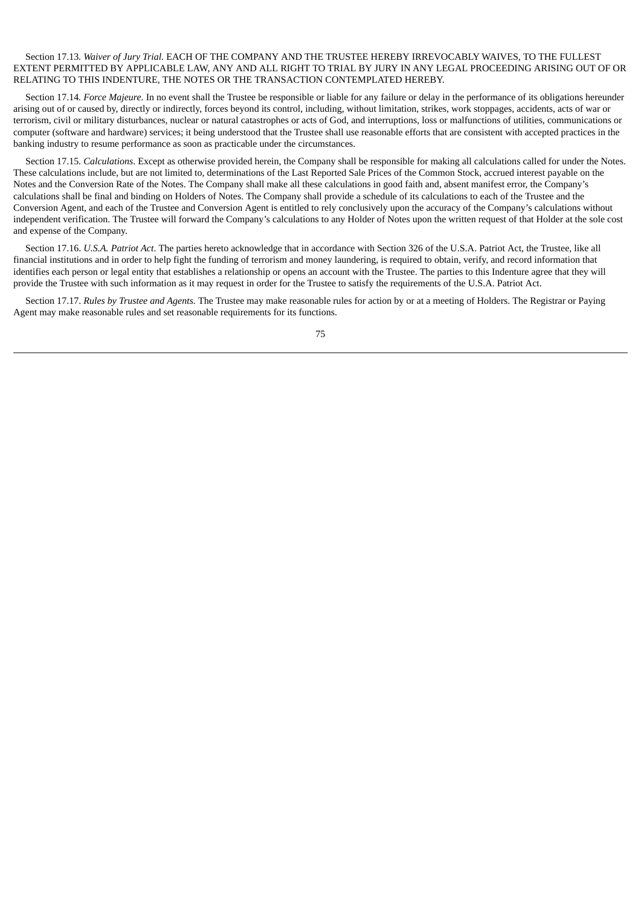# Section 17.13*. Waiver of Jury Trial.* EACH OF THE COMPANY AND THE TRUSTEE HEREBY IRREVOCABLY WAIVES, TO THE FULLEST EXTENT PERMITTED BY APPLICABLE LAW, ANY AND ALL RIGHT TO TRIAL BY JURY IN ANY LEGAL PROCEEDING ARISING OUT OF OR RELATING TO THIS INDENTURE, THE NOTES OR THE TRANSACTION CONTEMPLATED HEREBY.

Section 17.14*. Force Majeure.* In no event shall the Trustee be responsible or liable for any failure or delay in the performance of its obligations hereunder arising out of or caused by, directly or indirectly, forces beyond its control, including, without limitation, strikes, work stoppages, accidents, acts of war or terrorism, civil or military disturbances, nuclear or natural catastrophes or acts of God, and interruptions, loss or malfunctions of utilities, communications or computer (software and hardware) services; it being understood that the Trustee shall use reasonable efforts that are consistent with accepted practices in the banking industry to resume performance as soon as practicable under the circumstances.

Section 17.15*. Calculations*. Except as otherwise provided herein, the Company shall be responsible for making all calculations called for under the Notes. These calculations include, but are not limited to, determinations of the Last Reported Sale Prices of the Common Stock, accrued interest payable on the Notes and the Conversion Rate of the Notes. The Company shall make all these calculations in good faith and, absent manifest error, the Company's calculations shall be final and binding on Holders of Notes. The Company shall provide a schedule of its calculations to each of the Trustee and the Conversion Agent, and each of the Trustee and Conversion Agent is entitled to rely conclusively upon the accuracy of the Company's calculations without independent verification. The Trustee will forward the Company's calculations to any Holder of Notes upon the written request of that Holder at the sole cost and expense of the Company.

Section 17.16. *U.S.A. Patriot Act*. The parties hereto acknowledge that in accordance with Section 326 of the U.S.A. Patriot Act, the Trustee, like all financial institutions and in order to help fight the funding of terrorism and money laundering, is required to obtain, verify, and record information that identifies each person or legal entity that establishes a relationship or opens an account with the Trustee. The parties to this Indenture agree that they will provide the Trustee with such information as it may request in order for the Trustee to satisfy the requirements of the U.S.A. Patriot Act.

Section 17.17. *Rules by Trustee and Agents.* The Trustee may make reasonable rules for action by or at a meeting of Holders. The Registrar or Paying Agent may make reasonable rules and set reasonable requirements for its functions.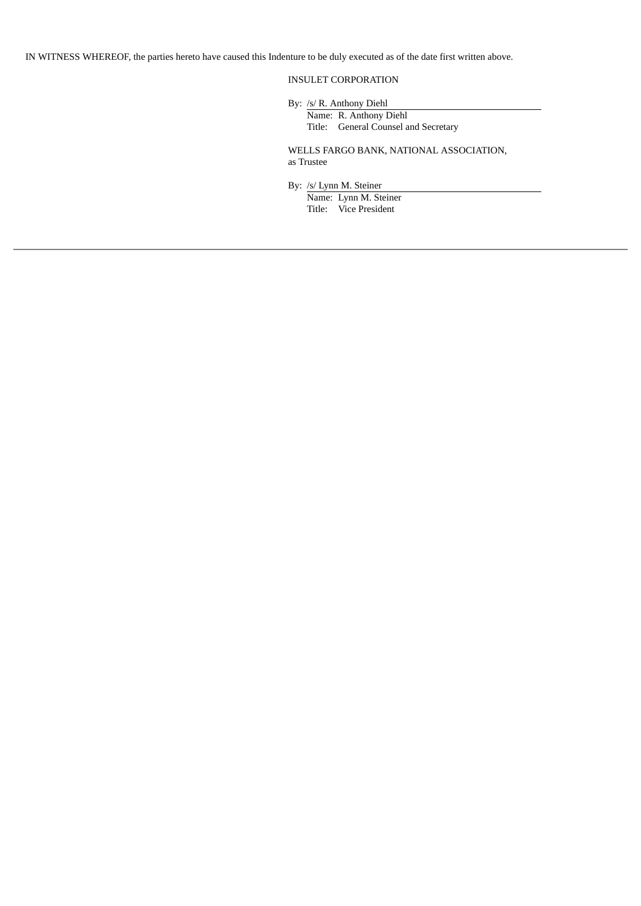IN WITNESS WHEREOF, the parties hereto have caused this Indenture to be duly executed as of the date first written above.

# INSULET CORPORATION

By: /s/ R. Anthony Diehl

Name: R. Anthony Diehl Title: General Counsel and Secretary

WELLS FARGO BANK, NATIONAL ASSOCIATION, as Trustee

By: /s/ Lynn M. Steiner

Name: Lynn M. Steiner Title: Vice President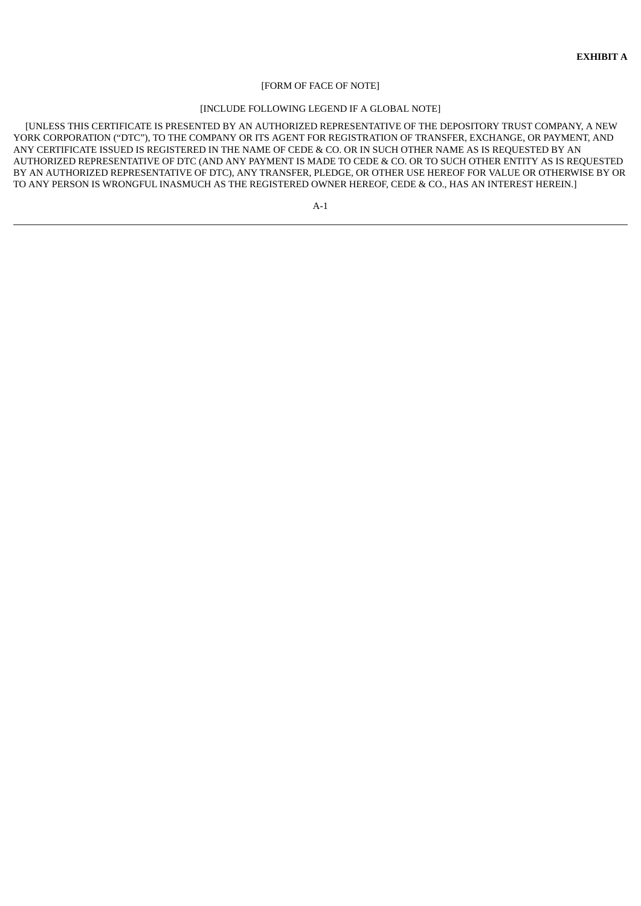#### [FORM OF FACE OF NOTE]

### [INCLUDE FOLLOWING LEGEND IF A GLOBAL NOTE]

[UNLESS THIS CERTIFICATE IS PRESENTED BY AN AUTHORIZED REPRESENTATIVE OF THE DEPOSITORY TRUST COMPANY, A NEW YORK CORPORATION ("DTC"), TO THE COMPANY OR ITS AGENT FOR REGISTRATION OF TRANSFER, EXCHANGE, OR PAYMENT, AND ANY CERTIFICATE ISSUED IS REGISTERED IN THE NAME OF CEDE & CO. OR IN SUCH OTHER NAME AS IS REQUESTED BY AN AUTHORIZED REPRESENTATIVE OF DTC (AND ANY PAYMENT IS MADE TO CEDE & CO. OR TO SUCH OTHER ENTITY AS IS REQUESTED BY AN AUTHORIZED REPRESENTATIVE OF DTC), ANY TRANSFER, PLEDGE, OR OTHER USE HEREOF FOR VALUE OR OTHERWISE BY OR TO ANY PERSON IS WRONGFUL INASMUCH AS THE REGISTERED OWNER HEREOF, CEDE & CO., HAS AN INTEREST HEREIN.]

A-1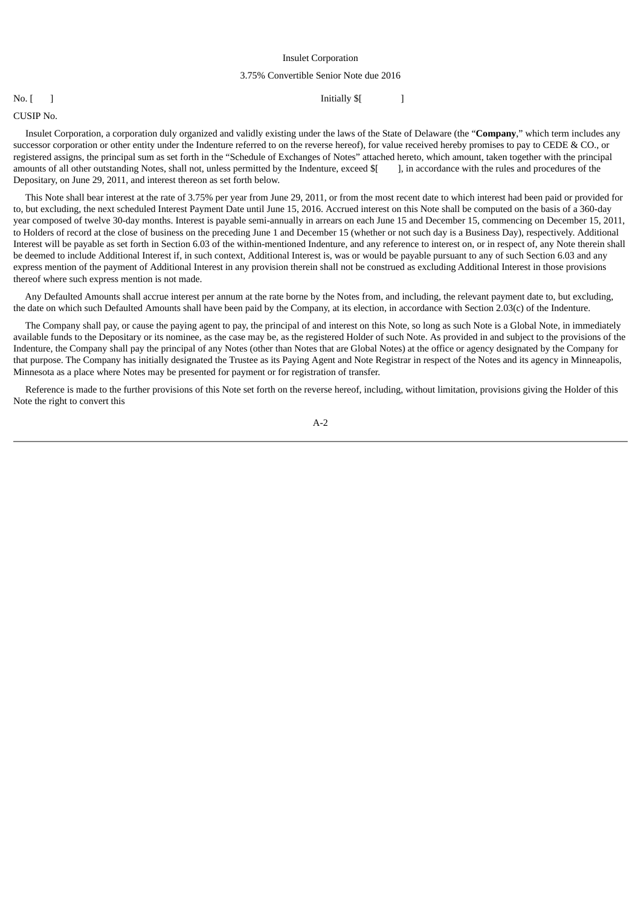### Insulet Corporation

#### 3.75% Convertible Senior Note due 2016

### No. [ ] Initially \$[ ] ] **Initially \$**

CUSIP No.

Insulet Corporation, a corporation duly organized and validly existing under the laws of the State of Delaware (the "**Company**," which term includes any successor corporation or other entity under the Indenture referred to on the reverse hereof), for value received hereby promises to pay to CEDE & CO., or registered assigns, the principal sum as set forth in the "Schedule of Exchanges of Notes" attached hereto, which amount, taken together with the principal amounts of all other outstanding Notes, shall not, unless permitted by the Indenture, exceed \$[ ], in accordance with the rules and procedures of the Depositary, on June 29, 2011, and interest thereon as set forth below.

This Note shall bear interest at the rate of 3.75% per year from June 29, 2011, or from the most recent date to which interest had been paid or provided for to, but excluding, the next scheduled Interest Payment Date until June 15, 2016. Accrued interest on this Note shall be computed on the basis of a 360-day year composed of twelve 30-day months. Interest is payable semi-annually in arrears on each June 15 and December 15, commencing on December 15, 2011, to Holders of record at the close of business on the preceding June 1 and December 15 (whether or not such day is a Business Day), respectively. Additional Interest will be payable as set forth in Section 6.03 of the within-mentioned Indenture, and any reference to interest on, or in respect of, any Note therein shall be deemed to include Additional Interest if, in such context, Additional Interest is, was or would be payable pursuant to any of such Section 6.03 and any express mention of the payment of Additional Interest in any provision therein shall not be construed as excluding Additional Interest in those provisions thereof where such express mention is not made.

Any Defaulted Amounts shall accrue interest per annum at the rate borne by the Notes from, and including, the relevant payment date to, but excluding, the date on which such Defaulted Amounts shall have been paid by the Company, at its election, in accordance with Section 2.03(c) of the Indenture.

The Company shall pay, or cause the paying agent to pay, the principal of and interest on this Note, so long as such Note is a Global Note, in immediately available funds to the Depositary or its nominee, as the case may be, as the registered Holder of such Note. As provided in and subject to the provisions of the Indenture, the Company shall pay the principal of any Notes (other than Notes that are Global Notes) at the office or agency designated by the Company for that purpose. The Company has initially designated the Trustee as its Paying Agent and Note Registrar in respect of the Notes and its agency in Minneapolis, Minnesota as a place where Notes may be presented for payment or for registration of transfer.

Reference is made to the further provisions of this Note set forth on the reverse hereof, including, without limitation, provisions giving the Holder of this Note the right to convert this

A-2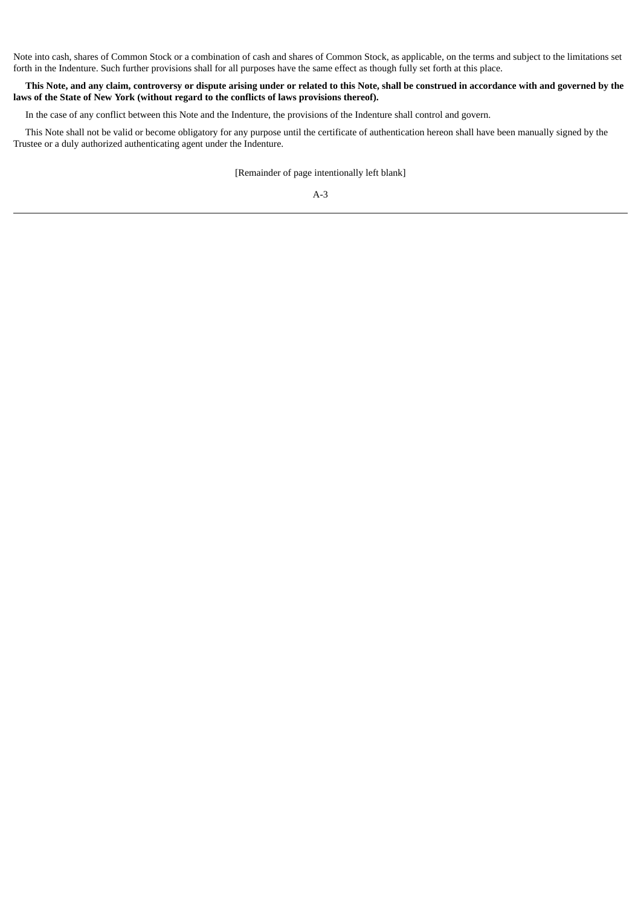Note into cash, shares of Common Stock or a combination of cash and shares of Common Stock, as applicable, on the terms and subject to the limitations set forth in the Indenture. Such further provisions shall for all purposes have the same effect as though fully set forth at this place.

# This Note, and any claim, controversy or dispute arising under or related to this Note, shall be construed in accordance with and governed by the **laws of the State of New York (without regard to the conflicts of laws provisions thereof).**

In the case of any conflict between this Note and the Indenture, the provisions of the Indenture shall control and govern.

This Note shall not be valid or become obligatory for any purpose until the certificate of authentication hereon shall have been manually signed by the Trustee or a duly authorized authenticating agent under the Indenture.

[Remainder of page intentionally left blank]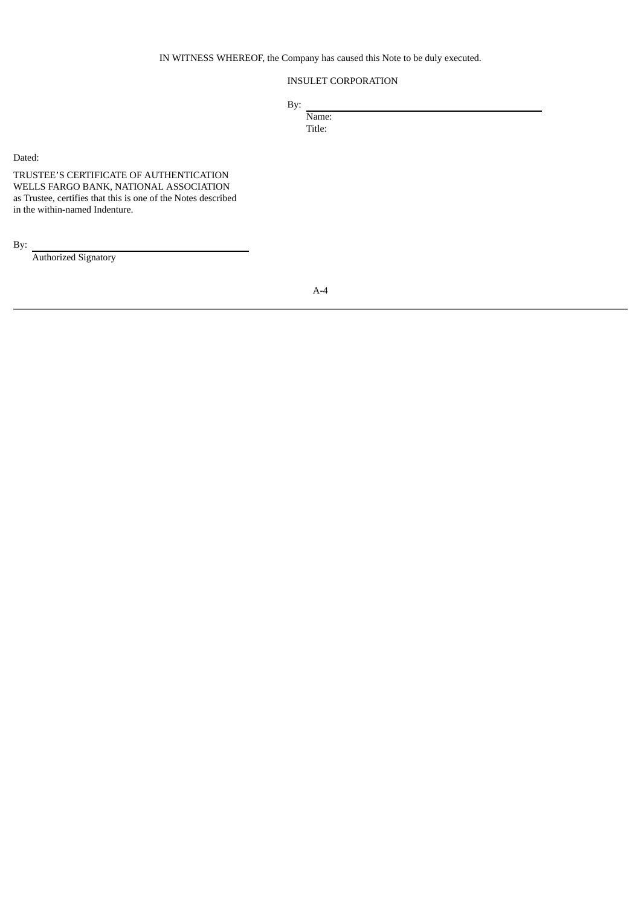IN WITNESS WHEREOF, the Company has caused this Note to be duly executed.

# INSULET CORPORATION

By:

Name: Title:

Dated:

TRUSTEE'S CERTIFICATE OF AUTHENTICATION WELLS FARGO BANK, NATIONAL ASSOCIATION as Trustee, certifies that this is one of the Notes described in the within-named Indenture.

By:

Authorized Signatory

A-4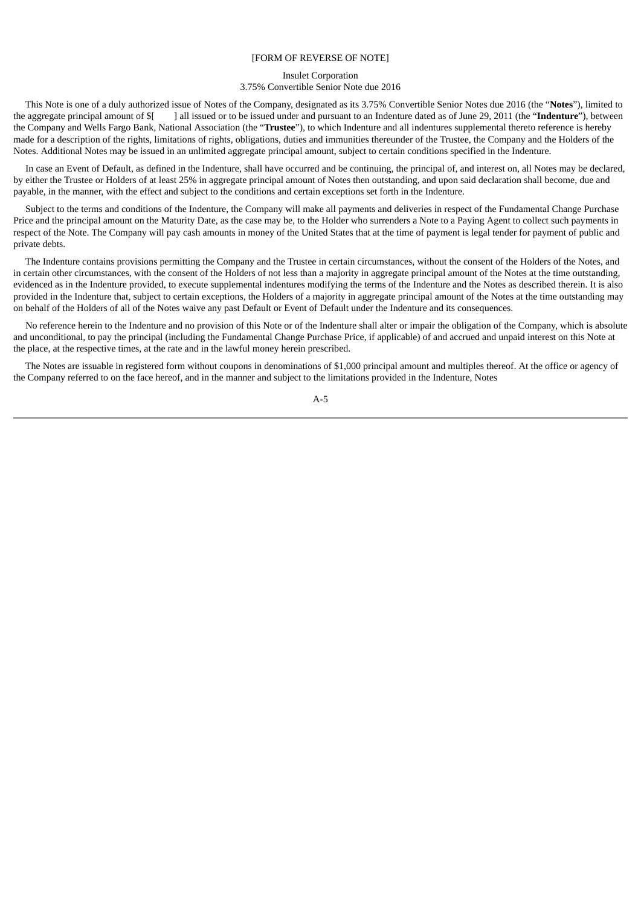#### [FORM OF REVERSE OF NOTE]

# Insulet Corporation 3.75% Convertible Senior Note due 2016

This Note is one of a duly authorized issue of Notes of the Company, designated as its 3.75% Convertible Senior Notes due 2016 (the "**Notes**"), limited to the aggregate principal amount of \$[ ] all issued or to be issued under and pursuant to an Indenture dated as of June 29, 2011 (the "**Indenture**"), between the Company and Wells Fargo Bank, National Association (the "**Trustee**"), to which Indenture and all indentures supplemental thereto reference is hereby made for a description of the rights, limitations of rights, obligations, duties and immunities thereunder of the Trustee, the Company and the Holders of the Notes. Additional Notes may be issued in an unlimited aggregate principal amount, subject to certain conditions specified in the Indenture.

In case an Event of Default, as defined in the Indenture, shall have occurred and be continuing, the principal of, and interest on, all Notes may be declared, by either the Trustee or Holders of at least 25% in aggregate principal amount of Notes then outstanding, and upon said declaration shall become, due and payable, in the manner, with the effect and subject to the conditions and certain exceptions set forth in the Indenture.

Subject to the terms and conditions of the Indenture, the Company will make all payments and deliveries in respect of the Fundamental Change Purchase Price and the principal amount on the Maturity Date, as the case may be, to the Holder who surrenders a Note to a Paying Agent to collect such payments in respect of the Note. The Company will pay cash amounts in money of the United States that at the time of payment is legal tender for payment of public and private debts.

The Indenture contains provisions permitting the Company and the Trustee in certain circumstances, without the consent of the Holders of the Notes, and in certain other circumstances, with the consent of the Holders of not less than a majority in aggregate principal amount of the Notes at the time outstanding, evidenced as in the Indenture provided, to execute supplemental indentures modifying the terms of the Indenture and the Notes as described therein. It is also provided in the Indenture that, subject to certain exceptions, the Holders of a majority in aggregate principal amount of the Notes at the time outstanding may on behalf of the Holders of all of the Notes waive any past Default or Event of Default under the Indenture and its consequences.

No reference herein to the Indenture and no provision of this Note or of the Indenture shall alter or impair the obligation of the Company, which is absolute and unconditional, to pay the principal (including the Fundamental Change Purchase Price, if applicable) of and accrued and unpaid interest on this Note at the place, at the respective times, at the rate and in the lawful money herein prescribed.

The Notes are issuable in registered form without coupons in denominations of \$1,000 principal amount and multiples thereof. At the office or agency of the Company referred to on the face hereof, and in the manner and subject to the limitations provided in the Indenture, Notes

A-5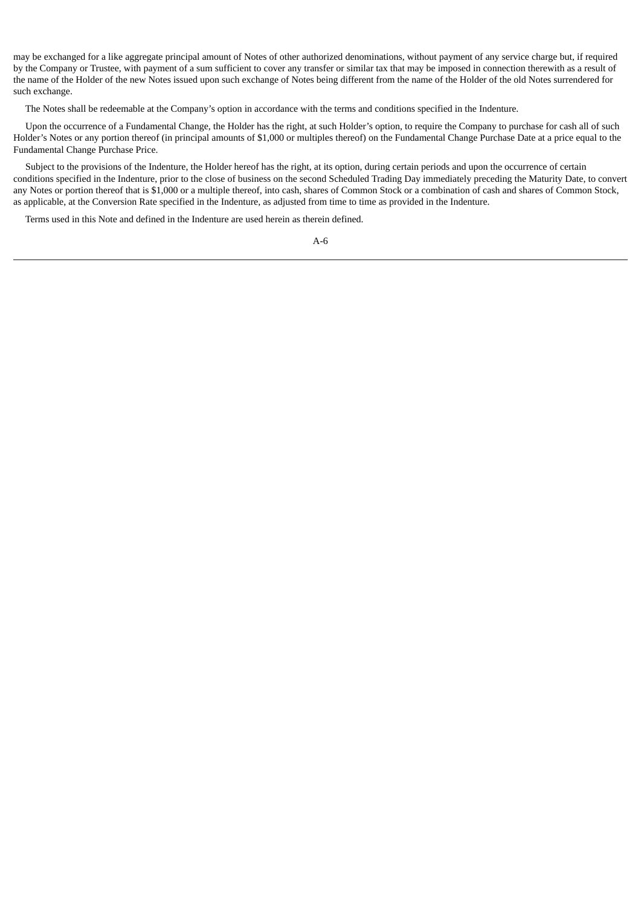may be exchanged for a like aggregate principal amount of Notes of other authorized denominations, without payment of any service charge but, if required by the Company or Trustee, with payment of a sum sufficient to cover any transfer or similar tax that may be imposed in connection therewith as a result of the name of the Holder of the new Notes issued upon such exchange of Notes being different from the name of the Holder of the old Notes surrendered for such exchange.

The Notes shall be redeemable at the Company's option in accordance with the terms and conditions specified in the Indenture.

Upon the occurrence of a Fundamental Change, the Holder has the right, at such Holder's option, to require the Company to purchase for cash all of such Holder's Notes or any portion thereof (in principal amounts of \$1,000 or multiples thereof) on the Fundamental Change Purchase Date at a price equal to the Fundamental Change Purchase Price.

Subject to the provisions of the Indenture, the Holder hereof has the right, at its option, during certain periods and upon the occurrence of certain conditions specified in the Indenture, prior to the close of business on the second Scheduled Trading Day immediately preceding the Maturity Date, to convert any Notes or portion thereof that is \$1,000 or a multiple thereof, into cash, shares of Common Stock or a combination of cash and shares of Common Stock, as applicable, at the Conversion Rate specified in the Indenture, as adjusted from time to time as provided in the Indenture.

Terms used in this Note and defined in the Indenture are used herein as therein defined.

|  | ۰. |
|--|----|
|--|----|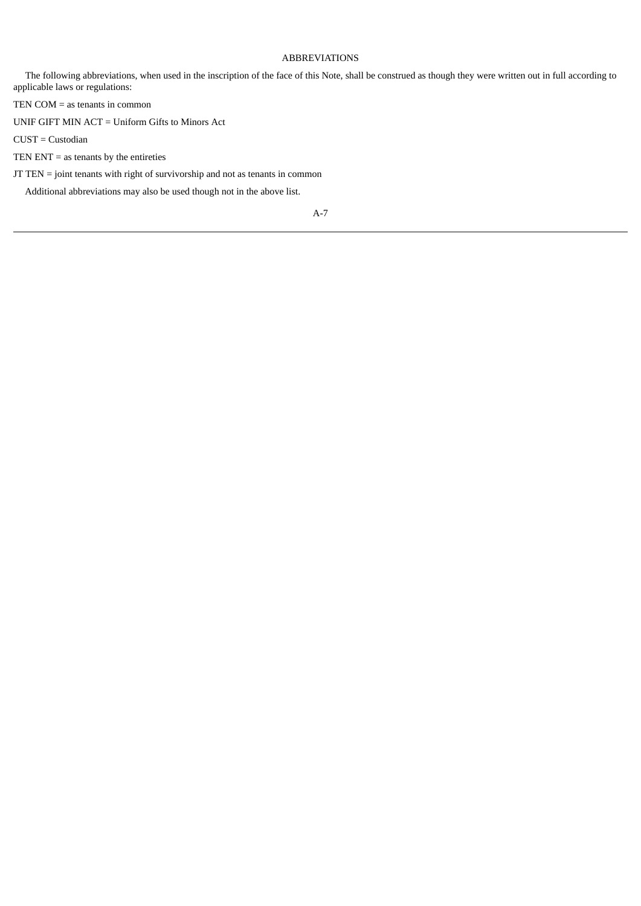# ABBREVIATIONS

The following abbreviations, when used in the inscription of the face of this Note, shall be construed as though they were written out in full according to applicable laws or regulations:

TEN COM = as tenants in common

UNIF GIFT MIN ACT = Uniform Gifts to Minors Act

CUST = Custodian

TEN ENT  $=$  as tenants by the entireties

JT TEN = joint tenants with right of survivorship and not as tenants in common

Additional abbreviations may also be used though not in the above list.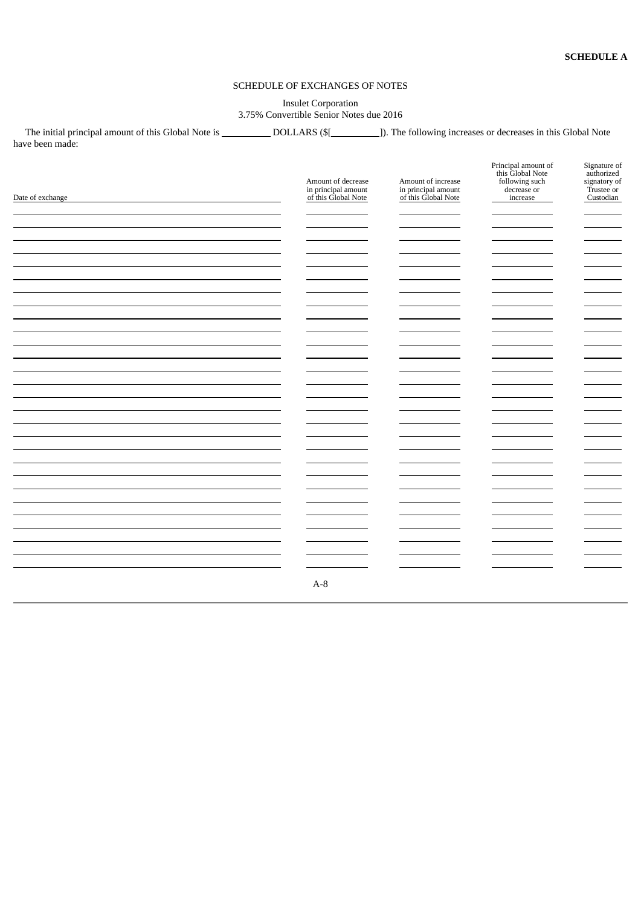# SCHEDULE OF EXCHANGES OF NOTES

# Insulet Corporation 3.75% Convertible Senior Notes due 2016

The initial principal amount of this Global Note is \_\_\_\_\_\_\_\_\_\_\_\_DOLLARS (\$[\_\_\_\_\_\_\_\_\_\_]). The following increases or decreases in this Global Note have been made:

| Date of exchange | Amount of decrease<br>in principal amount<br>of this Global Note | Amount of increase<br>in principal amount<br>of this Global Note | Principal amount of<br>this Global Note<br>following such<br>decrease or<br>increase | Signature of<br>authorized<br>signatory of<br>Trustee or<br>Custodian            |
|------------------|------------------------------------------------------------------|------------------------------------------------------------------|--------------------------------------------------------------------------------------|----------------------------------------------------------------------------------|
|                  |                                                                  |                                                                  |                                                                                      | <b>STATISTICS</b><br>$\overline{\phantom{0}}$                                    |
|                  |                                                                  |                                                                  |                                                                                      | $\overline{\phantom{a}}$<br>$\sim$                                               |
|                  |                                                                  |                                                                  |                                                                                      | $\sim$<br>$\sim$                                                                 |
|                  |                                                                  |                                                                  |                                                                                      | $\overline{\phantom{0}}$<br>$\overline{\phantom{0}}$                             |
|                  |                                                                  |                                                                  |                                                                                      | $\overline{\phantom{0}}$<br><b>STATISTICS</b>                                    |
|                  |                                                                  |                                                                  |                                                                                      | <u>—</u><br>$\overline{\phantom{0}}$                                             |
|                  |                                                                  |                                                                  |                                                                                      | $\overline{\phantom{a}}$<br>$\overline{\phantom{0}}$<br>$\overline{\phantom{0}}$ |
|                  | $A-8$                                                            |                                                                  |                                                                                      | —                                                                                |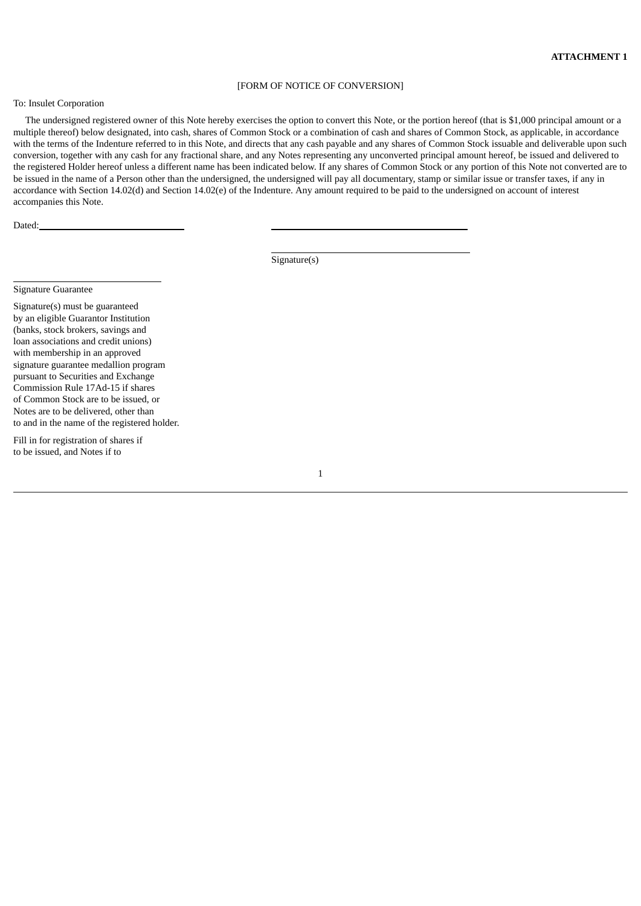#### [FORM OF NOTICE OF CONVERSION]

### To: Insulet Corporation

The undersigned registered owner of this Note hereby exercises the option to convert this Note, or the portion hereof (that is \$1,000 principal amount or a multiple thereof) below designated, into cash, shares of Common Stock or a combination of cash and shares of Common Stock, as applicable, in accordance with the terms of the Indenture referred to in this Note, and directs that any cash payable and any shares of Common Stock issuable and deliverable upon such conversion, together with any cash for any fractional share, and any Notes representing any unconverted principal amount hereof, be issued and delivered to the registered Holder hereof unless a different name has been indicated below. If any shares of Common Stock or any portion of this Note not converted are to be issued in the name of a Person other than the undersigned, the undersigned will pay all documentary, stamp or similar issue or transfer taxes, if any in accordance with Section 14.02(d) and Section 14.02(e) of the Indenture. Any amount required to be paid to the undersigned on account of interest accompanies this Note.

Dated:

Signature(s)

# Signature Guarantee

Signature(s) must be guaranteed by an eligible Guarantor Institution (banks, stock brokers, savings and loan associations and credit unions) with membership in an approved signature guarantee medallion program pursuant to Securities and Exchange Commission Rule 17Ad-15 if shares of Common Stock are to be issued, or Notes are to be delivered, other than to and in the name of the registered holder.

Fill in for registration of shares if to be issued, and Notes if to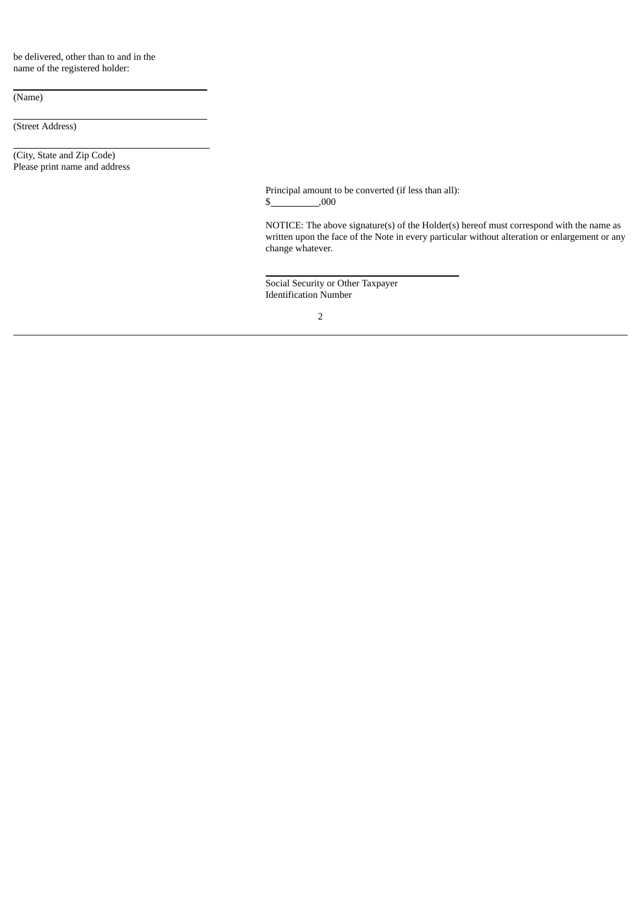be delivered, other than to and in the name of the registered holder:

(Name)

(Street Address)

(City, State and Zip Code) Please print name and address

> Principal amount to be converted (if less than all):  $$$  ,000

NOTICE: The above signature(s) of the Holder(s) hereof must correspond with the name as written upon the face of the Note in every particular without alteration or enlargement or any change whatever.

Social Security or Other Taxpayer Identification Number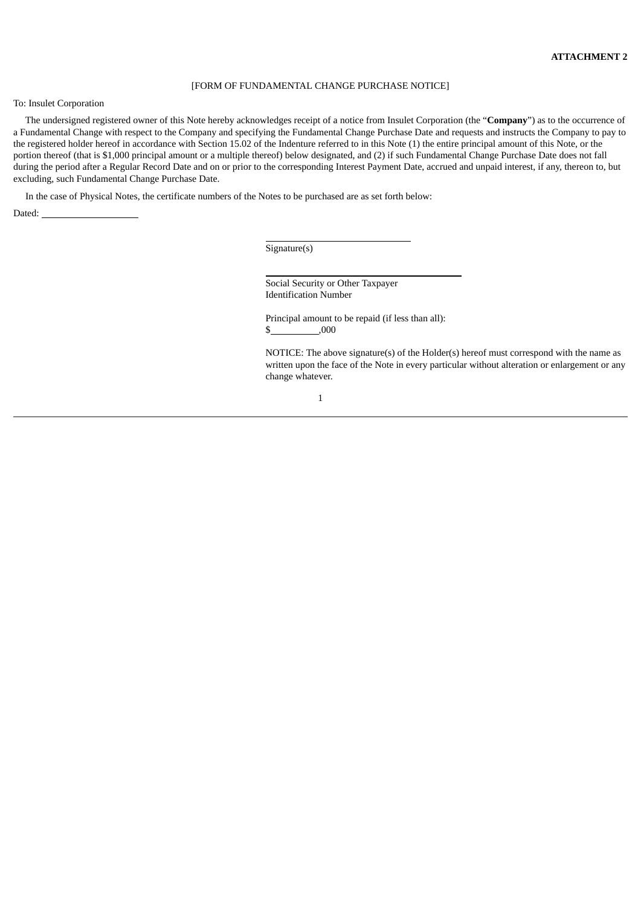#### [FORM OF FUNDAMENTAL CHANGE PURCHASE NOTICE]

To: Insulet Corporation

The undersigned registered owner of this Note hereby acknowledges receipt of a notice from Insulet Corporation (the "**Company**") as to the occurrence of a Fundamental Change with respect to the Company and specifying the Fundamental Change Purchase Date and requests and instructs the Company to pay to the registered holder hereof in accordance with Section 15.02 of the Indenture referred to in this Note (1) the entire principal amount of this Note, or the portion thereof (that is \$1,000 principal amount or a multiple thereof) below designated, and (2) if such Fundamental Change Purchase Date does not fall during the period after a Regular Record Date and on or prior to the corresponding Interest Payment Date, accrued and unpaid interest, if any, thereon to, but excluding, such Fundamental Change Purchase Date.

In the case of Physical Notes, the certificate numbers of the Notes to be purchased are as set forth below:

Dated: \_

Signature(s)

Social Security or Other Taxpayer Identification Number

Principal amount to be repaid (if less than all):  $$$  ,000

NOTICE: The above signature(s) of the Holder(s) hereof must correspond with the name as written upon the face of the Note in every particular without alteration or enlargement or any change whatever.